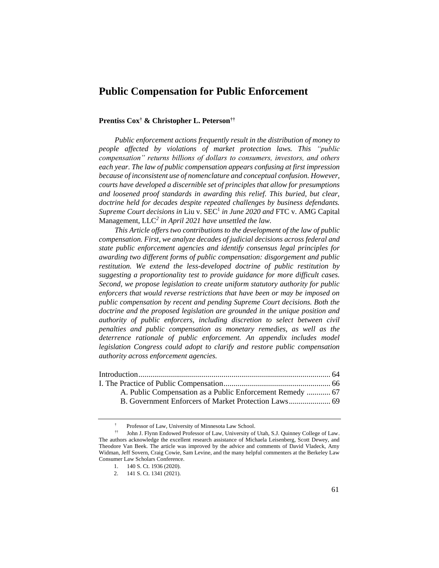# **Public Compensation for Public Enforcement**

#### **Prentiss Cox† & Christopher L. Peterson††**

*Public enforcement actions frequently result in the distribution of money to people affected by violations of market protection laws. This "public compensation" returns billions of dollars to consumers, investors, and others each year. The law of public compensation appears confusing at first impression because of inconsistent use of nomenclature and conceptual confusion. However, courts have developed a discernible set of principles that allow for presumptions and loosened proof standards in awarding this relief. This buried, but clear, doctrine held for decades despite repeated challenges by business defendants.*  Supreme Court decisions in Liu v. SEC<sup>1</sup> in June 2020 and FTC v. AMG Capital Management, LLC*<sup>2</sup> in April 2021 have unsettled the law.*

*This Article offers two contributions to the development of the law of public compensation. First, we analyze decades of judicial decisions across federal and state public enforcement agencies and identify consensus legal principles for awarding two different forms of public compensation: disgorgement and public restitution. We extend the less-developed doctrine of public restitution by suggesting a proportionality test to provide guidance for more difficult cases. Second, we propose legislation to create uniform statutory authority for public enforcers that would reverse restrictions that have been or may be imposed on public compensation by recent and pending Supreme Court decisions. Both the doctrine and the proposed legislation are grounded in the unique position and authority of public enforcers, including discretion to select between civil penalties and public compensation as monetary remedies, as well as the deterrence rationale of public enforcement. An appendix includes model legislation Congress could adopt to clarify and restore public compensation authority across enforcement agencies.*

| A. Public Compensation as a Public Enforcement Remedy  67 |  |
|-----------------------------------------------------------|--|
|                                                           |  |
|                                                           |  |

<sup>†</sup> Professor of Law, University of Minnesota Law School.

<sup>††</sup> John J. Flynn Endowed Professor of Law, University of Utah, S.J. Quinney College of Law. The authors acknowledge the excellent research assistance of Michaela Leisenberg, Scott Dewey, and Theodore Van Beek. The article was improved by the advice and comments of David Vladeck, Amy Widman, Jeff Sovern, Craig Cowie, Sam Levine, and the many helpful commenters at the Berkeley Law Consumer Law Scholars Conference.

<sup>1.</sup> 140 S. Ct. 1936 (2020).

<sup>2.</sup> 141 S. Ct. 1341 (2021).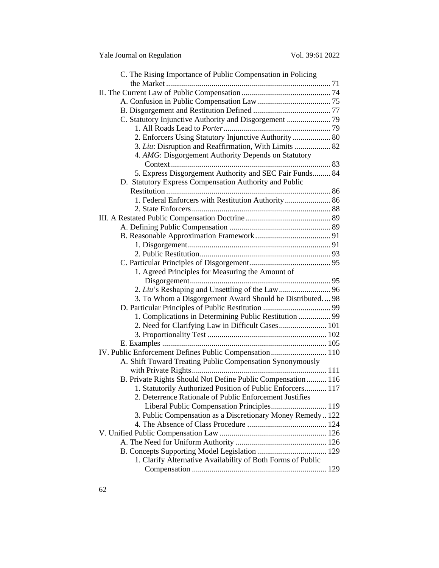| C. The Rising Importance of Public Compensation in Policing  |
|--------------------------------------------------------------|
|                                                              |
|                                                              |
|                                                              |
|                                                              |
|                                                              |
|                                                              |
| 2. Enforcers Using Statutory Injunctive Authority  80        |
| 3. Liu: Disruption and Reaffirmation, With Limits  82        |
| 4. AMG: Disgorgement Authority Depends on Statutory          |
|                                                              |
| 5. Express Disgorgement Authority and SEC Fair Funds 84      |
| D. Statutory Express Compensation Authority and Public       |
|                                                              |
| 1. Federal Enforcers with Restitution Authority 86           |
|                                                              |
|                                                              |
|                                                              |
|                                                              |
|                                                              |
|                                                              |
|                                                              |
| 1. Agreed Principles for Measuring the Amount of             |
|                                                              |
|                                                              |
| 3. To Whom a Disgorgement Award Should be Distributed 98     |
|                                                              |
| 1. Complications in Determining Public Restitution  99       |
| 2. Need for Clarifying Law in Difficult Cases 101            |
|                                                              |
| IV. Public Enforcement Defines Public Compensation 110       |
| A. Shift Toward Treating Public Compensation Synonymously    |
|                                                              |
| B. Private Rights Should Not Define Public Compensation  116 |
| 1. Statutorily Authorized Position of Public Enforcers 117   |
| 2. Deterrence Rationale of Public Enforcement Justifies      |
| Liberal Public Compensation Principles 119                   |
| 3. Public Compensation as a Discretionary Money Remedy 122   |
|                                                              |
|                                                              |
|                                                              |
|                                                              |
| 1. Clarify Alternative Availability of Both Forms of Public  |
|                                                              |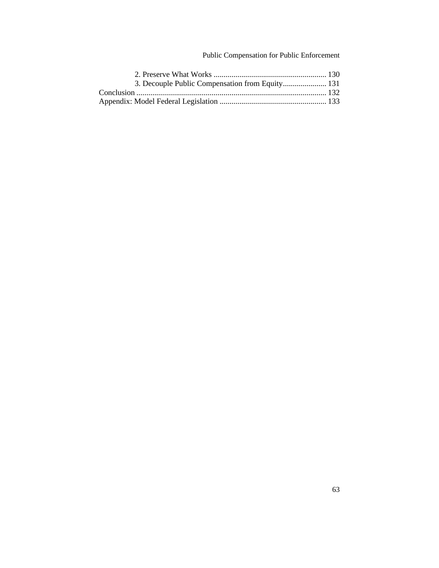## Public Compensation for Public Enforcement

| 3. Decouple Public Compensation from Equity 131 |  |
|-------------------------------------------------|--|
|                                                 |  |
|                                                 |  |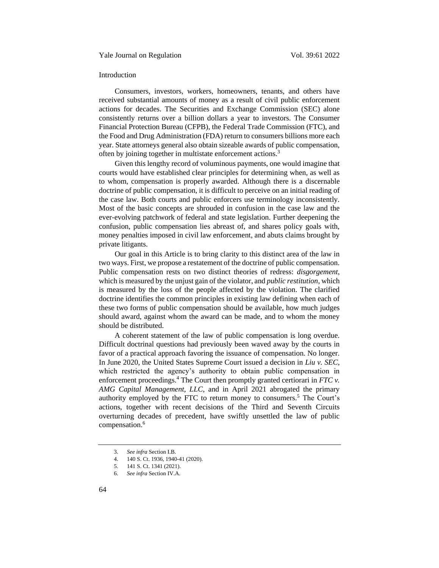#### <span id="page-3-0"></span>Introduction

Consumers, investors, workers, homeowners, tenants, and others have received substantial amounts of money as a result of civil public enforcement actions for decades. The Securities and Exchange Commission (SEC) alone consistently returns over a billion dollars a year to investors. The Consumer Financial Protection Bureau (CFPB), the Federal Trade Commission (FTC), and the Food and Drug Administration (FDA) return to consumers billions more each year. State attorneys general also obtain sizeable awards of public compensation, often by joining together in multistate enforcement actions.<sup>3</sup>

Given this lengthy record of voluminous payments, one would imagine that courts would have established clear principles for determining when, as well as to whom, compensation is properly awarded. Although there is a discernable doctrine of public compensation, it is difficult to perceive on an initial reading of the case law. Both courts and public enforcers use terminology inconsistently. Most of the basic concepts are shrouded in confusion in the case law and the ever-evolving patchwork of federal and state legislation. Further deepening the confusion, public compensation lies abreast of, and shares policy goals with, money penalties imposed in civil law enforcement, and abuts claims brought by private litigants.

Our goal in this Article is to bring clarity to this distinct area of the law in two ways. First, we propose a restatement of the doctrine of public compensation. Public compensation rests on two distinct theories of redress: *disgorgement*, which is measured by the unjust gain of the violator, and *public restitution*, which is measured by the loss of the people affected by the violation. The clarified doctrine identifies the common principles in existing law defining when each of these two forms of public compensation should be available, how much judges should award, against whom the award can be made, and to whom the money should be distributed.

A coherent statement of the law of public compensation is long overdue. Difficult doctrinal questions had previously been waved away by the courts in favor of a practical approach favoring the issuance of compensation. No longer. In June 2020, the United States Supreme Court issued a decision in *Liu v. SEC*, which restricted the agency's authority to obtain public compensation in enforcement proceedings.<sup>4</sup> The Court then promptly granted certiorari in *FTC v*. *AMG Capital Management, LLC*, and in April 2021 abrogated the primary authority employed by the FTC to return money to consumers.<sup>5</sup> The Court's actions, together with recent decisions of the Third and Seventh Circuits overturning decades of precedent, have swiftly unsettled the law of public compensation.<sup>6</sup>

<sup>3.</sup> *See infra* Section I.B.

<sup>4.</sup> 140 S. Ct. 1936, 1940-41 (2020).

<sup>5.</sup> 141 S. Ct. 1341 (2021).

<sup>6.</sup> *See infra* Section IV.A.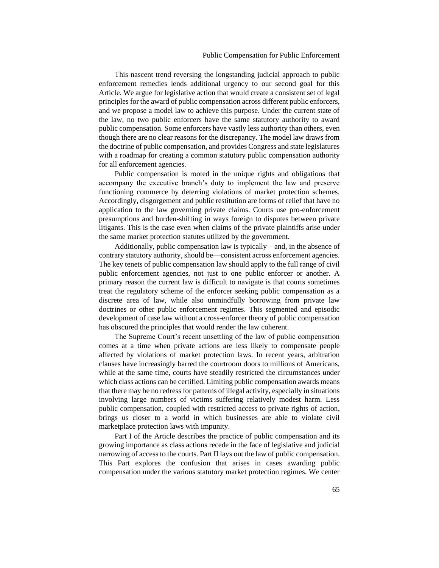This nascent trend reversing the longstanding judicial approach to public enforcement remedies lends additional urgency to our second goal for this Article. We argue for legislative action that would create a consistent set of legal principles for the award of public compensation across different public enforcers, and we propose a model law to achieve this purpose. Under the current state of the law, no two public enforcers have the same statutory authority to award public compensation. Some enforcers have vastly less authority than others, even though there are no clear reasons for the discrepancy. The model law draws from the doctrine of public compensation, and provides Congress and state legislatures with a roadmap for creating a common statutory public compensation authority for all enforcement agencies.

Public compensation is rooted in the unique rights and obligations that accompany the executive branch's duty to implement the law and preserve functioning commerce by deterring violations of market protection schemes. Accordingly, disgorgement and public restitution are forms of relief that have no application to the law governing private claims. Courts use pro-enforcement presumptions and burden-shifting in ways foreign to disputes between private litigants. This is the case even when claims of the private plaintiffs arise under the same market protection statutes utilized by the government.

Additionally, public compensation law is typically—and, in the absence of contrary statutory authority, should be—consistent across enforcement agencies. The key tenets of public compensation law should apply to the full range of civil public enforcement agencies, not just to one public enforcer or another. A primary reason the current law is difficult to navigate is that courts sometimes treat the regulatory scheme of the enforcer seeking public compensation as a discrete area of law, while also unmindfully borrowing from private law doctrines or other public enforcement regimes. This segmented and episodic development of case law without a cross-enforcer theory of public compensation has obscured the principles that would render the law coherent.

The Supreme Court's recent unsettling of the law of public compensation comes at a time when private actions are less likely to compensate people affected by violations of market protection laws. In recent years, arbitration clauses have increasingly barred the courtroom doors to millions of Americans, while at the same time, courts have steadily restricted the circumstances under which class actions can be certified. Limiting public compensation awards means that there may be no redress for patterns of illegal activity, especially in situations involving large numbers of victims suffering relatively modest harm. Less public compensation, coupled with restricted access to private rights of action, brings us closer to a world in which businesses are able to violate civil marketplace protection laws with impunity.

Part I of the Article describes the practice of public compensation and its growing importance as class actions recede in the face of legislative and judicial narrowing of access to the courts. Part II lays out the law of public compensation. This Part explores the confusion that arises in cases awarding public compensation under the various statutory market protection regimes. We center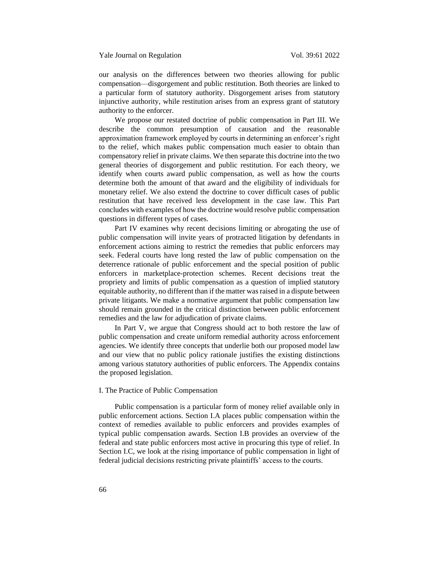our analysis on the differences between two theories allowing for public compensation—disgorgement and public restitution. Both theories are linked to a particular form of statutory authority. Disgorgement arises from statutory injunctive authority, while restitution arises from an express grant of statutory authority to the enforcer.

We propose our restated doctrine of public compensation in Part III. We describe the common presumption of causation and the reasonable approximation framework employed by courts in determining an enforcer's right to the relief, which makes public compensation much easier to obtain than compensatory relief in private claims. We then separate this doctrine into the two general theories of disgorgement and public restitution. For each theory, we identify when courts award public compensation, as well as how the courts determine both the amount of that award and the eligibility of individuals for monetary relief. We also extend the doctrine to cover difficult cases of public restitution that have received less development in the case law. This Part concludes with examples of how the doctrine would resolve public compensation questions in different types of cases.

Part IV examines why recent decisions limiting or abrogating the use of public compensation will invite years of protracted litigation by defendants in enforcement actions aiming to restrict the remedies that public enforcers may seek. Federal courts have long rested the law of public compensation on the deterrence rationale of public enforcement and the special position of public enforcers in marketplace-protection schemes. Recent decisions treat the propriety and limits of public compensation as a question of implied statutory equitable authority, no different than if the matter was raised in a dispute between private litigants. We make a normative argument that public compensation law should remain grounded in the critical distinction between public enforcement remedies and the law for adjudication of private claims.

In Part V, we argue that Congress should act to both restore the law of public compensation and create uniform remedial authority across enforcement agencies. We identify three concepts that underlie both our proposed model law and our view that no public policy rationale justifies the existing distinctions among various statutory authorities of public enforcers. The Appendix contains the proposed legislation.

## <span id="page-5-0"></span>I. The Practice of Public Compensation

Public compensation is a particular form of money relief available only in public enforcement actions. Section I.A places public compensation within the context of remedies available to public enforcers and provides examples of typical public compensation awards. Section I.B provides an overview of the federal and state public enforcers most active in procuring this type of relief. In Section I.C, we look at the rising importance of public compensation in light of federal judicial decisions restricting private plaintiffs' access to the courts.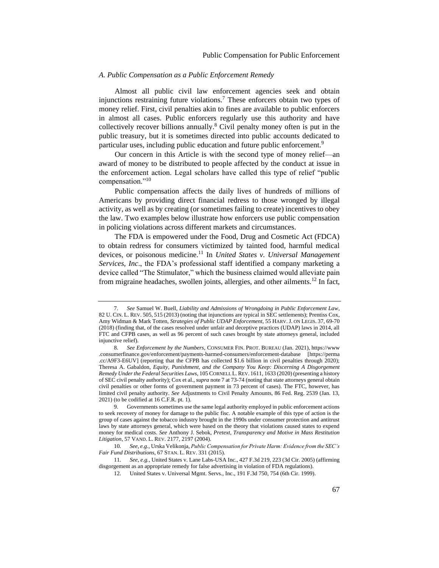## <span id="page-6-0"></span>*A. Public Compensation as a Public Enforcement Remedy*

<span id="page-6-1"></span>Almost all public civil law enforcement agencies seek and obtain injunctions restraining future violations.<sup>7</sup> These enforcers obtain two types of money relief. First, civil penalties akin to fines are available to public enforcers in almost all cases. Public enforcers regularly use this authority and have collectively recover billions annually.<sup>8</sup> Civil penalty money often is put in the public treasury, but it is sometimes directed into public accounts dedicated to particular uses, including public education and future public enforcement.<sup>9</sup>

<span id="page-6-2"></span>Our concern in this Article is with the second type of money relief—an award of money to be distributed to people affected by the conduct at issue in the enforcement action. Legal scholars have called this type of relief "public compensation."<sup>10</sup>

<span id="page-6-3"></span>Public compensation affects the daily lives of hundreds of millions of Americans by providing direct financial redress to those wronged by illegal activity, as well as by creating (or sometimes failing to create) incentives to obey the law. Two examples below illustrate how enforcers use public compensation in policing violations across different markets and circumstances.

The FDA is empowered under the Food, Drug and Cosmetic Act (FDCA) to obtain redress for consumers victimized by tainted food, harmful medical devices, or poisonous medicine.<sup>11</sup> In *United States v. Universal Management Services, Inc*., the FDA's professional staff identified a company marketing a device called "The Stimulator," which the business claimed would alleviate pain from migraine headaches, swollen joints, allergies, and other ailments.<sup>12</sup> In fact,

<sup>7.</sup> *See* Samuel W. Buell, *Liability and Admissions of Wrongdoing in Public Enforcement Law*, 82 U. CIN. L. REV. 505, 515 (2013) (noting that injunctions are typical in SEC settlements); Prentiss Cox, Amy Widman & Mark Totten, *Strategies of Public UDAP Enforcement*, 55 HARV.J. ON LEGIS. 37, 69-70 (2018) (finding that, of the cases resolved under unfair and deceptive practices (UDAP) laws in 2014, all FTC and CFPB cases, as well as 96 percent of such cases brought by state attorneys general, included injunctive relief).

<sup>8.</sup> *See Enforcement by the Numbers*, CONSUMER FIN. PROT. BUREAU (Jan. 2021), https://www .consumerfinance.gov/enforcement/payments-harmed-consumers/enforcement-database [https://perma .cc/A9F3-E6UV] (reporting that the CFPB has collected \$1.6 billion in civil penalties through 2020); Theresa A. Gabaldon, *Equity, Punishment, and the Company You Keep: Discerning A Disgorgement Remedy Under the Federal Securities Laws*, 105 CORNELL L.REV. 1611, 1633 (2020) (presenting a history of SEC civil penalty authority); Cox et al., *supra* not[e 7](#page-6-1) at 73-74 (noting that state attorneys general obtain civil penalties or other forms of government payment in 73 percent of cases). The FTC, however, has limited civil penalty authority. *See* Adjustments to Civil Penalty Amounts, 86 Fed. Reg. 2539 (Jan. 13, 2021) (to be codified at 16 C.F.R. pt. 1).

<sup>9.</sup> Governments sometimes use the same legal authority employed in public enforcement actions to seek recovery of money for damage to the public fisc. A notable example of this type of action is the group of cases against the tobacco industry brought in the 1990s under consumer protection and antitrust laws by state attorneys general, which were based on the theory that violations caused states to expend money for medical costs. *See* Anthony J. Sebok, *Pretext, Transparency and Motive in Mass Restitution Litigation*, 57 VAND. L. REV. 2177, 2197 (2004).

<sup>10.</sup> *See, e.g.*, Urska Velikonja, *Public Compensation for Private Harm: Evidence from the SEC's Fair Fund Distributions*, 67 STAN. L. REV. 331 (2015).

<sup>11.</sup> *See, e.g.*, United States v. Lane Labs-USA Inc., 427 F.3d 219, 223 (3d Cir. 2005) (affirming disgorgement as an appropriate remedy for false advertising in violation of FDA regulations).

United States v. Universal Mgmt. Servs., Inc., 191 F.3d 750, 754 (6th Cir. 1999).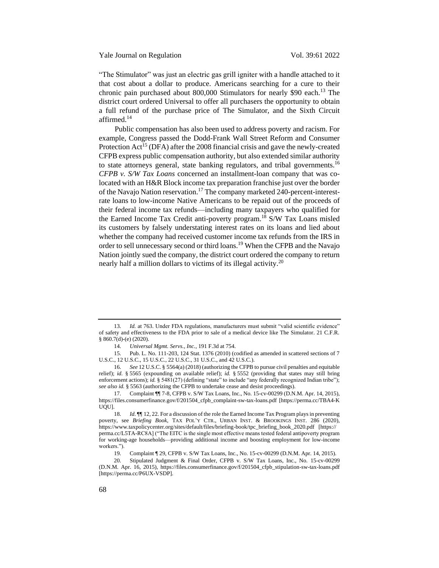Yale Journal on Regulation Vol. 39:61 2022

"The Stimulator" was just an electric gas grill igniter with a handle attached to it that cost about a dollar to produce. Americans searching for a cure to their chronic pain purchased about  $800,000$  Stimulators for nearly \$90 each.<sup>13</sup> The district court ordered Universal to offer all purchasers the opportunity to obtain a full refund of the purchase price of The Simulator, and the Sixth Circuit affirmed.<sup>14</sup>

Public compensation has also been used to address poverty and racism. For example, Congress passed the Dodd-Frank Wall Street Reform and Consumer Protection Act<sup>15</sup> (DFA) after the 2008 financial crisis and gave the newly-created CFPB express public compensation authority, but also extended similar authority to state attorneys general, state banking regulators, and tribal governments.<sup>16</sup> *CFPB v. S/W Tax Loans* concerned an installment-loan company that was colocated with an H&R Block income tax preparation franchise just over the border of the Navajo Nation reservation.<sup>17</sup> The company marketed 240-percent-interestrate loans to low-income Native Americans to be repaid out of the proceeds of their federal income tax refunds—including many taxpayers who qualified for the Earned Income Tax Credit anti-poverty program.<sup>18</sup> S/W Tax Loans misled its customers by falsely understating interest rates on its loans and lied about whether the company had received customer income tax refunds from the IRS in order to sell unnecessary second or third loans.<sup>19</sup> When the CFPB and the Navajo Nation jointly sued the company, the district court ordered the company to return nearly half a million dollars to victims of its illegal activity.<sup>20</sup>

<sup>13.</sup> *Id.* at 763. Under FDA regulations, manufacturers must submit "valid scientific evidence" of safety and effectiveness to the FDA prior to sale of a medical device like The Simulator. 21 C.F.R. § 860.7(d)-(e) (2020).

<sup>14.</sup> *Universal Mgmt. Servs., Inc.*, 191 F.3d at 754.

<sup>15.</sup> Pub. L. No. 111-203, 124 Stat. 1376 (2010) (codified as amended in scattered sections of 7 U.S.C., 12 U.S.C., 15 U.S.C., 22 U.S.C., 31 U.S.C., and 42 U.S.C.).

<sup>16.</sup> *See* 12 U.S.C. § 5564(a) (2018) (authorizing the CFPB to pursue civil penalties and equitable relief); *id.* § 5565 (expounding on available relief); *id.* § 5552 (providing that states may still bring enforcement actions); *id.* § 5481(27) (defining "state" to include "any federally recognized Indian tribe"); *see also id.* § 5563 (authorizing the CFPB to undertake cease and desist proceedings).

<sup>17.</sup> Complaint ¶¶ 7-8, CFPB v. S/W Tax Loans, Inc., No. 15-cv-00299 (D.N.M. Apr. 14, 2015), https://files.consumerfinance.gov/f/201504\_cfpb\_complaint-sw-tax-loans.pdf [https://perma.cc/TBA4-K UQU].

<sup>18.</sup> *Id.*  $\mathbb{I}$  12, 22. For a discussion of the role the Earned Income Tax Program plays in preventing poverty, see *Briefing Book*, TAX POL'Y CTR., URBAN INST. & BROOKINGS INST. 286 (2020), https://www.taxpolicycenter.org/sites/default/files/briefing-book/tpc\_briefing\_book\_2020.pdf [https:// perma.cc/L5TA-RC8A] ("The EITC is the single most effective means tested federal antipoverty program for working-age households—providing additional income and boosting employment for low-income workers.").

<sup>19.</sup> Complaint ¶ 29, CFPB v. S/W Tax Loans, Inc., No. 15-cv-00299 (D.N.M. Apr. 14, 2015).

<sup>20.</sup> Stipulated Judgment & Final Order, CFPB v. S/W Tax Loans, Inc., No. 15-cv-00299 (D.N.M. Apr. 16, 2015), https://files.consumerfinance.gov/f/201504\_cfpb\_stipulation-sw-tax-loans.pdf [https://perma.cc/P6UX-VSDP].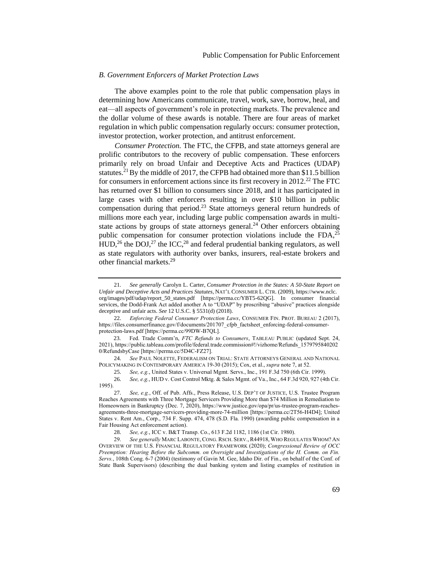#### <span id="page-8-0"></span>*B. Government Enforcers of Market Protection Laws*

The above examples point to the role that public compensation plays in determining how Americans communicate, travel, work, save, borrow, heal, and eat—all aspects of government's role in protecting markets. The prevalence and the dollar volume of these awards is notable. There are four areas of market regulation in which public compensation regularly occurs: consumer protection, investor protection, worker protection, and antitrust enforcement.

*Consumer Protection.* The FTC, the CFPB, and state attorneys general are prolific contributors to the recovery of public compensation. These enforcers primarily rely on broad Unfair and Deceptive Acts and Practices (UDAP) statutes.<sup>21</sup> By the middle of 2017, the CFPB had obtained more than \$11.5 billion for consumers in enforcement actions since its first recovery in 2012.<sup>22</sup> The FTC has returned over \$1 billion to consumers since 2018, and it has participated in large cases with other enforcers resulting in over \$10 billion in public compensation during that period. $23$  State attorneys general return hundreds of millions more each year, including large public compensation awards in multistate actions by groups of state attorneys general.<sup>24</sup> Other enforcers obtaining public compensation for consumer protection violations include the FDA,<sup>25</sup>  $HUD$ ,<sup>26</sup> the DOJ,<sup>27</sup> the ICC,<sup>28</sup> and federal prudential banking regulators, as well as state regulators with authority over banks, insurers, real-estate brokers and other financial markets.<sup>29</sup>

<sup>21.</sup> *See generally* Carolyn L. Carter, *Consumer Protection in the States: A 50-State Report on Unfair and Deceptive Acts and Practices Statutes*, NAT'L CONSUMER L. CTR. (2009), https://www.nclc. org/images/pdf/udap/report\_50\_states.pdf [https://perma.cc/YBT5-62QG]. In consumer financial services, the Dodd-Frank Act added another A to "UDAP" by proscribing "abusive" practices alongside deceptive and unfair acts. *See* 12 U.S.C. § 5531(d) (2018).

<sup>22.</sup> *Enforcing Federal Consumer Protection Laws*, CONSUMER FIN. PROT. BUREAU 2 (2017), https://files.consumerfinance.gov/f/documents/201707\_cfpb\_factsheet\_enforcing-federal-consumerprotection-laws.pdf [https://perma.cc/99DW-B7QL].

<sup>23.</sup> Fed. Trade Comm'n, *FTC Refunds to Consumers*, TABLEAU PUBLIC (updated Sept. 24, 2021), https://public.tableau.com/profile/federal.trade.commission#!/vizhome/Refunds\_1579795840202 0/RefundsbyCase [https://perma.cc/5D4C-FZ27].

<sup>24.</sup> *See* PAUL NOLETTE, FEDERALISM ON TRIAL: STATE ATTORNEYS GENERAL AND NATIONAL POLICYMAKING IN CONTEMPORARY AMERICA 19-30 (2015); Cox, et al., *supra* not[e 7,](#page-6-1) at 52.

<sup>25.</sup> *See, e.g.*, United States v. Universal Mgmt. Servs., Inc., 191 F.3d 750 (6th Cir. 1999).

<sup>26.</sup> *See, e.g.*, HUD v. Cost Control Mktg. & Sales Mgmt. of Va., Inc., 64 F.3d 920, 927 (4th Cir. 1995).

<sup>27.</sup> *See, e.g.*, Off. of Pub. Affs., Press Release, U.S. DEP'T OF JUSTICE, U.S. Trustee Program Reaches Agreements with Three Mortgage Servicers Providing More than \$74 Million in Remediation to Homeowners in Bankruptcy (Dec. 7, 2020), https://www.justice.gov/opa/pr/us-trustee-program-reachesagreements-three-mortgage-servicers-providing-more-74-million [https://perma.cc/2T56-H4D4]; United States v. Rent Am., Corp., 734 F. Supp. 474, 478 (S.D. Fla. 1990) (awarding public compensation in a Fair Housing Act enforcement action).

<sup>28.</sup> *See, e.g.*, ICC v. B&T Transp. Co., 613 F.2d 1182, 1186 (1st Cir. 1980).

<sup>29.</sup> *See generally* MARC LABONTE, CONG. RSCH. SERV., R44918, WHO REGULATES WHOM? AN OVERVIEW OF THE U.S. FINANCIAL REGULATORY FRAMEWORK (2020); *Congressional Review of OCC Preemption: Hearing Before the Subcomm. on Oversight and Investigations of the H. Comm. on Fin. Servs.*, 108th Cong. 6-7 (2004) (testimony of Gavin M. Gee, Idaho Dir. of Fin., on behalf of the Conf. of State Bank Supervisors) (describing the dual banking system and listing examples of restitution in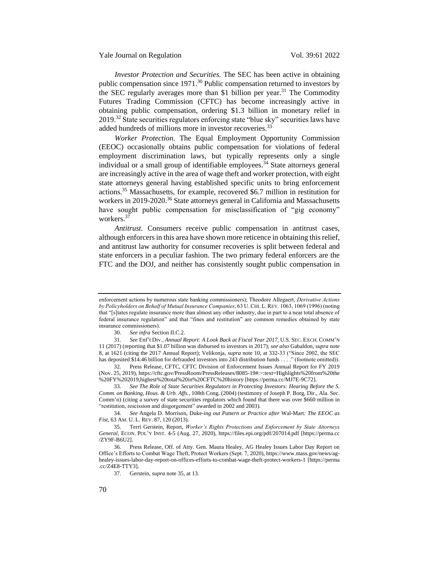Yale Journal on Regulation Vol. 39:61 2022

*Investor Protection and Securities.* The SEC has been active in obtaining public compensation since 1971.<sup>30</sup> Public compensation returned to investors by the SEC regularly averages more than \$1 billion per year.<sup>31</sup> The Commodity Futures Trading Commission (CFTC) has become increasingly active in obtaining public compensation, ordering \$1.3 billion in monetary relief in 2019.<sup>32</sup> State securities regulators enforcing state "blue sky" securities laws have added hundreds of millions more in investor recoveries.<sup>33</sup>

<span id="page-9-0"></span>*Worker Protection.* The Equal Employment Opportunity Commission (EEOC) occasionally obtains public compensation for violations of federal employment discrimination laws, but typically represents only a single individual or a small group of identifiable employees.<sup>34</sup> State attorneys general are increasingly active in the area of wage theft and worker protection, with eight state attorneys general having established specific units to bring enforcement actions.<sup>35</sup> Massachusetts, for example, recovered \$6.7 million in restitution for workers in 2019-2020.<sup>36</sup> State attorneys general in California and Massachusetts have sought public compensation for misclassification of "gig economy" workers<sup>37</sup>

*Antitrust.* Consumers receive public compensation in antitrust cases, although enforcers in this area have shown more reticence in obtaining this relief, and antitrust law authority for consumer recoveries is split between federal and state enforcers in a peculiar fashion. The two primary federal enforcers are the FTC and the DOJ, and neither has consistently sought public compensation in

enforcement actions by numerous state banking commissioners); Theodore Allegaert, *Derivative Actions by Policyholders on Behalf of Mutual Insurance Companies*, 63 U.CHI. L.REV. 1063, 1069 (1996) (noting that "[s]tates regulate insurance more than almost any other industry, due in part to a near total absence of federal insurance regulation" and that "fines and restitution" are common remedies obtained by state insurance commissioners).

<sup>30.</sup> *See infra* Section II.C.2.

<sup>31.</sup> *See* Enf't Div., *Annual Report: A Look Back at Fiscal Year 2017*, U.S. SEC. EXCH. COMM'N 11 (2017) (reporting that \$1.07 billion was disbursed to investors in 2017); *see also* Gabaldon, *supra* note [8,](#page-6-2) at 1621 (citing the 2017 Annual Report); Velikonja, *supra* not[e 10,](#page-6-3) at 332-33 ("Since 2002, the SEC has deposited \$14.46 billion for defrauded investors into 243 distribution funds . . . ." (footnote omitted)).

<sup>32.</sup> Press Release, CFTC, CFTC Division of Enforcement Issues Annual Report for FY 2019 (Nov. 25, 2019), https://cftc.gov/PressRoom/PressReleases/8085-19#:~:text=Highlights%20from%20the %20FY%202019,highest%20total%20in%20CFTC%20history [https://perma.cc/MJ7E-9C72].

<sup>33.</sup> *See The Role of State Securities Regulators in Protecting Investors: Hearing Before the S. Comm. on Banking, Hous. & Urb. Affs.*, 108th Cong. (2004) (testimony of Joseph P. Borg, Dir., Ala. Sec. Comm'n) (citing a survey of state securities regulators which found that there was over \$660 million in "restitution, rescission and disgorgement" awarded in 2002 and 2003).

<sup>34.</sup> *See* Angela D. Morrison, Duke*-ing out Pattern or Practice after* Wal-Mart*: The EEOC as Fist*, 63 AM. U. L. REV. 87, 120 (2013).

<sup>35.</sup> Terri Gerstein, Report, *Worker's Rights Protections and Enforcement by State Attorneys General*, ECON. POL'Y INST. 4-5 (Aug. 27, 2020), https://files.epi.org/pdf/207014.pdf [https://perma.cc /ZY9F-B6U2].

<sup>36.</sup> Press Release, Off. of Atty. Gen. Maura Healey, AG Healey Issues Labor Day Report on Office's Efforts to Combat Wage Theft, Protect Workers (Sept. 7, 2020), https://www.mass.gov/news/aghealey-issues-labor-day-report-on-offices-efforts-to-combat-wage-theft-protect-workers-1 [https://perma .cc/Z4E8-TTY3].

<sup>37.</sup> Gerstein, *supra* note 35, at 13.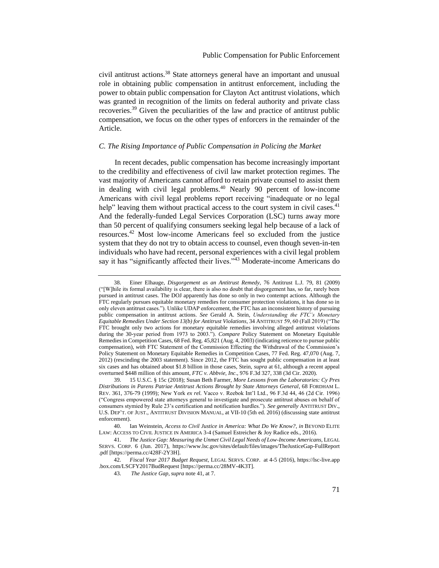civil antitrust actions.<sup>38</sup> State attorneys general have an important and unusual role in obtaining public compensation in antitrust enforcement, including the power to obtain public compensation for Clayton Act antitrust violations, which was granted in recognition of the limits on federal authority and private class recoveries.<sup>39</sup> Given the peculiarities of the law and practice of antitrust public compensation, we focus on the other types of enforcers in the remainder of the Article.

## <span id="page-10-0"></span>*C. The Rising Importance of Public Compensation in Policing the Market*

<span id="page-10-1"></span>In recent decades, public compensation has become increasingly important to the credibility and effectiveness of civil law market protection regimes. The vast majority of Americans cannot afford to retain private counsel to assist them in dealing with civil legal problems.<sup>40</sup> Nearly 90 percent of low-income Americans with civil legal problems report receiving "inadequate or no legal help" leaving them without practical access to the court system in civil cases.<sup>41</sup> And the federally-funded Legal Services Corporation (LSC) turns away more than 50 percent of qualifying consumers seeking legal help because of a lack of resources.<sup>42</sup> Most low-income Americans feel so excluded from the justice system that they do not try to obtain access to counsel, even though seven-in-ten individuals who have had recent, personal experiences with a civil legal problem say it has "significantly affected their lives."<sup>43</sup> Moderate-income Americans do

<sup>38.</sup> Einer Elhauge, *Disgorgement as an Antitrust Remedy*, 76 Antitrust L.J. 79, 81 (2009) ("[W]hile its formal availability is clear, there is also no doubt that disgorgement has, so far, rarely been pursued in antitrust cases. The DOJ apparently has done so only in two contempt actions. Although the FTC regularly pursues equitable monetary remedies for consumer protection violations, it has done so in only eleven antitrust cases."). Unlike UDAP enforcement, the FTC has an inconsistent history of pursuing public compensation in antitrust actions. *See* Gerald A. Stein, *Understanding the FTC's Monetary Equitable Remedies Under Section 13(b) for Antitrust Violations*, 34 ANTITRUST 59, 60 (Fall 2019) ("The FTC brought only two actions for monetary equitable remedies involving alleged antitrust violations during the 30-year period from 1973 to 2003."). *Compare* Policy Statement on Monetary Equitable Remedies in Competition Cases, 68 Fed. Reg. 45,821 (Aug. 4, 2003) (indicating reticence to pursue public compensation), *with* FTC Statement of the Commission Effecting the Withdrawal of the Commission's Policy Statement on Monetary Equitable Remedies in Competition Cases, 77 Fed. Reg. 47,070 (Aug. 7, 2012) (rescinding the 2003 statement). Since 2012, the FTC has sought public compensation in at least six cases and has obtained about \$1.8 billion in those cases, Stein, *supra* at 61, although a recent appeal overturned \$448 million of this amount, *FTC v. Abbvie, Inc*., 976 F.3d 327, 338 (3d Cir. 2020).

<sup>39.</sup> 15 U.S.C. § 15c (2018); Susan Beth Farmer, *More Lessons from the Laboratories: Cy Pres Distributions in Parens Patriae Antitrust Actions Brought by State Attorneys General*, 68 FORDHAM L. REV. 361, 376-79 (1999); New York *ex rel.* Vacco v. Reebok Int'l Ltd., 96 F.3d 44, 46 (2d Cir. 1996) ("Congress empowered state attorneys general to investigate and prosecute antitrust abuses on behalf of consumers stymied by Rule 23's certification and notification hurdles."). *See generally* ANTITRUST DIV., U.S. DEP'T. OF JUST., ANTITRUST DIVISION MANUAL, at VII-10 (5th ed. 2016) (discussing state antitrust enforcement).

<sup>40.</sup> Ian Weinstein, *Access to Civil Justice in America: What Do We Know?*, *in* BEYOND ELITE LAW: ACCESS TO CIVIL JUSTICE IN AMERICA 3-4 (Samuel Estreicher & Joy Radice eds., 2016).

<sup>41.</sup> *The Justice Gap: Measuring the Unmet Civil Legal Needs of Low-Income Americans,* LEGAL SERVS. CORP. 6 (Jun. 2017), https://www.lsc.gov/sites/default/files/images/TheJusticeGap-FullReport .pdf [https://perma.cc/428F-2Y3H].

<sup>42.</sup> *Fiscal Year 2017 Budget Request*, LEGAL SERVS. CORP. at 4-5 (2016), https://lsc-live.app .box.com/LSCFY2017BudRequest [https://perma.cc/28MV-4K3T].

<sup>43.</sup> *The Justice Gap*, *supra* note [41,](#page-10-1) at 7.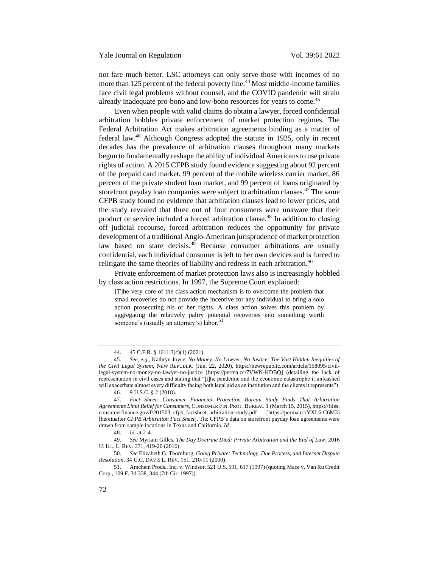not fare much better. LSC attorneys can only serve those with incomes of no more than 125 percent of the federal poverty line.<sup>44</sup> Most middle-income families face civil legal problems without counsel, and the COVID pandemic will strain already inadequate pro-bono and low-bono resources for years to come.<sup>45</sup>

Even when people with valid claims do obtain a lawyer, forced confidential arbitration hobbles private enforcement of market protection regimes. The Federal Arbitration Act makes arbitration agreements binding as a matter of federal law.<sup>46</sup> Although Congress adopted the statute in 1925, only in recent decades has the prevalence of arbitration clauses throughout many markets begun to fundamentally reshape the ability of individual Americans to use private rights of action. A 2015 CFPB study found evidence suggesting about 92 percent of the prepaid card market, 99 percent of the mobile wireless carrier market, 86 percent of the private student loan market, and 99 percent of loans originated by storefront payday loan companies were subject to arbitration clauses.<sup>47</sup> The same CFPB study found no evidence that arbitration clauses lead to lower prices, and the study revealed that three out of four consumers were unaware that their product or service included a forced arbitration clause.<sup>48</sup> In addition to closing off judicial recourse, forced arbitration reduces the opportunity for private development of a traditional Anglo-American jurisprudence of market protection law based on stare decisis. $49$  Because consumer arbitrations are usually confidential, each individual consumer is left to her own devices and is forced to relitigate the same theories of liability and redress in each arbitration.<sup>50</sup>

Private enforcement of market protection laws also is increasingly hobbled by class action restrictions. In 1997, the Supreme Court explained:

[T]he very core of the class action mechanism is to overcome the problem that small recoveries do not provide the incentive for any individual to bring a solo action prosecuting his or her rights. A class action solves this problem by aggregating the relatively paltry potential recoveries into something worth someone's (usually an attorney's) labor.<sup>51</sup>

46. 9 U.S.C. § 2 (2018).

49. *See* Myriam Gilles, *The Day Doctrine Died: Private Arbitration and the End of Law*, 2016 U. ILL. L. REV. 371, 419-20 (2016).

50. *See* Elizabeth G. Thornburg, *Going Private: Technology, Due Process, and Internet Dispute Resolution*, 34 U.C. DAVIS L. REV. 151, 210-11 (2000).

<sup>44.</sup> 45 C.F.R. § 1611.3(c)(1) (2021).

<sup>45.</sup> *See, e.g.*, Kathryn Joyce, *No Money, No Lawyer, No Justice: The Vast Hidden Inequities of the Civil Legal System*, NEW REPUBLIC (Jun. 22, 2020), https://newrepublic.com/article/158095/civillegal-system-no-money-no-lawyer-no-justice [https://perma.cc/7VWN-KDBQ] (detailing the lack of representation in civil cases and stating that "[t]he pandemic and the economic catastrophe it unleashed will exacerbate almost every difficulty facing both legal aid as an institution and the clients it represents").

<sup>47.</sup> *Fact Sheet: Consumer Financial Protection Bureau Study Finds That Arbitration Agreements Limit Relief for Consumers*, CONSUMER FIN. PROT. BUREAU 1 (March 15, 2015), https://files. consumerfinance.gov/f/201503\_cfpb\_factsheet\_arbitration-study.pdf [https://perma.cc/YXL6-C6M3] [hereinafter *CFPB Arbitration Fact Sheet*]. The CFPB's data on storefront payday loan agreements were drawn from sample locations in Texas and California. *Id.*

<sup>48.</sup> *Id.* at 2-4.

<sup>51.</sup> Amchem Prods., Inc. v. Windsor, 521 U.S. 591, 617 (1997) (quoting Mace v. Van Ru Credit Corp*.*, 109 F. 3d 338, 344 (7th Cir. 1997)).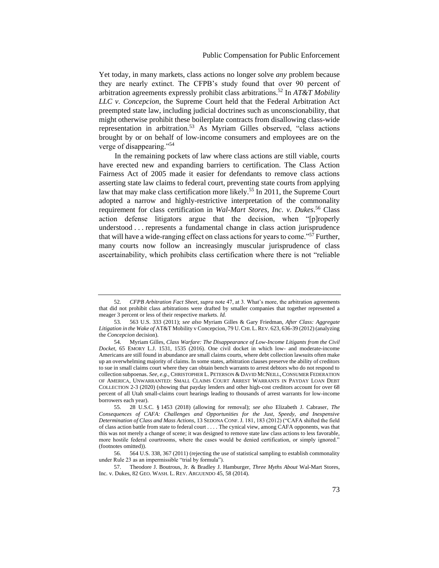Yet today, in many markets, class actions no longer solve *any* problem because they are nearly extinct. The CFPB's study found that over 90 percent of arbitration agreements expressly prohibit class arbitrations.<sup>52</sup> In *AT&T Mobility LLC v. Concepcion*, the Supreme Court held that the Federal Arbitration Act preempted state law, including judicial doctrines such as unconscionability, that might otherwise prohibit these boilerplate contracts from disallowing class-wide representation in arbitration.<sup>53</sup> As Myriam Gilles observed, "class actions brought by or on behalf of low-income consumers and employees are on the verge of disappearing."<sup>54</sup>

In the remaining pockets of law where class actions are still viable, courts have erected new and expanding barriers to certification. The Class Action Fairness Act of 2005 made it easier for defendants to remove class actions asserting state law claims to federal court, preventing state courts from applying law that may make class certification more likely.<sup>55</sup> In 2011, the Supreme Court adopted a narrow and highly-restrictive interpretation of the commonality requirement for class certification in *Wal-Mart Stores, Inc. v. Dukes*. <sup>56</sup> Class action defense litigators argue that the decision, when "[p]roperly understood . . . represents a fundamental change in class action jurisprudence that will have a wide-ranging effect on class actions for years to come."<sup>57</sup> Further, many courts now follow an increasingly muscular jurisprudence of class ascertainability, which prohibits class certification where there is not "reliable

<sup>52.</sup> *CFPB Arbitration Fact Sheet*, *supra* note 47, at 3. What's more, the arbitration agreements that did not prohibit class arbitrations were drafted by smaller companies that together represented a meager 3 percent or less of their respective markets. *Id.*

<sup>53.</sup> 563 U.S. 333 (2011); *see also* Myriam Gilles & Gary Friedman, *After Class: Aggregate Litigation in the Wake of* AT&T Mobility v Concepcion*,* 79 U.CHI. L.REV. 623, 636-39 (2012) (analyzing the *Concepcion* decision).

<sup>54.</sup> Myriam Gilles, *Class Warfare: The Disappearance of Low-Income Litigants from the Civil Docket*, 65 EMORY L.J. 1531, 1535 (2016). One civil docket in which low- and moderate-income Americans are still found in abundance are small claims courts, where debt collection lawsuits often make up an overwhelming majority of claims. In some states, arbitration clauses preserve the ability of creditors to sue in small claims court where they can obtain bench warrants to arrest debtors who do not respond to collection subpoenas. *See, e.g.*, CHRISTOPHER L. PETERSON & DAVID MCNEILL, CONSUMER FEDERATION OF AMERICA, UNWARRANTED: SMALL CLAIMS COURT ARREST WARRANTS IN PAYDAY LOAN DEBT COLLECTION 2-3 (2020) (showing that payday lenders and other high-cost creditors account for over 68 percent of all Utah small-claims court hearings leading to thousands of arrest warrants for low-income borrowers each year).

<sup>55.</sup> 28 U.S.C. § 1453 (2018) (allowing for removal); *see also* Elizabeth J. Cabraser, *The Consequences of CAFA: Challenges and Opportunities for the Just, Speedy, and Inexpensive Determination of Class and Mass Actions*, 13 SEDONA CONF.J. 181, 183 (2012) ("CAFA shifted the field of class action battle from state to federal court . . . . The cynical view, among CAFA opponents, was that this was not merely a change of scene; it was designed to remove state law class actions to less favorable, more hostile federal courtrooms, where the cases would be denied certification, or simply ignored." (footnotes omitted)).

<sup>56.</sup> 564 U.S. 338, 367 (2011) (rejecting the use of statistical sampling to establish commonality under Rule 23 as an impermissible "trial by formula").

<sup>57.</sup> Theodore J. Boutrous, Jr. & Bradley J. Hamburger, *Three Myths About* Wal-Mart Stores, Inc. v. Dukes, 82 GEO. WASH. L. REV. ARGUENDO 45, 58 (2014).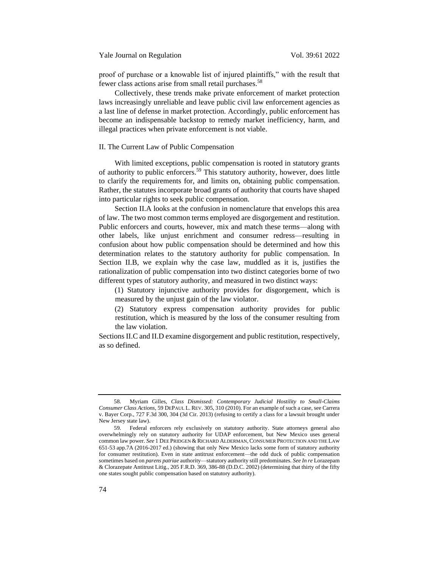proof of purchase or a knowable list of injured plaintiffs," with the result that fewer class actions arise from small retail purchases.<sup>58</sup>

Collectively, these trends make private enforcement of market protection laws increasingly unreliable and leave public civil law enforcement agencies as a last line of defense in market protection. Accordingly, public enforcement has become an indispensable backstop to remedy market inefficiency, harm, and illegal practices when private enforcement is not viable.

## <span id="page-13-0"></span>II. The Current Law of Public Compensation

<span id="page-13-1"></span>With limited exceptions, public compensation is rooted in statutory grants of authority to public enforcers. <sup>59</sup> This statutory authority, however, does little to clarify the requirements for, and limits on, obtaining public compensation. Rather, the statutes incorporate broad grants of authority that courts have shaped into particular rights to seek public compensation.

Section II.A looks at the confusion in nomenclature that envelops this area of law. The two most common terms employed are disgorgement and restitution. Public enforcers and courts, however, mix and match these terms—along with other labels, like unjust enrichment and consumer redress—resulting in confusion about how public compensation should be determined and how this determination relates to the statutory authority for public compensation. In Section II.B, we explain why the case law, muddled as it is, justifies the rationalization of public compensation into two distinct categories borne of two different types of statutory authority, and measured in two distinct ways:

(1) Statutory injunctive authority provides for disgorgement, which is measured by the unjust gain of the law violator.

(2) Statutory express compensation authority provides for public restitution, which is measured by the loss of the consumer resulting from the law violation.

Sections II.C and II.D examine disgorgement and public restitution, respectively, as so defined.

<sup>58.</sup> Myriam Gilles, *Class Dismissed: Contemporary Judicial Hostility to Small-Claims Consumer Class Actions*, 59 DEPAUL L. REV. 305, 310 (2010). For an example of such a case, see Carrera v. Bayer Corp., 727 F.3d 300, 304 (3d Cir. 2013) (refusing to certify a class for a lawsuit brought under New Jersey state law).

<sup>59.</sup> Federal enforcers rely exclusively on statutory authority. State attorneys general also overwhelmingly rely on statutory authority for UDAP enforcement, but New Mexico uses general common law power. *See* 1 DEE PRIDGEN & RICHARD ALDERMAN,CONSUMER PROTECTION AND THE LAW 651-53 app.7A (2016-2017 ed.) (showing that only New Mexico lacks some form of statutory authority for consumer restitution). Even in state antitrust enforcement—the odd duck of public compensation sometimes based on *parens patriae* authority—statutory authority still predominates. *See In re* Lorazepam & Clorazepate Antitrust Litig., 205 F.R.D. 369, 386-88 (D.D.C. 2002) (determining that thirty of the fifty one states sought public compensation based on statutory authority).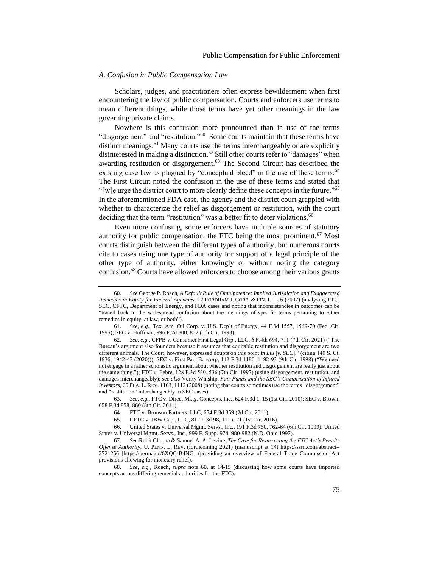## <span id="page-14-0"></span>*A. Confusion in Public Compensation Law*

Scholars, judges, and practitioners often express bewilderment when first encountering the law of public compensation. Courts and enforcers use terms to mean different things, while those terms have yet other meanings in the law governing private claims.

<span id="page-14-1"></span>Nowhere is this confusion more pronounced than in use of the terms "disgorgement" and "restitution."<sup>60</sup> Some courts maintain that these terms have distinct meanings.<sup>61</sup> Many courts use the terms interchangeably or are explicitly disinterested in making a distinction.<sup>62</sup> Still other courts refer to "damages" when awarding restitution or disgorgement.<sup>63</sup> The Second Circuit has described the existing case law as plagued by "conceptual bleed" in the use of these terms.<sup>64</sup> The First Circuit noted the confusion in the use of these terms and stated that "[w]e urge the district court to more clearly define these concepts in the future." $65$ In the aforementioned FDA case, the agency and the district court grappled with whether to characterize the relief as disgorgement or restitution, with the court deciding that the term "restitution" was a better fit to deter violations.<sup>66</sup>

Even more confusing, some enforcers have multiple sources of statutory authority for public compensation, the FTC being the most prominent.<sup>67</sup> Most courts distinguish between the different types of authority, but numerous courts cite to cases using one type of authority for support of a legal principle of the other type of authority, either knowingly or without noting the category confusion.<sup>68</sup> Courts have allowed enforcers to choose among their various grants

63. *See, e.g.*, FTC v. Direct Mktg. Concepts, Inc., 624 F.3d 1, 15 (1st Cir. 2010); SEC v. Brown, 658 F.3d 858, 860 (8th Cir. 2011).

64. FTC v. Bronson Partners, LLC, 654 F.3d 359 (2d Cir. 2011).

65. CFTC v. JBW Cap., LLC, 812 F.3d 98, 111 n.21 (1st Cir. 2016).

66. United States v. Universal Mgmt. Servs., Inc., 191 F.3d 750, 762-64 (6th Cir. 1999); United States v. Universal Mgmt. Servs., Inc*.*, 999 F. Supp. 974, 980-982 (N.D. Ohio 1997).

67. *See* Rohit Chopra & Samuel A. A. Levine, *The Case for Resurrecting the FTC Act's Penalty Offense Authority*, U. PENN. L. REV. (forthcoming 2021) (manuscript at 14) https://ssrn.com/abstract= 3721256 [https://perma.cc/6XQC-B4NG] (providing an overview of Federal Trade Commission Act provisions allowing for monetary relief).

68. *See, e.g.*, Roach, *supra* note [60,](#page-14-1) at 14-15 (discussing how some courts have imported concepts across differing remedial authorities for the FTC).

<sup>60.</sup> *See* George P. Roach, *A Default Rule of Omnipotence: Implied Jurisdiction and Exaggerated Remedies in Equity for Federal Agencies*, 12 FORDHAM J. CORP. & FIN. L. 1, 6 (2007) (analyzing FTC, SEC, CFTC, Department of Energy, and FDA cases and noting that inconsistencies in outcomes can be "traced back to the widespread confusion about the meanings of specific terms pertaining to either remedies in equity, at law, or both").

<sup>61.</sup> *See, e.g.*, Tex. Am. Oil Corp. v. U.S. Dep't of Energy, 44 F.3d 1557, 1569-70 (Fed. Cir. 1995); SEC v. Huffman, 996 F.2d 800, 802 (5th Cir. 1993).

<sup>62.</sup> *See, e.g.*, CFPB v. Consumer First Legal Grp., LLC, 6 F.4th 694, 711 (7th Cir. 2021) ("The Bureau's argument also founders because it assumes that equitable restitution and disgorgement are two different animals. The Court, however, expressed doubts on this point in *Liu* [*v. SEC*]." (citing 140 S. Ct. 1936, 1942-43 (2020))); SEC v. First Pac. Bancorp, 142 F.3d 1186, 1192-93 (9th Cir. 1998) ("We need not engage in a rather scholastic argument about whether restitution and disgorgement are really just about the same thing."); FTC v. Febre, 128 F.3d 530, 536 (7th Cir. 1997) (using disgorgement, restitution, and damages interchangeably); *see also* Verity Winship, *Fair Funds and the SEC's Compensation of Injured Investors*, 60 FLA. L. REV. 1103, 1112 (2008) (noting that courts sometimes use the terms "disgorgement" and "restitution" interchangeably in SEC cases).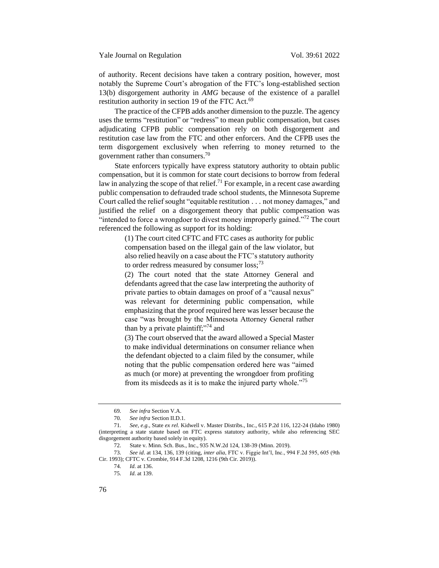of authority. Recent decisions have taken a contrary position, however, most notably the Supreme Court's abrogation of the FTC's long-established section 13(b) disgorgement authority in *AMG* because of the existence of a parallel restitution authority in section 19 of the FTC Act.<sup>69</sup>

The practice of the CFPB adds another dimension to the puzzle. The agency uses the terms "restitution" or "redress" to mean public compensation, but cases adjudicating CFPB public compensation rely on both disgorgement and restitution case law from the FTC and other enforcers. And the CFPB uses the term disgorgement exclusively when referring to money returned to the government rather than consumers.<sup>70</sup>

State enforcers typically have express statutory authority to obtain public compensation, but it is common for state court decisions to borrow from federal law in analyzing the scope of that relief.<sup>71</sup> For example, in a recent case awarding public compensation to defrauded trade school students, the Minnesota Supreme Court called the relief sought "equitable restitution . . . not money damages," and justified the relief on a disgorgement theory that public compensation was "intended to force a wrongdoer to divest money improperly gained."<sup>72</sup> The court referenced the following as support for its holding:

> (1) The court cited CFTC and FTC cases as authority for public compensation based on the illegal gain of the law violator, but also relied heavily on a case about the FTC's statutory authority to order redress measured by consumer  $loss$ ;<sup>73</sup>

> (2) The court noted that the state Attorney General and defendants agreed that the case law interpreting the authority of private parties to obtain damages on proof of a "causal nexus" was relevant for determining public compensation, while emphasizing that the proof required here was lesser because the case "was brought by the Minnesota Attorney General rather than by a private plaintiff; $^{374}$  and

> (3) The court observed that the award allowed a Special Master to make individual determinations on consumer reliance when the defendant objected to a claim filed by the consumer, while noting that the public compensation ordered here was "aimed as much (or more) at preventing the wrongdoer from profiting from its misdeeds as it is to make the injured party whole."<sup>75</sup>

75. *Id*. at 139.

<sup>69.</sup> *See infra* Section V.A.

<sup>70.</sup> *See infra* Section II.D.1.

<sup>71.</sup> *See, e.g.*, State *ex rel.* Kidwell v. Master Distribs., Inc., 615 P.2d 116, 122-24 (Idaho 1980) (interpreting a state statute based on FTC express statutory authority, while also referencing SEC disgorgement authority based solely in equity).

<sup>72.</sup> State v. Minn. Sch. Bus., Inc., 935 N.W.2d 124, 138-39 (Minn. 2019).

<sup>73.</sup> *See id*. at 134, 136, 139 (citing, *inter alia*, FTC v. Figgie Int'l, Inc., 994 F.2d 595, 605 (9th Cir. 1993); CFTC v. Crombie, 914 F.3d 1208, 1216 (9th Cir. 2019)).

<sup>74.</sup> *Id*. at 136.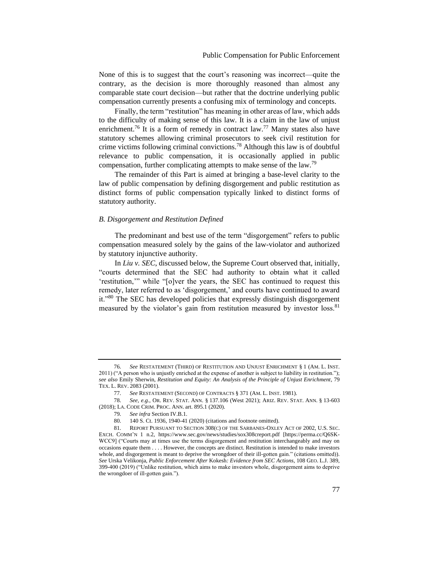None of this is to suggest that the court's reasoning was incorrect—quite the contrary, as the decision is more thoroughly reasoned than almost any comparable state court decision—but rather that the doctrine underlying public compensation currently presents a confusing mix of terminology and concepts.

Finally, the term "restitution" has meaning in other areas of law, which adds to the difficulty of making sense of this law. It is a claim in the law of unjust enrichment.<sup>76</sup> It is a form of remedy in contract law.<sup>77</sup> Many states also have statutory schemes allowing criminal prosecutors to seek civil restitution for crime victims following criminal convictions.<sup>78</sup> Although this law is of doubtful relevance to public compensation, it is occasionally applied in public compensation, further complicating attempts to make sense of the law.<sup>79</sup>

The remainder of this Part is aimed at bringing a base-level clarity to the law of public compensation by defining disgorgement and public restitution as distinct forms of public compensation typically linked to distinct forms of statutory authority.

#### <span id="page-16-0"></span>*B. Disgorgement and Restitution Defined*

The predominant and best use of the term "disgorgement" refers to public compensation measured solely by the gains of the law-violator and authorized by statutory injunctive authority.

In *Liu v. SEC*, discussed below, the Supreme Court observed that, initially, "courts determined that the SEC had authority to obtain what it called 'restitution,'" while "[o]ver the years, the SEC has continued to request this remedy, later referred to as 'disgorgement,' and courts have continued to award it."<sup>80</sup> The SEC has developed policies that expressly distinguish disgorgement measured by the violator's gain from restitution measured by investor loss.<sup>81</sup>

<sup>76.</sup> *See* RESTATEMENT (THIRD) OF RESTITUTION AND UNJUST ENRICHMENT § 1 (AM. L. INST. 2011) ("A person who is unjustly enriched at the expense of another is subject to liability in restitution."); *see also* Emily Sherwin, *Restitution and Equity: An Analysis of the Principle of Unjust Enrichment*, 79 TEX. L. REV. 2083 (2001).

<span id="page-16-1"></span><sup>77.</sup> *See* RESTATEMENT (SECOND) OF CONTRACTS § 371 (AM. L. INST. 1981).

<sup>78.</sup> *See, e.g.*, OR. REV. STAT. ANN. § 137.106 (West 2021); ARIZ. REV. STAT. ANN. § 13-603 (2018); LA. CODE CRIM. PROC. ANN. art. 895.1 (2020).

<sup>79.</sup> *See infra* Section IV.B.1.

<sup>80.</sup> 140 S. Ct. 1936, 1940-41 (2020) (citations and footnote omitted).

<sup>81.</sup> REPORT PURSUANT TO SECTION 308(C) OF THE SARBANES-OXLEY ACT OF 2002, U.S. SEC. EXCH. COMM'N 1 n.2, https://www.sec.gov/news/studies/sox308creport.pdf [https://perma.cc/Q6SK-WCC9] ("Courts may at times use the terms disgorgement and restitution interchangeably and may on occasions equate them . . . . However, the concepts are distinct. Restitution is intended to make investors whole, and disgorgement is meant to deprive the wrongdoer of their ill-gotten gain." (citations omitted)). *See* Urska Velikonja, *Public Enforcement After* Kokesh*: Evidence from SEC Actions*, 108 GEO. L.J. 389, 399-400 (2019) ("Unlike restitution, which aims to make investors whole, disgorgement aims to deprive the wrongdoer of ill-gotten gain.").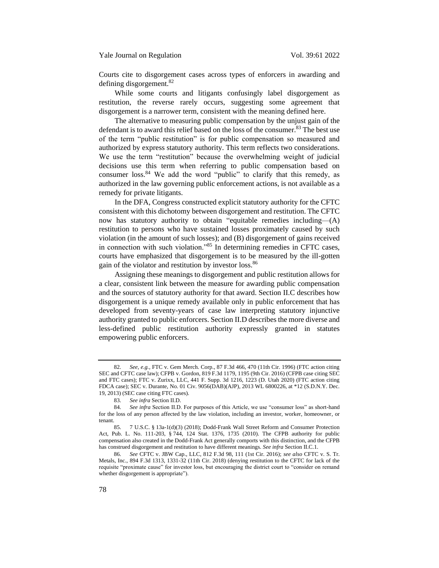Courts cite to disgorgement cases across types of enforcers in awarding and defining disgorgement.<sup>82</sup>

While some courts and litigants confusingly label disgorgement as restitution, the reverse rarely occurs, suggesting some agreement that disgorgement is a narrower term, consistent with the meaning defined here.

The alternative to measuring public compensation by the unjust gain of the defendant is to award this relief based on the loss of the consumer.<sup>83</sup> The best use of the term "public restitution" is for public compensation so measured and authorized by express statutory authority. This term reflects two considerations. We use the term "restitution" because the overwhelming weight of judicial decisions use this term when referring to public compensation based on consumer loss.<sup>84</sup> We add the word "public" to clarify that this remedy, as authorized in the law governing public enforcement actions, is not available as a remedy for private litigants.

In the DFA, Congress constructed explicit statutory authority for the CFTC consistent with this dichotomy between disgorgement and restitution. The CFTC now has statutory authority to obtain "equitable remedies including—(A) restitution to persons who have sustained losses proximately caused by such violation (in the amount of such losses); and (B) disgorgement of gains received in connection with such violation."<sup>85</sup> In determining remedies in CFTC cases, courts have emphasized that disgorgement is to be measured by the ill-gotten gain of the violator and restitution by investor loss.<sup>86</sup>

Assigning these meanings to disgorgement and public restitution allows for a clear, consistent link between the measure for awarding public compensation and the sources of statutory authority for that award. Section II.C describes how disgorgement is a unique remedy available only in public enforcement that has developed from seventy-years of case law interpreting statutory injunctive authority granted to public enforcers. Section II.D describes the more diverse and less-defined public restitution authority expressly granted in statutes empowering public enforcers.

<sup>82.</sup> *See, e.g.*, FTC v. Gem Merch. Corp., 87 F.3d 466, 470 (11th Cir. 1996) (FTC action citing SEC and CFTC case law); CFPB v. Gordon, 819 F.3d 1179, 1195 (9th Cir. 2016) (CFPB case citing SEC and FTC cases); FTC v. Zurixx*,* LLC, 441 F. Supp. 3d 1216, 1223 (D. Utah 2020) (FTC action citing FDCA case); SEC v. Durante, No. 01 Civ. 9056(DAB)(AJP), 2013 WL 6800226, at \*12 (S.D.N.Y. Dec. 19, 2013) (SEC case citing FTC cases).

<sup>83.</sup> *See infra* Section II.D.

<sup>84.</sup> *See infra* Section II.D. For purposes of this Article, we use "consumer loss" as short-hand for the loss of any person affected by the law violation, including an investor, worker, homeowner, or tenant.

<sup>85.</sup> 7 U.S.C. § 13a-1(d)(3) (2018); Dodd-Frank Wall Street Reform and Consumer Protection Act, Pub. L. No. 111-203, § 744, 124 Stat. 1376, 1735 (2010). The CFPB authority for public compensation also created in the Dodd-Frank Act generally comports with this distinction, and the CFPB has construed disgorgement and restitution to have different meanings. *See infra* Section II.C.1.

<sup>86.</sup> *See* CFTC v. JBW Cap., LLC, 812 F.3d 98, 111 (1st Cir. 2016); *see also* CFTC v. S. Tr. Metals, Inc., 894 F.3d 1313, 1331-32 (11th Cir. 2018) (denying restitution to the CFTC for lack of the requisite "proximate cause" for investor loss, but encouraging the district court to "consider on remand whether disgorgement is appropriate").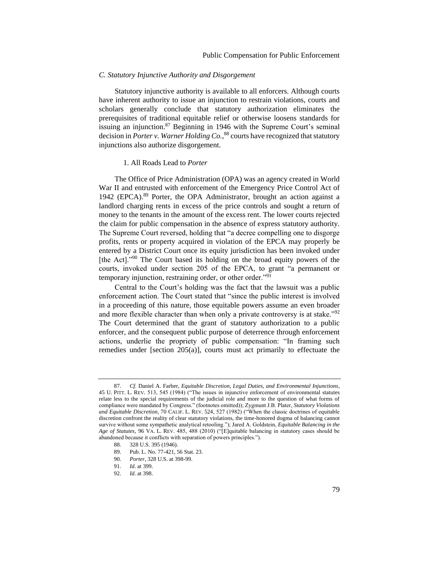## <span id="page-18-0"></span>*C. Statutory Injunctive Authority and Disgorgement*

Statutory injunctive authority is available to all enforcers. Although courts have inherent authority to issue an injunction to restrain violations, courts and scholars generally conclude that statutory authorization eliminates the prerequisites of traditional equitable relief or otherwise loosens standards for issuing an injunction.<sup>87</sup> Beginning in 1946 with the Supreme Court's seminal decision in *Porter v. Warner Holding Co.*, <sup>88</sup> courts have recognized that statutory injunctions also authorize disgorgement.

#### <span id="page-18-1"></span>1. All Roads Lead to *Porter*

The Office of Price Administration (OPA) was an agency created in World War II and entrusted with enforcement of the Emergency Price Control Act of 1942 (EPCA).<sup>89</sup> Porter, the OPA Administrator, brought an action against a landlord charging rents in excess of the price controls and sought a return of money to the tenants in the amount of the excess rent. The lower courts rejected the claim for public compensation in the absence of express statutory authority. The Supreme Court reversed, holding that "a decree compelling one to disgorge profits, rents or property acquired in violation of the EPCA may properly be entered by a District Court once its equity jurisdiction has been invoked under [the Act]."<sup>90</sup> The Court based its holding on the broad equity powers of the courts, invoked under section 205 of the EPCA, to grant "a permanent or temporary injunction, restraining order, or other order."<sup>91</sup>

Central to the Court's holding was the fact that the lawsuit was a public enforcement action. The Court stated that "since the public interest is involved in a proceeding of this nature, those equitable powers assume an even broader and more flexible character than when only a private controversy is at stake."<sup>92</sup> The Court determined that the grant of statutory authorization to a public enforcer, and the consequent public purpose of deterrence through enforcement actions, underlie the propriety of public compensation: "In framing such remedies under [section 205(a)], courts must act primarily to effectuate the

<sup>87.</sup> *Cf.* Daniel A. Farber, *Equitable Discretion, Legal Duties, and Environmental Injunctions*, 45 U. PITT. L. REV. 513, 545 (1984) ("The issues in injunctive enforcement of environmental statutes relate less to the special requirements of the judicial role and more to the question of what forms of compliance were mandated by Congress." (footnotes omitted)); Zygmunt J.B. Plater, *Statutory Violations and Equitable Discretion*, 70 CALIF. L. REV. 524, 527 (1982) ("When the classic doctrines of equitable discretion confront the reality of clear statutory violations, the time-honored dogma of balancing cannot survive without some sympathetic analytical retooling."); Jared A. Goldstein, *Equitable Balancing in the Age of Statutes*, 96 VA. L. REV. 485, 488 (2010) ("[E]quitable balancing in statutory cases should be abandoned because it conflicts with separation of powers principles.").

<sup>88.</sup> 328 U.S. 395 (1946).

<sup>89.</sup> Pub. L. No. 77-421, 56 Stat. 23.

<sup>90.</sup> *Porter*, 328 U.S. at 398-99.

<sup>91.</sup> *Id*. at 399.

<sup>92.</sup> *Id*. at 398.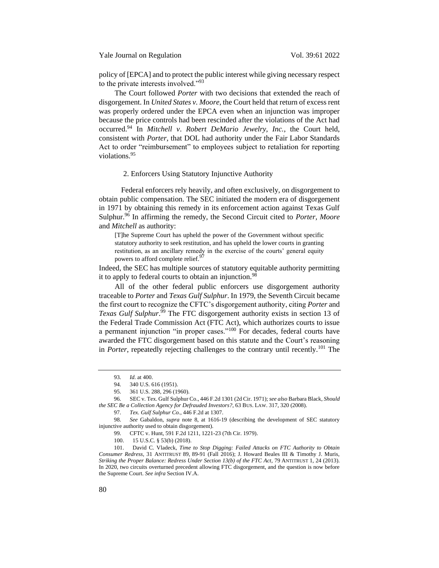policy of [EPCA] and to protect the public interest while giving necessary respect to the private interests involved."<sup>93</sup>

The Court followed *Porter* with two decisions that extended the reach of disgorgement. In *United States v. Moore*, the Court held that return of excess rent was properly ordered under the EPCA even when an injunction was improper because the price controls had been rescinded after the violations of the Act had occurred.<sup>94</sup> In *Mitchell v*. *Robert DeMario Jewelry, Inc.*, the Court held, consistent with *Porter*, that DOL had authority under the Fair Labor Standards Act to order "reimbursement" to employees subject to retaliation for reporting violations.<sup>95</sup>

## <span id="page-19-0"></span>2. Enforcers Using Statutory Injunctive Authority

Federal enforcers rely heavily, and often exclusively, on disgorgement to obtain public compensation. The SEC initiated the modern era of disgorgement in 1971 by obtaining this remedy in its enforcement action against Texas Gulf Sulphur.<sup>96</sup> In affirming the remedy, the Second Circuit cited to *Porter, Moore* and *Mitchell* as authority:

<span id="page-19-1"></span>[T]he Supreme Court has upheld the power of the Government without specific statutory authority to seek restitution, and has upheld the lower courts in granting restitution, as an ancillary remedy in the exercise of the courts' general equity powers to afford complete relief.<sup>97</sup>

Indeed, the SEC has multiple sources of statutory equitable authority permitting it to apply to federal courts to obtain an injunction.<sup>98</sup>

All of the other federal public enforcers use disgorgement authority traceable to *Porter* and *Texas Gulf Sulphur*. In 1979, the Seventh Circuit became the first court to recognize the CFTC's disgorgement authority, citing *Porter* and *Texas Gulf Sulphur*. <sup>99</sup> The FTC disgorgement authority exists in section 13 of the Federal Trade Commission Act (FTC Act), which authorizes courts to issue a permanent injunction "in proper cases."<sup>100</sup> For decades, federal courts have awarded the FTC disgorgement based on this statute and the Court's reasoning in *Porter*, repeatedly rejecting challenges to the contrary until recently.<sup>101</sup> The

<span id="page-19-2"></span><sup>93.</sup> *Id*. at 400.

<sup>94.</sup> 340 U.S. 616 (1951).

<sup>95.</sup> 361 U.S. 288, 296 (1960).

<sup>96.</sup> SEC v. Tex. Gulf Sulphur Co., 446 F.2d 1301 (2d Cir. 1971); *see also* Barbara Black, *Should the SEC Be a Collection Agency for Defrauded Investors?*, 63 BUS. LAW. 317, 320 (2008).

<sup>97.</sup> *Tex. Gulf Sulphur Co.*, 446 F.2d at 1307.

<sup>98.</sup> *See* Gabaldon, *supra* note [8,](#page-6-2) at 1616-19 (describing the development of SEC statutory injunctive authority used to obtain disgorgement).

<sup>99.</sup> CFTC v. Hunt, 591 F.2d 1211, 1221-23 (7th Cir. 1979).

<sup>100.</sup> 15 U.S.C. § 53(b) (2018).

<sup>101.</sup> David C. Vladeck, *Time to Stop Digging: Failed Attacks on FTC Authority to Obtain Consumer Redress*, 31 ANTITRUST 89, 89-91 (Fall 2016); J. Howard Beales III & Timothy J. Muris, *Striking the Proper Balance: Redress Under Section 13(b) of the FTC Act*, 79 ANTITRUST 1, 24 (2013). In 2020, two circuits overturned precedent allowing FTC disgorgement, and the question is now before the Supreme Court. *See infra* Section IV.A.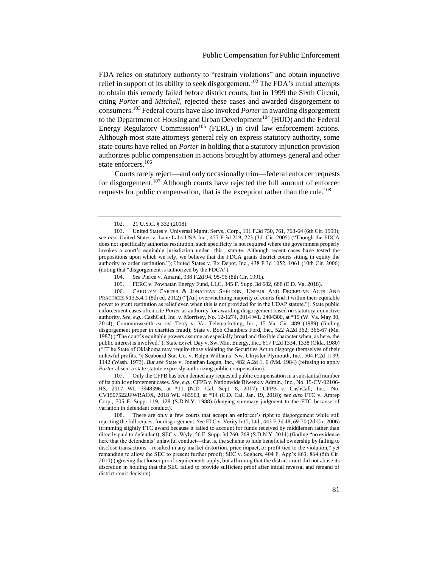FDA relies on statutory authority to "restrain violations" and obtain injunctive relief in support of its ability to seek disgorgement.<sup>102</sup> The FDA's initial attempts to obtain this remedy failed before district courts, but in 1999 the Sixth Circuit, citing *Porter* and *Mitchell*, rejected these cases and awarded disgorgement to consumers.<sup>103</sup> Federal courts have also invoked *Porter* in awarding disgorgement to the Department of Housing and Urban Development<sup>104</sup> (HUD) and the Federal Energy Regulatory Commission<sup>105</sup> (FERC) in civil law enforcement actions. Although most state attorneys general rely on express statutory authority, some state courts have relied on *Porter* in holding that a statutory injunction provision authorizes public compensation in actions brought by attorneys general and other state enforcers.<sup>106</sup>

Courts rarely reject—and only occasionally trim—federal enforcer requests for disgorgement.<sup>107</sup> Although courts have rejected the full amount of enforcer requests for public compensation, that is the exception rather than the rule.<sup>108</sup>

106. CAROLYN CARTER & JONATHAN SHELDON, UNFAIR AND DECEPTIVE ACTS AND PRACTICES §13.5.4.1 (8th ed. 2012) ("[An] overwhelming majority of courts find it within their equitable power to grant restitution as relief even when this is not provided for in the UDAP statute."). State public enforcement cases often cite *Porter* as authority for awarding disgorgement based on statutory injunctive authority. *See, e.g.*, CashCall, Inc. v. Morrisey, No. 12-1274, 2014 WL 2404300, at \*19 (W. Va. May 30, 2014); Commonwealth *ex rel.* Terry v. Va. Telemarketing, Inc., 15 Va. Cir. 489 (1989) (finding disgorgement proper in charities fraud); State v. Bob Chambers Ford, Inc., 522 A.2d 362, 366-67 (Me. 1987) ("The court's equitable powers assume an especially broad and flexible character when, as here, the public interest is involved."); State *ex rel.* Day v. Sw. Min. Energy, Inc., 617 P.2d 1334, 1338 (Okla. 1980) ("[T]he State of Oklahoma may require those violating the Securities Act to disgorge themselves of their unlawful profits."); Seaboard Sur. Co. v. Ralph Williams' Nw. Chrysler Plymouth, Inc., 504 P.2d 1139, 1142 (Wash. 1973). *But see* State v. Jonathan Logan, Inc., 482 A.2d 1, 6 (Md. 1984) (refusing to apply *Porter* absent a state statute expressly authorizing public compensation).

107. Only the CFPB has been denied any requested public compensation in a substantial number of its public enforcement cases. *See, e.g.*, CFPB v. Nationwide Biweekly Admin., Inc., No. 15-CV-02106- RS, 2017 WL 3948396, at \*11 (N.D. Cal. Sept. 8, 2017); CFPB v. CashCall, Inc., No. CV1507522JFWRAOX, 2018 WL 485963, at \*14 (C.D. Cal. Jan. 19, 2018); *see also* FTC v. Amrep Corp., 705 F. Supp. 119, 128 (S.D.N.Y. 1988) (denying summary judgment to the FTC because of variation in defendant conduct).

108. There are only a few courts that accept an enforcer's right to disgorgement while still rejecting the full request for disgorgement. *See* FTC v. Verity Int'l, Ltd., 443 F.3d 48, 69-70 (2d Cir. 2006) (trimming slightly FTC award because it failed to account for funds received by middlemen rather than directly paid to defendant); SEC v. Wyly, 56 F. Supp. 3d 260, 269 (S.D.N.Y. 2014) (finding "no evidence here that the defendants' unlawful conduct—that is, the scheme to hide beneficial ownership by failing to disclose transactions—resulted in any market distortion, price impact, or profit tied to the violation," yet remanding to allow the SEC to present further proof); SEC v. Seghers, 404 F. App'x 863, 864 (5th Cir. 2010) (agreeing that looser proof requirements apply, but affirming that the district court did not abuse its discretion in holding that the SEC failed to provide sufficient proof after initial reversal and remand of district court decision).

<sup>102.</sup> 21 U.S.C. § 332 (2018).

<sup>103.</sup> United States v. Universal Mgmt. Servs., Corp., 191 F.3d 750, 761, 763-64 (6th Cir. 1999); *see also* United States v. Lane Labs-USA Inc., 427 F.3d 219, 223 (3d. Cir. 2005) ("Though the FDCA does not specifically authorize restitution, such specificity is not required where the government properly invokes a court's equitable jurisdiction under this statute. Although recent cases have tested the propositions upon which we rely, we believe that the FDCA grants district courts sitting in equity the authority to order restitution."); United States v. Rx Depot, Inc., 438 F.3d 1052, 1061 (10th Cir. 2006) (noting that "disgorgement is authorized by the FDCA").

<sup>104.</sup> *See* Pierce v. Amaral, 938 F.2d 94, 95-96 (8th Cir. 1991).

<sup>105.</sup> FERC v. Powhatan Energy Fund, LLC, 345 F. Supp. 3d 682, 688 (E.D. Va. 2018).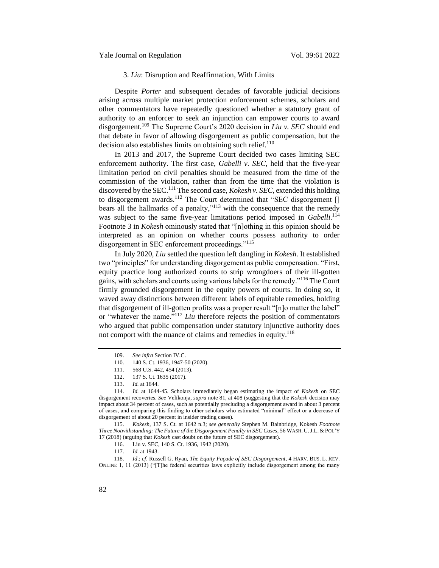## <span id="page-21-0"></span>3. *Liu*: Disruption and Reaffirmation, With Limits

Despite *Porter* and subsequent decades of favorable judicial decisions arising across multiple market protection enforcement schemes, scholars and other commentators have repeatedly questioned whether a statutory grant of authority to an enforcer to seek an injunction can empower courts to award disgorgement.<sup>109</sup> The Supreme Court's 2020 decision in *Liu v. SEC* should end that debate in favor of allowing disgorgement as public compensation, but the decision also establishes limits on obtaining such relief. $110$ 

In 2013 and 2017, the Supreme Court decided two cases limiting SEC enforcement authority. The first case, *Gabelli v. SEC*, held that the five-year limitation period on civil penalties should be measured from the time of the commission of the violation, rather than from the time that the violation is discovered by the SEC.<sup>111</sup> The second case, *Kokesh v. SEC*, extended this holding to disgorgement awards.<sup>112</sup> The Court determined that "SEC disgorgement [] bears all the hallmarks of a penalty,"<sup>113</sup> with the consequence that the remedy was subject to the same five-year limitations period imposed in *Gabelli*.<sup>114</sup> Footnote 3 in *Kokesh* ominously stated that "[n]othing in this opinion should be interpreted as an opinion on whether courts possess authority to order disgorgement in SEC enforcement proceedings."<sup>115</sup>

In July 2020, *Liu* settled the question left dangling in *Kokesh*. It established two "principles" for understanding disgorgement as public compensation. "First, equity practice long authorized courts to strip wrongdoers of their ill-gotten gains, with scholars and courts using various labels for the remedy."<sup>116</sup> The Court firmly grounded disgorgement in the equity powers of courts. In doing so, it waved away distinctions between different labels of equitable remedies, holding that disgorgement of ill-gotten profits was a proper result "[n]o matter the label" or "whatever the name."<sup>117</sup> *Liu* therefore rejects the position of commentators who argued that public compensation under statutory injunctive authority does not comport with the nuance of claims and remedies in equity.<sup>118</sup>

118. *Id*.; *cf*. Russell G. Ryan, *The Equity Façade of SEC Disgorgement*, 4 HARV. BUS. L. REV. ONLINE 1, 11 (2013) ("[T]he federal securities laws explicitly include disgorgement among the many

<span id="page-21-1"></span><sup>109.</sup> *See infra* Section IV.C.

<sup>110.</sup> 140 S. Ct. 1936, 1947-50 (2020).

<sup>111.</sup> 568 U.S. 442, 454 (2013).

<sup>112.</sup> 137 S. Ct. 1635 (2017).

<sup>113.</sup> *Id.* at 1644.

<sup>114.</sup> *Id.* at 1644-45. Scholars immediately began estimating the impact of *Kokesh* on SEC disgorgement recoveries. *See* Velikonja, *supra* not[e 81,](#page-16-1) at 408 (suggesting that the *Kokesh* decision may impact about 34 percent of cases, such as potentially precluding a disgorgement award in about 3 percent of cases, and comparing this finding to other scholars who estimated "minimal" effect or a decrease of disgorgement of about 20 percent in insider trading cases).

<sup>115.</sup> *Kokesh*, 137 S. Ct. at 1642 n.3; *see generally* Stephen M. Bainbridge, Kokesh *Footnote Three Notwithstanding: The Future of the Disgorgement Penalty in SEC Cases*, 56 WASH. U.J.L.& POL'Y 17 (2018) (arguing that *Kokesh* cast doubt on the future of SEC disgorgement).

<sup>116.</sup> Liu v. SEC, 140 S. Ct. 1936, 1942 (2020).

<sup>117.</sup> *Id.* at 1943.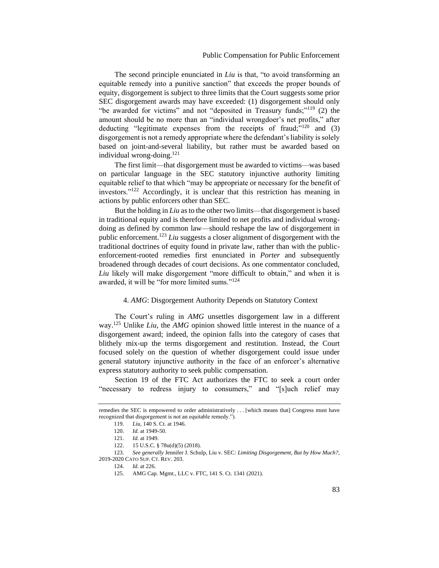The second principle enunciated in *Liu* is that, "to avoid transforming an equitable remedy into a punitive sanction" that exceeds the proper bounds of equity, disgorgement is subject to three limits that the Court suggests some prior SEC disgorgement awards may have exceeded: (1) disgorgement should only "be awarded for victims" and not "deposited in Treasury funds;"<sup>119</sup> (2) the amount should be no more than an "individual wrongdoer's net profits," after deducting "legitimate expenses from the receipts of fraud; $v^{120}$  and (3) disgorgement is not a remedy appropriate where the defendant's liability is solely based on joint-and-several liability, but rather must be awarded based on individual wrong-doing.<sup>121</sup>

The first limit—that disgorgement must be awarded to victims—was based on particular language in the SEC statutory injunctive authority limiting equitable relief to that which "may be appropriate or necessary for the benefit of investors."<sup>122</sup> Accordingly, it is unclear that this restriction has meaning in actions by public enforcers other than SEC.

But the holding in *Liu* as to the other two limits—that disgorgement is based in traditional equity and is therefore limited to net profits and individual wrongdoing as defined by common law—should reshape the law of disgorgement in public enforcement.<sup>123</sup> *Liu* suggests a closer alignment of disgorgement with the traditional doctrines of equity found in private law, rather than with the publicenforcement-rooted remedies first enunciated in *Porter* and subsequently broadened through decades of court decisions. As one commentator concluded, *Liu* likely will make disgorgement "more difficult to obtain," and when it is awarded, it will be "for more limited sums."<sup>124</sup>

## <span id="page-22-0"></span>4. *AMG*: Disgorgement Authority Depends on Statutory Context

The Court's ruling in *AMG* unsettles disgorgement law in a different way.<sup>125</sup> Unlike *Liu*, the *AMG* opinion showed little interest in the nuance of a disgorgement award; indeed, the opinion falls into the category of cases that blithely mix-up the terms disgorgement and restitution. Instead, the Court focused solely on the question of whether disgorgement could issue under general statutory injunctive authority in the face of an enforcer's alternative express statutory authority to seek public compensation.

Section 19 of the FTC Act authorizes the FTC to seek a court order "necessary to redress injury to consumers," and "[s]uch relief may

remedies the SEC is empowered to order administratively . . . [which means that] Congress must have recognized that disgorgement is not an equitable remedy.").

<sup>119.</sup> *Liu*, 140 S. Ct. at 1946.

<sup>120.</sup> *Id.* at 1949-50.

<sup>121.</sup> *Id.* at 1949.

<sup>122.</sup> 15 U.S.C. § 78u(d)(5) (2018).

<sup>123.</sup> *See generally* Jennifer J. Schulp, Liu v. SEC*: Limiting Disgorgement, But by How Much?,* 2019-2020 CATO SUP. CT. REV. 203.

<sup>124.</sup> *Id*. at 226.

<sup>125.</sup> AMG Cap. Mgmt., LLC v. FTC, 141 S. Ct. 1341 (2021).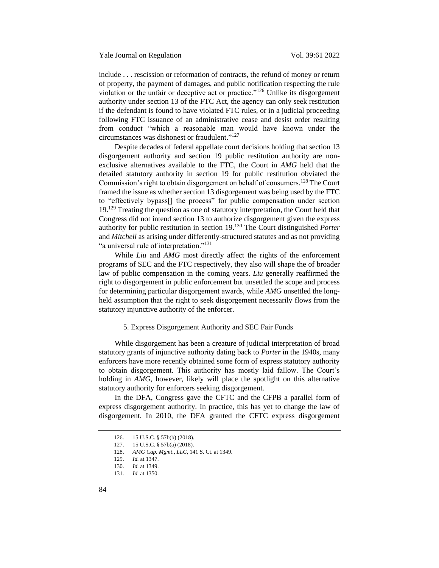include . . . rescission or reformation of contracts, the refund of money or return of property, the payment of damages, and public notification respecting the rule violation or the unfair or deceptive act or practice."<sup>126</sup> Unlike its disgorgement authority under section 13 of the FTC Act, the agency can only seek restitution if the defendant is found to have violated FTC rules, or in a judicial proceeding following FTC issuance of an administrative cease and desist order resulting from conduct "which a reasonable man would have known under the circumstances was dishonest or fraudulent."<sup>127</sup>

Despite decades of federal appellate court decisions holding that section 13 disgorgement authority and section 19 public restitution authority are nonexclusive alternatives available to the FTC, the Court in *AMG* held that the detailed statutory authority in section 19 for public restitution obviated the Commission's right to obtain disgorgement on behalf of consumers.<sup>128</sup> The Court framed the issue as whether section 13 disgorgement was being used by the FTC to "effectively bypass[] the process" for public compensation under section 19.<sup>129</sup> Treating the question as one of statutory interpretation, the Court held that Congress did not intend section 13 to authorize disgorgement given the express authority for public restitution in section 19.<sup>130</sup> The Court distinguished *Porter* and *Mitchell* as arising under differently-structured statutes and as not providing "a universal rule of interpretation."<sup>131</sup>

While *Liu* and *AMG* most directly affect the rights of the enforcement programs of SEC and the FTC respectively, they also will shape the of broader law of public compensation in the coming years. *Liu* generally reaffirmed the right to disgorgement in public enforcement but unsettled the scope and process for determining particular disgorgement awards, while *AMG* unsettled the longheld assumption that the right to seek disgorgement necessarily flows from the statutory injunctive authority of the enforcer.

## <span id="page-23-0"></span>5. Express Disgorgement Authority and SEC Fair Funds

While disgorgement has been a creature of judicial interpretation of broad statutory grants of injunctive authority dating back to *Porter* in the 1940s, many enforcers have more recently obtained some form of express statutory authority to obtain disgorgement. This authority has mostly laid fallow. The Court's holding in *AMG*, however, likely will place the spotlight on this alternative statutory authority for enforcers seeking disgorgement.

In the DFA, Congress gave the CFTC and the CFPB a parallel form of express disgorgement authority. In practice, this has yet to change the law of disgorgement. In 2010, the DFA granted the CFTC express disgorgement

<sup>126.</sup> 15 U.S.C. § 57b(b) (2018).

<sup>127.</sup> 15 U.S.C. § 57b(a) (2018).

<sup>128.</sup> *AMG Cap. Mgmt., LLC*, 141 S. Ct. at 1349.

<sup>129.</sup> *Id.* at 1347.

<sup>130.</sup> *Id.* at 1349.

<sup>131.</sup> *Id.* at 1350.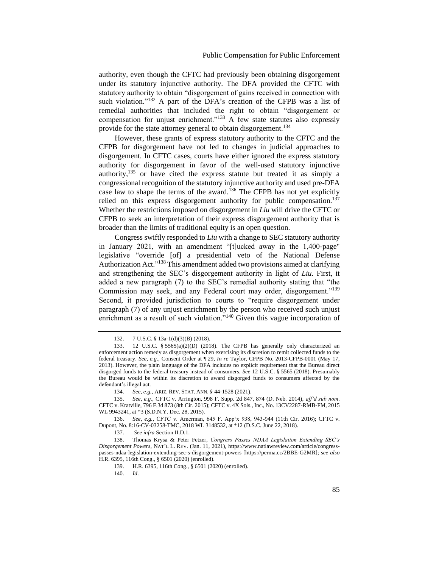authority, even though the CFTC had previously been obtaining disgorgement under its statutory injunctive authority. The DFA provided the CFTC with statutory authority to obtain "disgorgement of gains received in connection with such violation."<sup>132</sup> A part of the DFA's creation of the CFPB was a list of remedial authorities that included the right to obtain "disgorgement or compensation for unjust enrichment."<sup>133</sup> A few state statutes also expressly provide for the state attorney general to obtain disgorgement.<sup>134</sup>

However, these grants of express statutory authority to the CFTC and the CFPB for disgorgement have not led to changes in judicial approaches to disgorgement. In CFTC cases, courts have either ignored the express statutory authority for disgorgement in favor of the well-used statutory injunctive authority,<sup>135</sup> or have cited the express statute but treated it as simply a congressional recognition of the statutory injunctive authority and used pre-DFA case law to shape the terms of the award.<sup>136</sup> The CFPB has not yet explicitly relied on this express disgorgement authority for public compensation.<sup>137</sup> Whether the restrictions imposed on disgorgement in *Liu* will drive the CFTC or CFPB to seek an interpretation of their express disgorgement authority that is broader than the limits of traditional equity is an open question.

Congress swiftly responded to *Liu* with a change to SEC statutory authority in January 2021, with an amendment "[t]ucked away in the 1,400-page" legislative "override [of] a presidential veto of the National Defense Authorization Act."<sup>138</sup> This amendment added two provisions aimed at clarifying and strengthening the SEC's disgorgement authority in light of *Liu*. First, it added a new paragraph (7) to the SEC's remedial authority stating that "the Commission may seek, and any Federal court may order, disgorgement."<sup>139</sup> Second, it provided jurisdiction to courts to "require disgorgement under paragraph (7) of any unjust enrichment by the person who received such unjust enrichment as a result of such violation."<sup>140</sup> Given this vague incorporation of

<sup>132.</sup> 7 U.S.C. § 13a-1(d)(3)(B) (2018).

<sup>133.</sup> 12 U.S.C. § 5565(a)(2)(D) (2018). The CFPB has generally only characterized an enforcement action remedy as disgorgement when exercising its discretion to remit collected funds to the federal treasury. *See, e.g.,* Consent Order at ¶ 29, *In re* Taylor, CFPB No. 2013-CFPB-0001 (May 17, 2013). However, the plain language of the DFA includes no explicit requirement that the Bureau direct disgorged funds to the federal treasury instead of consumers. *See* 12 U.S.C. § 5565 (2018). Presumably the Bureau would be within its discretion to award disgorged funds to consumers affected by the defendant's illegal act.

<sup>134.</sup> *See, e.g.*, ARIZ. REV. STAT. ANN. § 44-1528 (2021).

<sup>135.</sup> *See, e.g.*, CFTC v. Arrington, 998 F. Supp. 2d 847, 874 (D. Neb. 2014), *aff'd sub nom*. CFTC v. Kratville, 796 F.3d 873 (8th Cir. 2015); CFTC v. 4X Sols., Inc., No. 13CV2287-RMB-FM, 2015 WL 9943241, at \*3 (S.D.N.Y. Dec. 28, 2015).

<sup>136.</sup> *See, e.g.*, CFTC v. Amerman, 645 F. App'x 938, 943-944 (11th Cir. 2016); CFTC v. Dupont, No. 8:16-CV-03258-TMC, 2018 WL 3148532, at \*12 (D.S.C. June 22, 2018).

<sup>137.</sup> *See infra* Section II.D.1.

<sup>138.</sup> Thomas Krysa & Peter Fetzer, *Congress Passes NDAA Legislation Extending SEC's Disgorgement Powers*, NAT'L L. REV. (Jan. 11, 2021), https://www.natlawreview.com/article/congresspasses-ndaa-legislation-extending-sec-s-disgorgement-powers [https://perma.cc/2BBE-G2MR]; *see also* H.R. 6395, 116th Cong., § 6501 (2020) (enrolled).

<sup>139.</sup> H.R. 6395, 116th Cong., § 6501 (2020) (enrolled).

<sup>140.</sup> *Id*.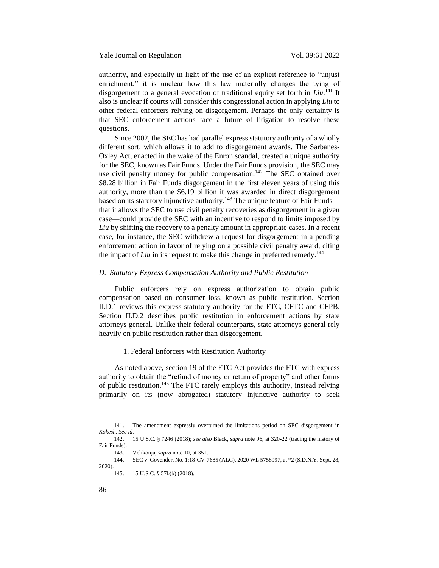authority, and especially in light of the use of an explicit reference to "unjust enrichment," it is unclear how this law materially changes the tying of disgorgement to a general evocation of traditional equity set forth in *Liu*. <sup>141</sup> It also is unclear if courts will consider this congressional action in applying *Liu* to other federal enforcers relying on disgorgement. Perhaps the only certainty is that SEC enforcement actions face a future of litigation to resolve these questions.

Since 2002, the SEC has had parallel express statutory authority of a wholly different sort, which allows it to add to disgorgement awards. The Sarbanes-Oxley Act, enacted in the wake of the Enron scandal, created a unique authority for the SEC, known as Fair Funds. Under the Fair Funds provision, the SEC may use civil penalty money for public compensation.<sup>142</sup> The SEC obtained over \$8.28 billion in Fair Funds disgorgement in the first eleven years of using this authority, more than the \$6.19 billion it was awarded in direct disgorgement based on its statutory injunctive authority.<sup>143</sup> The unique feature of Fair Funds that it allows the SEC to use civil penalty recoveries as disgorgement in a given case—could provide the SEC with an incentive to respond to limits imposed by *Liu* by shifting the recovery to a penalty amount in appropriate cases. In a recent case, for instance, the SEC withdrew a request for disgorgement in a pending enforcement action in favor of relying on a possible civil penalty award, citing the impact of *Liu* in its request to make this change in preferred remedy.<sup>144</sup>

#### <span id="page-25-0"></span>*D. Statutory Express Compensation Authority and Public Restitution*

Public enforcers rely on express authorization to obtain public compensation based on consumer loss, known as public restitution. Section II.D.1 reviews this express statutory authority for the FTC, CFTC and CFPB. Section II.D.2 describes public restitution in enforcement actions by state attorneys general. Unlike their federal counterparts, state attorneys general rely heavily on public restitution rather than disgorgement.

#### <span id="page-25-1"></span>1. Federal Enforcers with Restitution Authority

As noted above, section 19 of the FTC Act provides the FTC with express authority to obtain the "refund of money or return of property" and other forms of public restitution.<sup>145</sup> The FTC rarely employs this authority, instead relying primarily on its (now abrogated) statutory injunctive authority to seek

<sup>141.</sup> The amendment expressly overturned the limitations period on SEC disgorgement in *Kokesh*. *See id*.

<sup>142.</sup> 15 U.S.C. § 7246 (2018); *see also* Black, *supra* note [96,](#page-19-1) at 320-22 (tracing the history of Fair Funds).

<sup>143.</sup> Velikonja, *supra* not[e 10,](#page-6-3) at 351.

<sup>144.</sup> SEC v. Govender, No. 1:18-CV-7685 (ALC), 2020 WL 5758997, at \*2 (S.D.N.Y. Sept. 28, 2020).

<sup>145.</sup> 15 U.S.C. § 57b(b) (2018).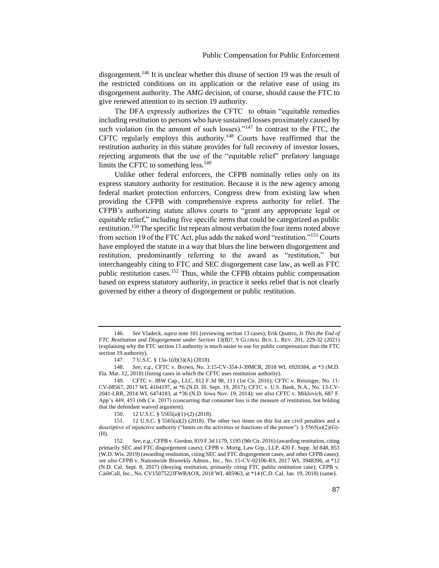disgorgement.<sup>146</sup> It is unclear whether this disuse of section 19 was the result of the restricted conditions on its application or the relative ease of using its disgorgement authority. The *AMG* decision, of course, should cause the FTC to give renewed attention to its section 19 authority.

The DFA expressly authorizes the CFTC to obtain "equitable remedies including restitution to persons who have sustained losses proximately caused by such violation (in the amount of such losses)."<sup>147</sup> In contrast to the FTC, the CFTC regularly employs this authority.<sup>148</sup> Courts have reaffirmed that the restitution authority in this statute provides for full recovery of investor losses, rejecting arguments that the use of the "equitable relief" prefatory language limits the CFTC to something less. $149$ 

Unlike other federal enforcers, the CFPB nominally relies only on its express statutory authority for restitution. Because it is the new agency among federal market protection enforcers, Congress drew from existing law when providing the CFPB with comprehensive express authority for relief. The CFPB's authorizing statute allows courts to "grant any appropriate legal or equitable relief," including five specific items that could be categorized as public restitution.<sup>150</sup> The specific list repeats almost verbatim the four items noted above from section 19 of the FTC Act, plus adds the naked word "restitution."<sup>151</sup> Courts have employed the statute in a way that blurs the line between disgorgement and restitution, predominantly referring to the award as "restitution," but interchangeably citing to FTC and SEC disgorgement case law, as well as FTC public restitution cases.<sup>152</sup> Thus, while the CFPB obtains public compensation based on express statutory authority, in practice it seeks relief that is not clearly governed by either a theory of disgorgement or public restitution.

<sup>146.</sup> *See* Vladeck, *supra* not[e 101](#page-19-2) (reviewing section 13 cases); Erik Quattro, *Is This the End of FTC Restitution and Disgorgement under Section 13(B)*?, 9 GLOBAL BUS. L. REV. 201, 229-32 (2021) (explaining why the FTC section 13 authority is much easier to use for public compensation than the FTC section 19 authority).

<sup>147.</sup> 7 U.S.C. § 13a-1(d)(3)(A) (2018).

<sup>148.</sup> *See, e.g.*, CFTC v. Brown, No. 3:15-CV-354-J-39MCR, 2018 WL 6920384, at \*3 (M.D. Fla. Mar. 12, 2018) (listing cases in which the CFTC uses restitution authority).

<sup>149.</sup> CFTC v. JBW Cap., LLC, 812 F.3d 98, 111 (1st Cir. 2016); CFTC v. Reisinger, No. 11- CV-08567, 2017 WL 4164197, at \*6 (N.D. Ill. Sept. 19, 2017); CFTC v. U.S. Bank, N.A., No. 13-CV-2041-LRR, 2014 WL 6474183, at \*36 (N.D. Iowa Nov. 19, 2014); *see also* CFTC v. Miklovich, 687 F. App'x 449, 453 (6th Cir. 2017) (concurring that consumer loss is the measure of restitution, but holding that the defendant waived argument).

<sup>150.</sup> 12 U.S.C. § 5565(a)(1)-(2) (2018).

<sup>151.</sup> 12 U.S.C. § 5565(a)(2) (2018). The other two items on this list are civil penalties and a descriptive of injunctive authority ("limits on the activities or functions of the person").  $\S 5565(a)(2)(G)$ -(H).

<sup>152.</sup> *See, e.g.*, CFPB v. Gordon, 819 F.3d 1179, 1195 (9th Cir. 2016) (awarding restitution, citing primarily SEC and FTC disgorgement cases); CFPB v. Mortg. Law Grp., LLP, 420 F. Supp. 3d 848, 853 (W.D. Wis. 2019) (awarding restitution, citing SEC and FTC disgorgement cases, and other CFPB cases); *see also* CFPB v. Nationwide Biweekly Admin., Inc., No. 15-CV-02106-RS, 2017 WL 3948396, at \*12 (N.D. Cal. Sept. 8, 2017) (denying restitution, primarily citing FTC public restitution case); CFPB v. CashCall, Inc., No. CV1507522JFWRAOX, 2018 WL 485963, at \*14 (C.D. Cal. Jan. 19, 2018) (same).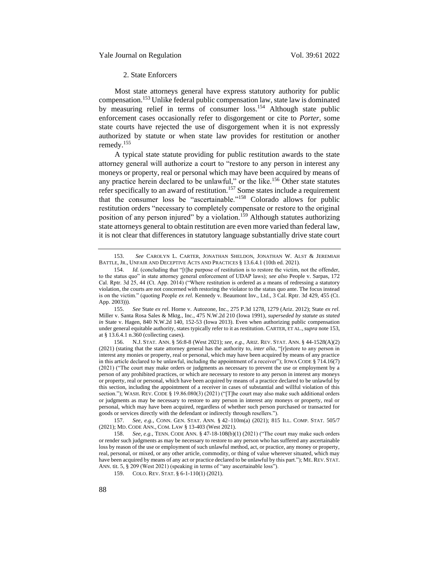## <span id="page-27-0"></span>2. State Enforcers

Most state attorneys general have express statutory authority for public compensation.<sup>153</sup> Unlike federal public compensation law, state law is dominated by measuring relief in terms of consumer loss.<sup>154</sup> Although state public enforcement cases occasionally refer to disgorgement or cite to *Porter*, some state courts have rejected the use of disgorgement when it is not expressly authorized by statute or when state law provides for restitution or another remedy.<sup>155</sup>

A typical state statute providing for public restitution awards to the state attorney general will authorize a court to "restore to any person in interest any moneys or property, real or personal which may have been acquired by means of any practice herein declared to be unlawful," or the like.<sup>156</sup> Other state statutes refer specifically to an award of restitution.<sup>157</sup> Some states include a requirement that the consumer loss be "ascertainable."<sup>158</sup> Colorado allows for public restitution orders "necessary to completely compensate or restore to the original position of any person injured" by a violation.<sup>159</sup> Although statutes authorizing state attorneys general to obtain restitution are even more varied than federal law, it is not clear that differences in statutory language substantially drive state court

157. *See, e.g.*, CONN. GEN. STAT. ANN. § 42–110m(a) (2021); 815 ILL. COMP. STAT. 505/7 (2021); MD. CODE ANN., COM. LAW § 13-403 (West 2021).

<sup>153.</sup> *See* CAROLYN L. CARTER, JONATHAN SHELDON, JONATHAN W. ALST & JEREMIAH BATTLE, JR., UNFAIR AND DECEPTIVE ACTS AND PRACTICES § 13.6.4.1 (10th ed. 2021).

<sup>154.</sup> *Id.* (concluding that "[t]he purpose of restitution is to restore the victim, not the offender, to the status quo" in state attorney general enforcement of UDAP laws); *see also* People v. Sarpas, 172 Cal. Rptr. 3d 25, 44 (Ct. App. 2014) ("Where restitution is ordered as a means of redressing a statutory violation, the courts are not concerned with restoring the violator to the status quo ante. The focus instead is on the victim." (quoting People *ex rel.* Kennedy v. Beaumont Inv., Ltd., 3 Cal. Rptr. 3d 429, 455 (Ct. App. 2003))).

<sup>155.</sup> *See* State *ex rel.* Horne v. Autozone, Inc., 275 P.3d 1278, 1279 (Ariz. 2012); State *ex rel.* Miller v. Santa Rosa Sales & Mktg., Inc., 475 N.W.2d 210 (Iowa 1991), *superseded by statute as stated in* State v. Hagen, 840 N.W.2d 140, 152-53 (Iowa 2013). Even when authorizing public compensation under general equitable authority, states typically refer to it as restitution. CARTER, ET AL.,*supra* note 153, at § 13.6.4.1 n.360 (collecting cases).

<sup>156.</sup> N.J. STAT. ANN. § 56:8-8 (West 2021); *see, e.g.*, ARIZ. REV. STAT. ANN. § 44-1528(A)(2) (2021) (stating that the state attorney general has the authority to, *inter alia*, "[r]estore to any person in interest any monies or property, real or personal, which may have been acquired by means of any practice in this article declared to be unlawful, including the appointment of a receiver"); IOWA CODE § 714.16(7) (2021) ("The court may make orders or judgments as necessary to prevent the use or employment by a person of any prohibited practices, or which are necessary to restore to any person in interest any moneys or property, real or personal, which have been acquired by means of a practice declared to be unlawful by this section, including the appointment of a receiver in cases of substantial and willful violation of this section."); WASH. REV. CODE § 19.86.080(3) (2021) ("[T]he court may also make such additional orders or judgments as may be necessary to restore to any person in interest any moneys or property, real or personal, which may have been acquired, regardless of whether such person purchased or transacted for goods or services directly with the defendant or indirectly through resellers.").

<sup>158.</sup> *See, e.g.*, TENN. CODE ANN. § 47-18-108(b)(1) (2021) ("The court may make such orders or render such judgments as may be necessary to restore to any person who has suffered any ascertainable loss by reason of the use or employment of such unlawful method, act, or practice, any money or property, real, personal, or mixed, or any other article, commodity, or thing of value wherever situated, which may have been acquired by means of any act or practice declared to be unlawful by this part."); ME. REV. STAT. ANN. tit. 5, § 209 (West 2021) (speaking in terms of "any ascertainable loss").

<sup>159.</sup> COLO. REV. STAT. § 6-1-110(1) (2021).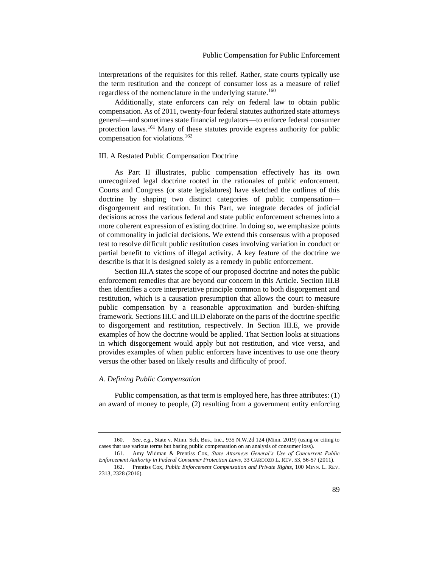interpretations of the requisites for this relief. Rather, state courts typically use the term restitution and the concept of consumer loss as a measure of relief regardless of the nomenclature in the underlying statute.<sup>160</sup>

Additionally, state enforcers can rely on federal law to obtain public compensation. As of 2011, twenty-four federal statutes authorized state attorneys general—and sometimes state financial regulators—to enforce federal consumer protection laws.<sup>161</sup> Many of these statutes provide express authority for public compensation for violations.<sup>162</sup>

## <span id="page-28-0"></span>III. A Restated Public Compensation Doctrine

As Part II illustrates, public compensation effectively has its own unrecognized legal doctrine rooted in the rationales of public enforcement. Courts and Congress (or state legislatures) have sketched the outlines of this doctrine by shaping two distinct categories of public compensation disgorgement and restitution. In this Part, we integrate decades of judicial decisions across the various federal and state public enforcement schemes into a more coherent expression of existing doctrine. In doing so, we emphasize points of commonality in judicial decisions. We extend this consensus with a proposed test to resolve difficult public restitution cases involving variation in conduct or partial benefit to victims of illegal activity. A key feature of the doctrine we describe is that it is designed solely as a remedy in public enforcement.

Section III.A states the scope of our proposed doctrine and notes the public enforcement remedies that are beyond our concern in this Article. Section III.B then identifies a core interpretative principle common to both disgorgement and restitution, which is a causation presumption that allows the court to measure public compensation by a reasonable approximation and burden-shifting framework. Sections III.C and III.D elaborate on the parts of the doctrine specific to disgorgement and restitution, respectively. In Section III.E, we provide examples of how the doctrine would be applied. That Section looks at situations in which disgorgement would apply but not restitution, and vice versa, and provides examples of when public enforcers have incentives to use one theory versus the other based on likely results and difficulty of proof.

## <span id="page-28-1"></span>*A. Defining Public Compensation*

Public compensation, as that term is employed here, has three attributes: (1) an award of money to people, (2) resulting from a government entity enforcing

<sup>160.</sup> *See, e.g.,* State v. Minn. Sch. Bus., Inc., 935 N.W.2d 124 (Minn. 2019) (using or citing to cases that use various terms but basing public compensation on an analysis of consumer loss).

<sup>161.</sup> Amy Widman & Prentiss Cox, *State Attorneys General's Use of Concurrent Public Enforcement Authority in Federal Consumer Protection Laws*, 33 CARDOZO L. REV. 53, 56-57 (2011). 162. Prentiss Cox, *Public Enforcement Compensation and Private Rights*, 100 MINN. L. REV.

<sup>2313, 2328 (2016).</sup>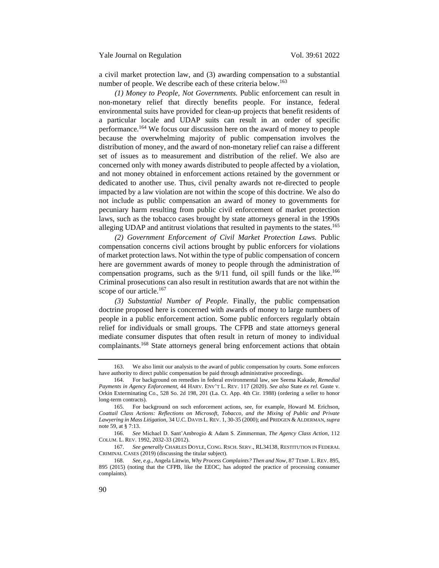a civil market protection law, and (3) awarding compensation to a substantial number of people. We describe each of these criteria below.<sup>163</sup>

*(1) Money to People, Not Governments.* Public enforcement can result in non-monetary relief that directly benefits people. For instance, federal environmental suits have provided for clean-up projects that benefit residents of a particular locale and UDAP suits can result in an order of specific performance.<sup>164</sup> We focus our discussion here on the award of money to people because the overwhelming majority of public compensation involves the distribution of money, and the award of non-monetary relief can raise a different set of issues as to measurement and distribution of the relief. We also are concerned only with money awards distributed to people affected by a violation, and not money obtained in enforcement actions retained by the government or dedicated to another use. Thus, civil penalty awards not re-directed to people impacted by a law violation are not within the scope of this doctrine. We also do not include as public compensation an award of money to governments for pecuniary harm resulting from public civil enforcement of market protection laws, such as the tobacco cases brought by state attorneys general in the 1990s alleging UDAP and antitrust violations that resulted in payments to the states.<sup>165</sup>

*(2) Government Enforcement of Civil Market Protection Laws.* Public compensation concerns civil actions brought by public enforcers for violations of market protection laws. Not within the type of public compensation of concern here are government awards of money to people through the administration of compensation programs, such as the  $9/11$  fund, oil spill funds or the like.<sup>166</sup> Criminal prosecutions can also result in restitution awards that are not within the scope of our article.<sup>167</sup>

*(3) Substantial Number of People.* Finally, the public compensation doctrine proposed here is concerned with awards of money to large numbers of people in a public enforcement action. Some public enforcers regularly obtain relief for individuals or small groups. The CFPB and state attorneys general mediate consumer disputes that often result in return of money to individual complainants.<sup>168</sup> State attorneys general bring enforcement actions that obtain

<sup>163.</sup> We also limit our analysis to the award of public compensation by courts. Some enforcers have authority to direct public compensation be paid through administrative proceedings.

<sup>164.</sup> For background on remedies in federal environmental law, see Seema Kakade, *Remedial Payments in Agency Enforcement*, 44 HARV. ENV'T L. REV. 117 (2020). *See also* State *ex rel.* Guste v. Orkin Exterminating Co., 528 So. 2d 198, 201 (La. Ct. App. 4th Cir. 1988) (ordering a seller to honor long-term contracts).

<sup>165.</sup> For background on such enforcement actions, see, for example, Howard M. Erichson, *Coattail Class Actions: Reflections on Microsoft, Tobacco, and the Mixing of Public and Private Lawyering in Mass Litigation*, 34 U.C. DAVIS L. REV. 1, 30-35 (2000); and PRIDGEN & ALDERMAN, *supra* note [59,](#page-13-1) at § 7:13.

<sup>166.</sup> *See* Michael D. Sant'Ambrogio & Adam S. Zimmerman, *The Agency Class Action*, 112 COLUM. L. REV. 1992, 2032-33 (2012).

<sup>167.</sup> *See generally* CHARLES DOYLE, CONG. RSCH. SERV., RL34138, RESTITUTION IN FEDERAL CRIMINAL CASES (2019) (discussing the titular subject).

<sup>168.</sup> *See, e.g.*, Angela Littwin, *Why Process Complaints? Then and Now*, 87 TEMP. L. REV. 895, 895 (2015) (noting that the CFPB, like the EEOC, has adopted the practice of processing consumer complaints).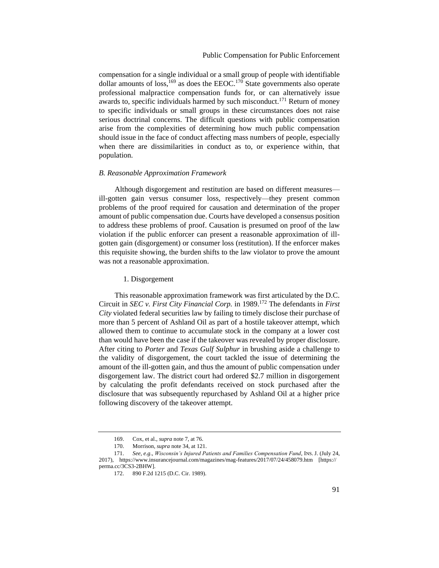compensation for a single individual or a small group of people with identifiable dollar amounts of loss,  $^{169}$  as does the EEOC.<sup>170</sup> State governments also operate professional malpractice compensation funds for, or can alternatively issue awards to, specific individuals harmed by such misconduct.<sup>171</sup> Return of money to specific individuals or small groups in these circumstances does not raise serious doctrinal concerns. The difficult questions with public compensation arise from the complexities of determining how much public compensation should issue in the face of conduct affecting mass numbers of people, especially when there are dissimilarities in conduct as to, or experience within, that population.

#### <span id="page-30-0"></span>*B. Reasonable Approximation Framework*

Although disgorgement and restitution are based on different measures ill-gotten gain versus consumer loss, respectively—they present common problems of the proof required for causation and determination of the proper amount of public compensation due. Courts have developed a consensus position to address these problems of proof. Causation is presumed on proof of the law violation if the public enforcer can present a reasonable approximation of illgotten gain (disgorgement) or consumer loss (restitution). If the enforcer makes this requisite showing, the burden shifts to the law violator to prove the amount was not a reasonable approximation.

#### <span id="page-30-1"></span>1. Disgorgement

This reasonable approximation framework was first articulated by the D.C. Circuit in *SEC v. First City Financial Corp.* in 1989.<sup>172</sup> The defendants in *First City* violated federal securities law by failing to timely disclose their purchase of more than 5 percent of Ashland Oil as part of a hostile takeover attempt, which allowed them to continue to accumulate stock in the company at a lower cost than would have been the case if the takeover was revealed by proper disclosure. After citing to *Porter* and *Texas Gulf Sulphur* in brushing aside a challenge to the validity of disgorgement, the court tackled the issue of determining the amount of the ill-gotten gain, and thus the amount of public compensation under disgorgement law. The district court had ordered \$2.7 million in disgorgement by calculating the profit defendants received on stock purchased after the disclosure that was subsequently repurchased by Ashland Oil at a higher price following discovery of the takeover attempt.

<sup>169.</sup> Cox, et al., *supra* note [7,](#page-6-1) at 76.

<sup>170.</sup> Morrison, *supra* note [34,](#page-9-0) at 121.

<sup>171.</sup> *See, e.g*., *Wisconsin's Injured Patients and Families Compensation Fund*, INS. J. (July 24, 2017), https://www.insurancejournal.com/magazines/mag-features/2017/07/24/458079.htm [https:// perma.cc/3CS3-2BHW].

<sup>172.</sup> 890 F.2d 1215 (D.C. Cir. 1989).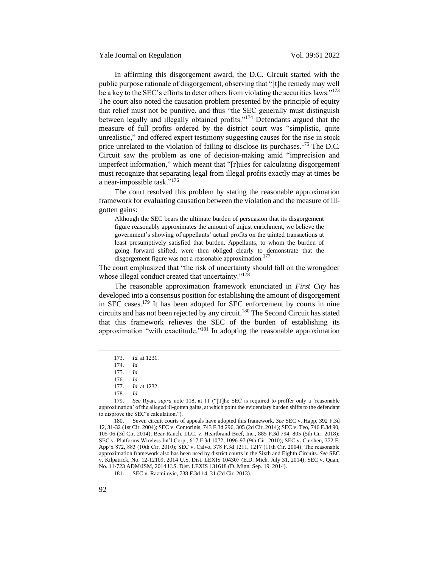Yale Journal on Regulation Vol. 39:61 2022

In affirming this disgorgement award, the D.C. Circuit started with the public purpose rationale of disgorgement, observing that "[t]he remedy may well be a key to the SEC's efforts to deter others from violating the securities laws."<sup>173</sup> The court also noted the causation problem presented by the principle of equity that relief must not be punitive, and thus "the SEC generally must distinguish between legally and illegally obtained profits."<sup>174</sup> Defendants argued that the measure of full profits ordered by the district court was "simplistic, quite unrealistic," and offered expert testimony suggesting causes for the rise in stock price unrelated to the violation of failing to disclose its purchases.<sup>175</sup> The D.C. Circuit saw the problem as one of decision-making amid "imprecision and imperfect information," which meant that "[r]ules for calculating disgorgement must recognize that separating legal from illegal profits exactly may at times be a near-impossible task."<sup>176</sup>

The court resolved this problem by stating the reasonable approximation framework for evaluating causation between the violation and the measure of illgotten gains:

Although the SEC bears the ultimate burden of persuasion that its disgorgement figure reasonably approximates the amount of unjust enrichment, we believe the government's showing of appellants' actual profits on the tainted transactions at least presumptively satisfied that burden. Appellants, to whom the burden of going forward shifted, were then obliged clearly to demonstrate that the disgorgement figure was not a reasonable approximation.<sup>177</sup>

The court emphasized that "the risk of uncertainty should fall on the wrongdoer whose illegal conduct created that uncertainty."<sup>178</sup>

The reasonable approximation framework enunciated in *First City* has developed into a consensus position for establishing the amount of disgorgement in SEC cases.<sup>179</sup> It has been adopted for SEC enforcement by courts in nine circuits and has not been rejected by any circuit.<sup>180</sup> The Second Circuit has stated that this framework relieves the SEC of the burden of establishing its approximation "with exactitude."<sup>181</sup> In adopting the reasonable approximation

180. Seven circuit courts of appeals have adopted this framework. *See* SEC v. Happ, 392 F.3d 12, 31-32 (1st Cir. 2004); SEC v. Contorinis, 743 F.3d 296, 305 (2d Cir. 2014); SEC v. Teo, 746 F.3d 90, 105-06 (3d Cir. 2014); Bear Ranch, LLC. v. Heartbrand Beef, Inc., 885 F.3d 794, 805 (5th Cir. 2018); SEC v. Platforms Wireless Int'l Corp., 617 F.3d 1072, 1096-97 (9th Cir. 2010); SEC v. Curshen, 372 F. App'x 872, 883 (10th Cir. 2010); SEC v. Calvo, 378 F.3d 1211, 1217 (11th Cir. 2004). The reasonable approximation framework also has been used by district courts in the Sixth and Eighth Circuits. *See* SEC v. Kilpatrick, No. 12-12109, 2014 U.S. Dist. LEXIS 104307 (E.D. Mich. July 31, 2014); SEC v. Quan, No. 11-723 ADM/JSM, 2014 U.S. Dist. LEXIS 131618 (D. Minn. Sep. 19, 2014).

181. SEC v. Razmilovic, 738 F.3d 14, 31 (2d Cir. 2013).

<sup>173.</sup> *Id.* at 1231.

<sup>174.</sup> *Id.*

<sup>175.</sup> *Id.* 176. *Id.*

<sup>177.</sup> *Id.* at 1232.

<sup>178.</sup> *Id*.

<sup>179.</sup> *See* Ryan, *supra* note [118,](#page-21-1) at 11 ("[T]he SEC is required to proffer only a 'reasonable approximation' of the alleged ill-gotten gains, at which point the evidentiary burden shifts to the defendant to disprove the SEC's calculation.").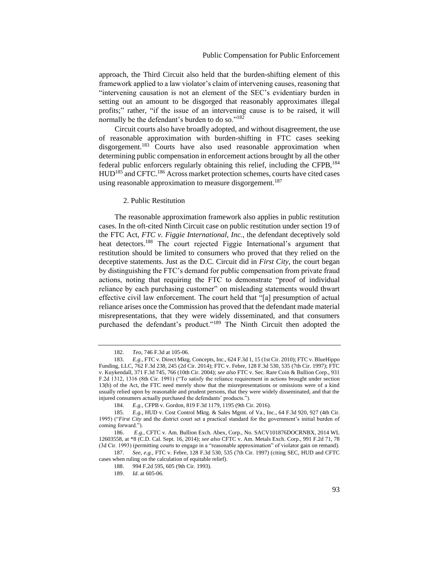approach, the Third Circuit also held that the burden-shifting element of this framework applied to a law violator's claim of intervening causes, reasoning that "intervening causation is not an element of the SEC's evidentiary burden in setting out an amount to be disgorged that reasonably approximates illegal profits;" rather, "if the issue of an intervening cause is to be raised, it will normally be the defendant's burden to do so."<sup>182</sup>

Circuit courts also have broadly adopted, and without disagreement, the use of reasonable approximation with burden-shifting in FTC cases seeking disgorgement.<sup>183</sup> Courts have also used reasonable approximation when determining public compensation in enforcement actions brought by all the other federal public enforcers regularly obtaining this relief, including the CFPB, <sup>184</sup> HUD<sup>185</sup> and CFTC.<sup>186</sup> Across market protection schemes, courts have cited cases using reasonable approximation to measure disgorgement.<sup>187</sup>

#### <span id="page-32-0"></span>2. Public Restitution

The reasonable approximation framework also applies in public restitution cases. In the oft-cited Ninth Circuit case on public restitution under section 19 of the FTC Act, *FTC v. Figgie International, Inc.*, the defendant deceptively sold heat detectors.<sup>188</sup> The court rejected Figgie International's argument that restitution should be limited to consumers who proved that they relied on the deceptive statements. Just as the D.C. Circuit did in *First City*, the court began by distinguishing the FTC's demand for public compensation from private fraud actions, noting that requiring the FTC to demonstrate "proof of individual reliance by each purchasing customer" on misleading statements would thwart effective civil law enforcement. The court held that "[a] presumption of actual reliance arises once the Commission has proved that the defendant made material misrepresentations, that they were widely disseminated, and that consumers purchased the defendant's product."<sup>189</sup> The Ninth Circuit then adopted the

<sup>182.</sup> *Teo*, 746 F.3d at 105-06.

<sup>183.</sup> *E.g.*, FTC v. Direct Mktg. Concepts, Inc., 624 F.3d 1, 15 (1st Cir. 2010); FTC v. BlueHippo Funding, LLC, 762 F.3d 238, 245 (2d Cir. 2014); FTC v. Febre, 128 F.3d 530, 535 (7th Cir. 1997); FTC v. Kuykendall, 371 F.3d 745, 766 (10th Cir. 2004); *see also* FTC v. Sec. Rare Coin & Bullion Corp., 931 F.2d 1312, 1316 (8th Cir. 1991) ("To satisfy the reliance requirement in actions brought under section 13(b) of the Act, the FTC need merely show that the misrepresentations or omissions were of a kind usually relied upon by reasonable and prudent persons, that they were widely disseminated, and that the injured consumers actually purchased the defendants' products.").

<sup>184.</sup> *E.g.*, CFPB v. Gordon, 819 F.3d 1179, 1195 (9th Cir. 2016).

<sup>185.</sup> *E.g.*, HUD v. Cost Control Mktg. & Sales Mgmt. of Va., Inc., 64 F.3d 920, 927 (4th Cir. 1995) ("*First City* and the district court set a practical standard for the government's initial burden of coming forward.").

<sup>186.</sup> *E.g.*, CFTC v. Am. Bullion Exch. Abex, Corp., No. SACV101876DOCRNBX, 2014 WL 12603558, at \*8 (C.D. Cal. Sept. 16, 2014); *see also* CFTC v. Am. Metals Exch. Corp., 991 F.2d 71, 78 (3d Cir. 1993) (permitting courts to engage in a "reasonable approximation" of violator gain on remand).

<sup>187.</sup> *See, e.g.*, FTC v. Febre, 128 F.3d 530, 535 (7th Cir. 1997) (citing SEC, HUD and CFTC cases when ruling on the calculation of equitable relief).

<sup>188.</sup> 994 F.2d 595, 605 (9th Cir. 1993).

<sup>189.</sup> *Id*. at 605-06.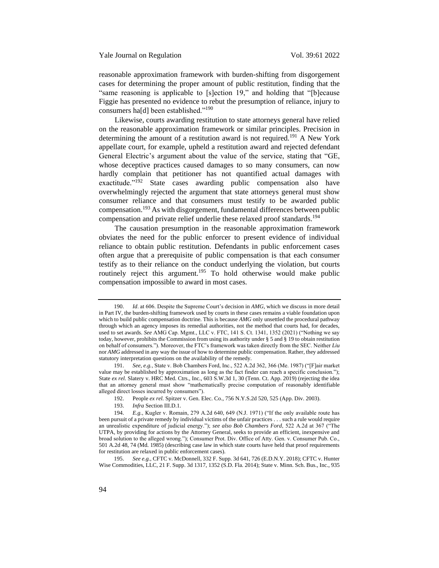reasonable approximation framework with burden-shifting from disgorgement cases for determining the proper amount of public restitution, finding that the "same reasoning is applicable to [s]ection 19," and holding that "[b]ecause Figgie has presented no evidence to rebut the presumption of reliance, injury to consumers ha[d] been established."<sup>190</sup>

Likewise, courts awarding restitution to state attorneys general have relied on the reasonable approximation framework or similar principles. Precision in determining the amount of a restitution award is not required.<sup>191</sup> A New York appellate court, for example, upheld a restitution award and rejected defendant General Electric's argument about the value of the service, stating that "GE, whose deceptive practices caused damages to so many consumers, can now hardly complain that petitioner has not quantified actual damages with exactitude."<sup>192</sup> State cases awarding public compensation also have overwhelmingly rejected the argument that state attorneys general must show consumer reliance and that consumers must testify to be awarded public compensation.<sup>193</sup> As with disgorgement, fundamental differences between public compensation and private relief underlie these relaxed proof standards.<sup>194</sup>

The causation presumption in the reasonable approximation framework obviates the need for the public enforcer to present evidence of individual reliance to obtain public restitution. Defendants in public enforcement cases often argue that a prerequisite of public compensation is that each consumer testify as to their reliance on the conduct underlying the violation, but courts routinely reject this argument.<sup>195</sup> To hold otherwise would make public compensation impossible to award in most cases.

<sup>190.</sup> *Id*. at 606. Despite the Supreme Court's decision in *AMG*, which we discuss in more detail in Part IV, the burden-shifting framework used by courts in these cases remains a viable foundation upon which to build public compensation doctrine. This is because *AMG* only unsettled the procedural pathway through which an agency imposes its remedial authorities, not the method that courts had, for decades, used to set awards. *See* AMG Cap. Mgmt., LLC v. FTC, 141 S. Ct. 1341, 1352 (2021) ("Nothing we say today, however, prohibits the Commission from using its authority under § 5 and § 19 to obtain restitution on behalf of consumers."). Moreover, the FTC's framework was taken directly from the SEC. Neither *Liu* nor *AMG* addressed in any way the issue of how to determine public compensation. Rather, they addressed statutory interpretation questions on the availability of the remedy.

<sup>191.</sup> *See, e.g.*, State v. Bob Chambers Ford, Inc., 522 A.2d 362, 366 (Me. 1987) ("[F]air market value may be established by approximation as long as the fact finder can reach a specific conclusion."); State ex rel. Slatery v. HRC Med. Ctrs., Inc., 603 S.W.3d 1, 30 (Tenn. Ct. App. 2019) (rejecting the idea that an attorney general must show "mathematically precise computation of reasonably identifiable alleged direct losses incurred by consumers").

<sup>192.</sup> People *ex rel.* Spitzer v. Gen. Elec. Co., 756 N.Y.S.2d 520, 525 (App. Div. 2003).

<sup>193.</sup> *Infra* Section III.D.1.

<sup>194.</sup> *E.g.*, Kugler v. Romain, 279 A.2d 640, 649 (N.J. 1971) ("If the only available route has been pursuit of a private remedy by individual victims of the unfair practices . . . such a rule would require an unrealistic expenditure of judicial energy."); *see also Bob Chambers Ford*, 522 A.2d at 367 ("The UTPA, by providing for actions by the Attorney General, seeks to provide an efficient, inexpensive and broad solution to the alleged wrong."); Consumer Prot. Div. Office of Atty. Gen. v. Consumer Pub. Co., 501 A.2d 48, 74 (Md. 1985) (describing case law in which state courts have held that proof requirements for restitution are relaxed in public enforcement cases).

<sup>195.</sup> *See e.g.*, CFTC v. McDonnell, 332 F. Supp. 3d 641, 726 (E.D.N.Y. 2018); CFTC v. Hunter Wise Commodities, LLC, 21 F. Supp. 3d 1317, 1352 (S.D. Fla. 2014); State v. Minn. Sch. Bus., Inc., 935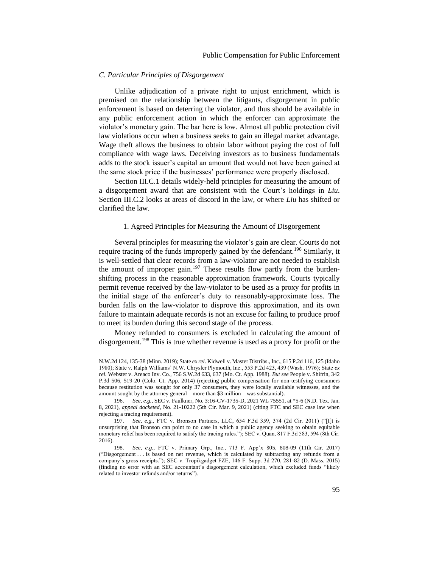#### <span id="page-34-0"></span>*C. Particular Principles of Disgorgement*

Unlike adjudication of a private right to unjust enrichment, which is premised on the relationship between the litigants, disgorgement in public enforcement is based on deterring the violator, and thus should be available in any public enforcement action in which the enforcer can approximate the violator's monetary gain. The bar here is low. Almost all public protection civil law violations occur when a business seeks to gain an illegal market advantage. Wage theft allows the business to obtain labor without paying the cost of full compliance with wage laws. Deceiving investors as to business fundamentals adds to the stock issuer's capital an amount that would not have been gained at the same stock price if the businesses' performance were properly disclosed.

Section III.C.1 details widely-held principles for measuring the amount of a disgorgement award that are consistent with the Court's holdings in *Liu*. Section III.C.2 looks at areas of discord in the law, or where *Liu* has shifted or clarified the law.

#### <span id="page-34-1"></span>1. Agreed Principles for Measuring the Amount of Disgorgement

Several principles for measuring the violator's gain are clear. Courts do not require tracing of the funds improperly gained by the defendant.<sup>196</sup> Similarly, it is well-settled that clear records from a law-violator are not needed to establish the amount of improper gain.<sup>197</sup> These results flow partly from the burdenshifting process in the reasonable approximation framework. Courts typically permit revenue received by the law-violator to be used as a proxy for profits in the initial stage of the enforcer's duty to reasonably-approximate loss. The burden falls on the law-violator to disprove this approximation, and its own failure to maintain adequate records is not an excuse for failing to produce proof to meet its burden during this second stage of the process.

Money refunded to consumers is excluded in calculating the amount of disgorgement.<sup>198</sup> This is true whether revenue is used as a proxy for profit or the

N.W.2d 124, 135-38 (Minn. 2019); State *ex rel.* Kidwell v. Master Distribs., Inc., 615 P.2d 116, 125 (Idaho 1980); State v. Ralph Williams' N.W. Chrysler Plymouth, Inc., 553 P.2d 423, 439 (Wash. 1976); State *ex rel.* Webster v. Areaco Inv. Co., 756 S.W.2d 633, 637 (Mo. Ct. App. 1988). *But see* People v. Shifrin, 342 P.3d 506, 519-20 (Colo. Ct. App. 2014) (rejecting public compensation for non-testifying consumers because restitution was sought for only 37 consumers, they were locally available witnesses, and the amount sought by the attorney general—more than \$3 million—was substantial).

<sup>196.</sup> *See, e.g.*, SEC v. Faulkner, No. 3:16-CV-1735-D, 2021 WL 75551, at \*5-6 (N.D. Tex. Jan. 8, 2021), *appeal docketed*, No. 21-10222 (5th Cir. Mar. 9, 2021) (citing FTC and SEC case law when rejecting a tracing requirement).

<sup>197.</sup> *See, e.g.*, FTC v. Bronson Partners, LLC, 654 F.3d 359, 374 (2d Cir. 2011) ("[I]t is unsurprising that Bronson can point to no case in which a public agency seeking to obtain equitable monetary relief has been required to satisfy the tracing rules."); SEC v. Quan, 817 F.3d 583, 594 (8th Cir. 2016).

<sup>198.</sup> *See, e.g.*, FTC v. Primary Grp., Inc., 713 F. App'x 805, 808-09 (11th Cir. 2017) ("Disgorgement . . . is based on net revenue, which is calculated by subtracting any refunds from a company's gross receipts."); SEC v. Tropikgadget FZE, 146 F. Supp. 3d 270, 281-82 (D. Mass. 2015) (finding no error with an SEC accountant's disgorgement calculation, which excluded funds "likely related to investor refunds and/or returns").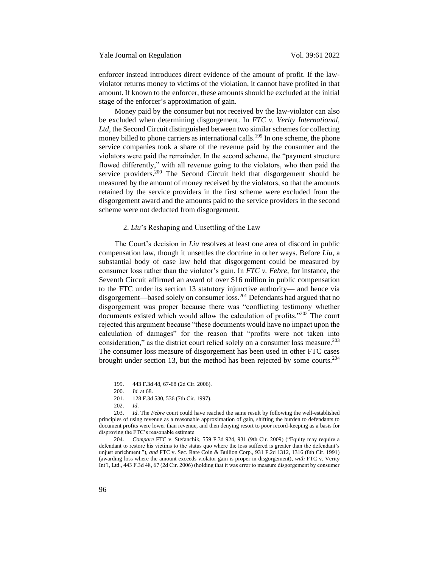enforcer instead introduces direct evidence of the amount of profit. If the lawviolator returns money to victims of the violation, it cannot have profited in that amount. If known to the enforcer, these amounts should be excluded at the initial stage of the enforcer's approximation of gain.

Money paid by the consumer but not received by the law-violator can also be excluded when determining disgorgement. In *FTC v. Verity International, Ltd*, the Second Circuit distinguished between two similar schemes for collecting money billed to phone carriers as international calls.<sup>199</sup> In one scheme, the phone service companies took a share of the revenue paid by the consumer and the violators were paid the remainder. In the second scheme, the "payment structure flowed differently," with all revenue going to the violators, who then paid the service providers.<sup>200</sup> The Second Circuit held that disgorgement should be measured by the amount of money received by the violators, so that the amounts retained by the service providers in the first scheme were excluded from the disgorgement award and the amounts paid to the service providers in the second scheme were not deducted from disgorgement.

#### <span id="page-35-0"></span>2. *Liu*'s Reshaping and Unsettling of the Law

The Court's decision in *Liu* resolves at least one area of discord in public compensation law, though it unsettles the doctrine in other ways. Before *Liu*, a substantial body of case law held that disgorgement could be measured by consumer loss rather than the violator's gain. In *FTC v. Febre*, for instance, the Seventh Circuit affirmed an award of over \$16 million in public compensation to the FTC under its section 13 statutory injunctive authority— and hence via disgorgement—based solely on consumer loss.<sup>201</sup> Defendants had argued that no disgorgement was proper because there was "conflicting testimony whether documents existed which would allow the calculation of profits."<sup>202</sup> The court rejected this argument because "these documents would have no impact upon the calculation of damages" for the reason that "profits were not taken into consideration," as the district court relied solely on a consumer loss measure. $^{203}$ The consumer loss measure of disgorgement has been used in other FTC cases brought under section 13, but the method has been rejected by some courts.<sup>204</sup>

<sup>199.</sup> 443 F.3d 48, 67-68 (2d Cir. 2006).

<sup>200.</sup> *Id.* at 68.

<sup>201.</sup> 128 F.3d 530, 536 (7th Cir. 1997).

<sup>202.</sup> *Id*.

<sup>203.</sup> *Id*. The *Febre* court could have reached the same result by following the well-established principles of using revenue as a reasonable approximation of gain, shifting the burden to defendants to document profits were lower than revenue, and then denying resort to poor record-keeping as a basis for disproving the FTC's reasonable estimate.

<sup>204.</sup> *Compare* FTC v. Stefanchik, 559 F.3d 924, 931 (9th Cir. 2009) ("Equity may require a defendant to restore his victims to the status quo where the loss suffered is greater than the defendant's unjust enrichment."), *and* FTC v. Sec. Rare Coin & Bullion Corp., 931 F.2d 1312, 1316 (8th Cir. 1991) (awarding loss where the amount exceeds violator gain is proper in disgorgement), *with* FTC v. Verity Int'l, Ltd., 443 F.3d 48, 67 (2d Cir. 2006) (holding that it was error to measure disgorgement by consumer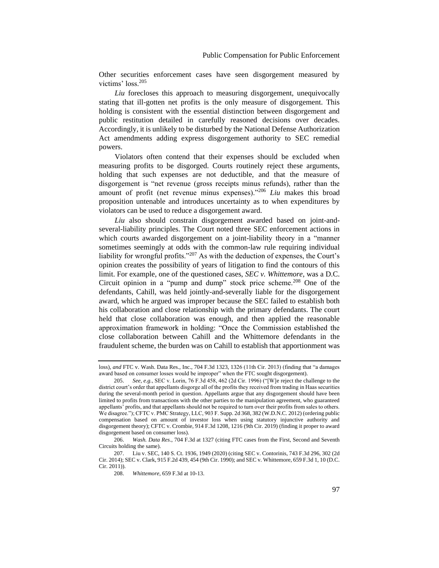Other securities enforcement cases have seen disgorgement measured by victims' loss.<sup>205</sup>

*Liu* forecloses this approach to measuring disgorgement, unequivocally stating that ill-gotten net profits is the only measure of disgorgement. This holding is consistent with the essential distinction between disgorgement and public restitution detailed in carefully reasoned decisions over decades. Accordingly, it is unlikely to be disturbed by the National Defense Authorization Act amendments adding express disgorgement authority to SEC remedial powers.

Violators often contend that their expenses should be excluded when measuring profits to be disgorged. Courts routinely reject these arguments, holding that such expenses are not deductible, and that the measure of disgorgement is "net revenue (gross receipts minus refunds), rather than the amount of profit (net revenue minus expenses)."<sup>206</sup> *Liu* makes this broad proposition untenable and introduces uncertainty as to when expenditures by violators can be used to reduce a disgorgement award.

*Liu* also should constrain disgorgement awarded based on joint-andseveral-liability principles. The Court noted three SEC enforcement actions in which courts awarded disgorgement on a joint-liability theory in a "manner sometimes seemingly at odds with the common-law rule requiring individual liability for wrongful profits."<sup>207</sup> As with the deduction of expenses, the Court's opinion creates the possibility of years of litigation to find the contours of this limit. For example, one of the questioned cases, *SEC v. Whittemore*, was a D.C. Circuit opinion in a "pump and dump" stock price scheme.<sup>208</sup> One of the defendants, Cahill, was held jointly-and-severally liable for the disgorgement award, which he argued was improper because the SEC failed to establish both his collaboration and close relationship with the primary defendants. The court held that close collaboration was enough, and then applied the reasonable approximation framework in holding: "Once the Commission established the close collaboration between Cahill and the Whittemore defendants in the fraudulent scheme, the burden was on Cahill to establish that apportionment was

loss), *and* FTC v. Wash. Data Res., Inc., 704 F.3d 1323, 1326 (11th Cir. 2013) (finding that "a damages award based on consumer losses would be improper" when the FTC sought disgorgement).

<sup>205.</sup> *See, e.g.*, SEC v. Lorin, 76 F.3d 458, 462 (2d Cir. 1996) ("[W]e reject the challenge to the district court's order that appellants disgorge all of the profits they received from trading in Haas securities during the several-month period in question. Appellants argue that any disgorgement should have been limited to profits from transactions with the other parties to the manipulation agreement, who guaranteed appellants' profits, and that appellants should not be required to turn over their profits from sales to others. We disagree."); CFTC v. PMC Strategy, LLC, 903 F. Supp. 2d 368, 382 (W.D.N.C. 2012) (ordering public compensation based on amount of investor loss when using statutory injunctive authority and disgorgement theory); CFTC v. Crombie, 914 F.3d 1208, 1216 (9th Cir. 2019) (finding it proper to award disgorgement based on consumer loss).

<sup>206.</sup> *Wash. Data Res*., 704 F.3d at 1327 (citing FTC cases from the First, Second and Seventh Circuits holding the same).

<sup>207.</sup> Liu v. SEC, 140 S. Ct. 1936, 1949 (2020) (citing SEC v. Contorinis, 743 F.3d 296, 302 (2d Cir. 2014); SEC v. Clark, 915 F.2d 439, 454 (9th Cir. 1990); and SEC v. Whittemore, 659 F.3d 1, 10 (D.C. Cir. 2011)).

<sup>208.</sup> *Whittemore*, 659 F.3d at 10-13.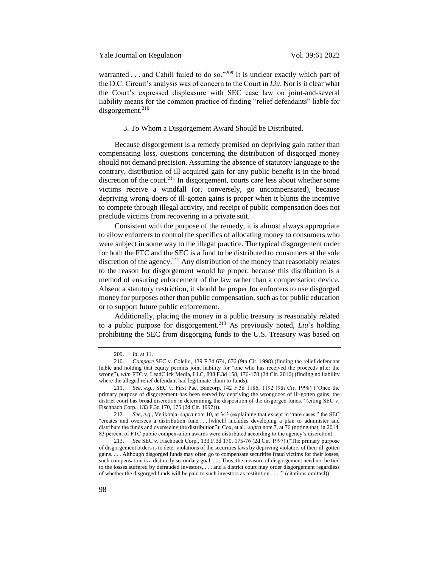warranted  $\ldots$  and Cahill failed to do so."<sup>209</sup> It is unclear exactly which part of the D.C. Circuit's analysis was of concern to the Court in *Liu*. Nor is it clear what the Court's expressed displeasure with SEC case law on joint-and-several liability means for the common practice of finding "relief defendants" liable for  $disgorgement.<sup>210</sup>$ 

#### 3. To Whom a Disgorgement Award Should be Distributed.

Because disgorgement is a remedy premised on depriving gain rather than compensating loss, questions concerning the distribution of disgorged money should not demand precision. Assuming the absence of statutory language to the contrary, distribution of ill-acquired gain for any public benefit is in the broad discretion of the court.<sup>211</sup> In disgorgement, courts care less about whether some victims receive a windfall (or, conversely, go uncompensated), because depriving wrong-doers of ill-gotten gains is proper when it blunts the incentive to compete through illegal activity, and receipt of public compensation does not preclude victims from recovering in a private suit.

Consistent with the purpose of the remedy, it is almost always appropriate to allow enforcers to control the specifics of allocating money to consumers who were subject in some way to the illegal practice. The typical disgorgement order for both the FTC and the SEC is a fund to be distributed to consumers at the sole discretion of the agency.<sup>212</sup> Any distribution of the money that reasonably relates to the reason for disgorgement would be proper, because this distribution is a method of ensuring enforcement of the law rather than a compensation device. Absent a statutory restriction, it should be proper for enforcers to use disgorged money for purposes other than public compensation, such as for public education or to support future public enforcement.

Additionally, placing the money in a public treasury is reasonably related to a public purpose for disgorgement.<sup>213</sup> As previously noted, *Liu*'s holding prohibiting the SEC from disgorging funds to the U.S. Treasury was based on

<sup>209.</sup> *Id*. at 11.

<sup>210.</sup> *Compare* SEC v. Colello, 139 F.3d 674, 676 (9th Cir. 1998) (finding the relief defendant liable and holding that equity permits joint liability for "one who has received the proceeds after the wrong"), *with* FTC v. LeadClick Media, LLC, 838 F.3d 158, 176-178 (2d Cir. 2016) (finding no liability where the alleged relief defendant had legitimate claim to funds).

<sup>211.</sup> *See, e.g.*, SEC v. First Pac. Bancorp, 142 F.3d 1186, 1192 (9th Cir. 1998) ("Once the primary purpose of disgorgement has been served by depriving the wrongdoer of ill-gotten gains, the district court has broad discretion in determining the disposition of the disgorged funds." (citing SEC v. Fischbach Corp., 133 F.3d 170, 175 (2d Cir. 1997))).

<sup>212.</sup> *See, e.g.*, Velikonja, *supra* not[e 10,](#page-6-0) at 343 (explaining that except in "rare cases," the SEC "creates and oversees a distribution fund . . . [which] includes developing a plan to administer and distribute the funds and overseeing the distribution"); Cox, et al., *supra* not[e 7,](#page-6-1) at 76 (noting that, in 2014, 83 percent of FTC public compensation awards were distributed according to the agency's discretion).

<sup>213.</sup> *See* SEC v. Fischbach Corp., 133 F.3d 170, 175-76 (2d Cir. 1997) ("The primary purpose of disgorgement orders is to deter violations of the securities laws by depriving violators of their ill-gotten gains. . . . Although disgorged funds may often go to compensate securities fraud victims for their losses, such compensation is a distinctly secondary goal. . . . Thus, the measure of disgorgement need not be tied to the losses suffered by defrauded investors, . . . and a district court may order disgorgement regardless of whether the disgorged funds will be paid to such investors as restitution . . . ." (citations omitted)).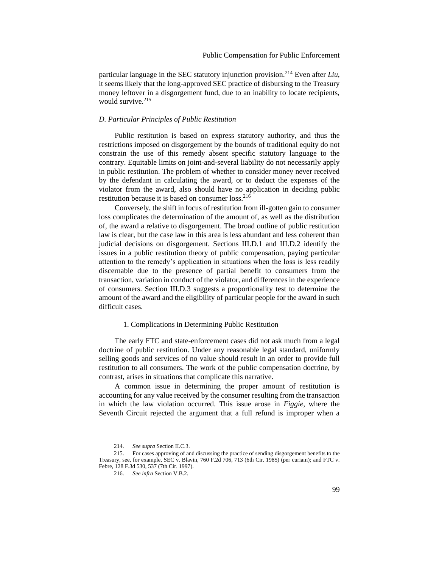particular language in the SEC statutory injunction provision.<sup>214</sup> Even after *Liu*, it seems likely that the long-approved SEC practice of disbursing to the Treasury money leftover in a disgorgement fund, due to an inability to locate recipients, would survive.<sup>215</sup>

#### *D. Particular Principles of Public Restitution*

Public restitution is based on express statutory authority, and thus the restrictions imposed on disgorgement by the bounds of traditional equity do not constrain the use of this remedy absent specific statutory language to the contrary. Equitable limits on joint-and-several liability do not necessarily apply in public restitution. The problem of whether to consider money never received by the defendant in calculating the award, or to deduct the expenses of the violator from the award, also should have no application in deciding public restitution because it is based on consumer loss.<sup>216</sup>

Conversely, the shift in focus of restitution from ill-gotten gain to consumer loss complicates the determination of the amount of, as well as the distribution of, the award a relative to disgorgement. The broad outline of public restitution law is clear, but the case law in this area is less abundant and less coherent than judicial decisions on disgorgement. Sections III.D.1 and III.D.2 identify the issues in a public restitution theory of public compensation, paying particular attention to the remedy's application in situations when the loss is less readily discernable due to the presence of partial benefit to consumers from the transaction, variation in conduct of the violator, and differences in the experience of consumers. Section III.D.3 suggests a proportionality test to determine the amount of the award and the eligibility of particular people for the award in such difficult cases.

### 1. Complications in Determining Public Restitution

The early FTC and state-enforcement cases did not ask much from a legal doctrine of public restitution. Under any reasonable legal standard, uniformly selling goods and services of no value should result in an order to provide full restitution to all consumers. The work of the public compensation doctrine, by contrast, arises in situations that complicate this narrative.

A common issue in determining the proper amount of restitution is accounting for any value received by the consumer resulting from the transaction in which the law violation occurred. This issue arose in *Figgie*, where the Seventh Circuit rejected the argument that a full refund is improper when a

<sup>214.</sup> *See supra* Section II.C.3.

<sup>215.</sup> For cases approving of and discussing the practice of sending disgorgement benefits to the Treasury, see, for example, SEC v. Blavin, 760 F.2d 706, 713 (6th Cir. 1985) (per curiam); and FTC v. Febre, 128 F.3d 530, 537 (7th Cir. 1997).

<sup>216.</sup> *See infra* Section V.B.2.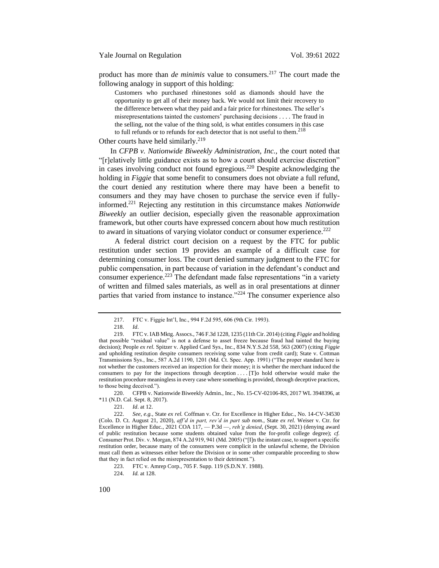product has more than *de minimis* value to consumers.<sup>217</sup> The court made the following analogy in support of this holding:

Customers who purchased rhinestones sold as diamonds should have the opportunity to get all of their money back. We would not limit their recovery to the difference between what they paid and a fair price for rhinestones. The seller's misrepresentations tainted the customers' purchasing decisions . . . . The fraud in the selling, not the value of the thing sold, is what entitles consumers in this case to full refunds or to refunds for each detector that is not useful to them.<sup>218</sup>

Other courts have held similarly.<sup>219</sup>

In *CFPB v. Nationwide Biweekly Administration, Inc.,* the court noted that "[r]elatively little guidance exists as to how a court should exercise discretion" in cases involving conduct not found egregious.<sup>220</sup> Despite acknowledging the holding in *Figgie* that some benefit to consumers does not obviate a full refund, the court denied any restitution where there may have been a benefit to consumers and they may have chosen to purchase the service even if fullyinformed.<sup>221</sup> Rejecting any restitution in this circumstance makes *Nationwide Biweekly* an outlier decision, especially given the reasonable approximation framework, but other courts have expressed concern about how much restitution to award in situations of varying violator conduct or consumer experience.<sup>222</sup>

A federal district court decision on a request by the FTC for public restitution under section 19 provides an example of a difficult case for determining consumer loss. The court denied summary judgment to the FTC for public compensation, in part because of variation in the defendant's conduct and consumer experience.<sup>223</sup> The defendant made false representations "in a variety" of written and filmed sales materials, as well as in oral presentations at dinner parties that varied from instance to instance."<sup>224</sup> The consumer experience also

220. CFPB v. Nationwide Biweekly Admin., Inc., No. 15-CV-02106-RS, 2017 WL 3948396, at \*11 (N.D. Cal. Sept. 8, 2017).

221. *Id*. at 12.

<sup>217.</sup> FTC v. Figgie Int'l, Inc., 994 F.2d 595, 606 (9th Cir. 1993).

<sup>218.</sup> *Id*.

<sup>219.</sup> FTC v. IAB Mktg. Assocs., 746 F.3d 1228, 1235 (11th Cir. 2014) (citing *Figgie* and holding that possible "residual value" is not a defense to asset freeze because fraud had tainted the buying decision); People *ex rel.* Spitzer v. Applied Card Sys., Inc., 834 N.Y.S.2d 558, 563 (2007) (citing *Figgie* and upholding restitution despite consumers receiving some value from credit card); State v. Cottman Transmissions Sys., Inc., 587 A.2d 1190, 1201 (Md. Ct. Spec. App. 1991) ("The proper standard here is not whether the customers received an inspection for their money; it is whether the merchant induced the consumers to pay for the inspections through deception . . . . [T]o hold otherwise would make the restitution procedure meaningless in every case where something is provided, through deceptive practices, to those being deceived.").

<sup>222.</sup> *See, e.g.*, State *ex rel.* Coffman v. Ctr. for Excellence in Higher Educ., No. 14-CV-34530 (Colo. D. Ct. August 21, 2020), *aff'd in part, rev'd in part sub nom.*, State *ex rel.* Weiser v. Ctr. for Excellence in Higher Educ., 2021 COA 117, — P.3d —, *reh'g denied*, (Sept. 30, 2021) (denying award of public restitution because some students obtained value from the for-profit college degree); *cf.*  Consumer Prot. Div. v. Morgan, 874 A.2d 919, 941 (Md. 2005) ("[I]n the instant case, to support a specific restitution order, because many of the consumers were complicit in the unlawful scheme, the Division must call them as witnesses either before the Division or in some other comparable proceeding to show that they in fact relied on the misrepresentation to their detriment.").

<sup>223.</sup> FTC v. Amrep Corp., 705 F. Supp. 119 (S.D.N.Y. 1988).

<sup>224.</sup> *Id.* at 128.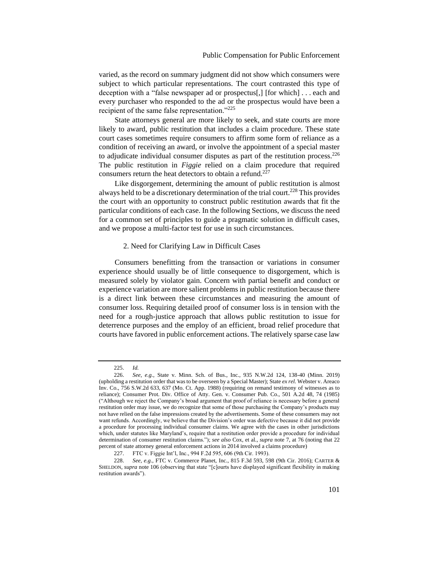varied, as the record on summary judgment did not show which consumers were subject to which particular representations. The court contrasted this type of deception with a "false newspaper ad or prospectus[,] [for which] . . . each and every purchaser who responded to the ad or the prospectus would have been a recipient of the same false representation."<sup>225</sup>

State attorneys general are more likely to seek, and state courts are more likely to award, public restitution that includes a claim procedure. These state court cases sometimes require consumers to affirm some form of reliance as a condition of receiving an award, or involve the appointment of a special master to adjudicate individual consumer disputes as part of the restitution process.<sup>226</sup> The public restitution in *Figgie* relied on a claim procedure that required consumers return the heat detectors to obtain a refund.<sup>227</sup>

Like disgorgement, determining the amount of public restitution is almost always held to be a discretionary determination of the trial court.<sup>228</sup> This provides the court with an opportunity to construct public restitution awards that fit the particular conditions of each case. In the following Sections, we discuss the need for a common set of principles to guide a pragmatic solution in difficult cases, and we propose a multi-factor test for use in such circumstances.

#### 2. Need for Clarifying Law in Difficult Cases

Consumers benefitting from the transaction or variations in consumer experience should usually be of little consequence to disgorgement, which is measured solely by violator gain. Concern with partial benefit and conduct or experience variation are more salient problems in public restitution because there is a direct link between these circumstances and measuring the amount of consumer loss. Requiring detailed proof of consumer loss is in tension with the need for a rough-justice approach that allows public restitution to issue for deterrence purposes and the employ of an efficient, broad relief procedure that courts have favored in public enforcement actions. The relatively sparse case law

<sup>225.</sup> *Id.*

<sup>226.</sup> *See, e.g.*, State v. Minn. Sch. of Bus., Inc., 935 N.W.2d 124, 138-40 (Minn. 2019) (upholding a restitution order that was to be overseen by a Special Master); State *ex rel.* Webster v. Areaco Inv. Co., 756 S.W.2d 633, 637 (Mo. Ct. App. 1988) (requiring on remand testimony of witnesses as to reliance); Consumer Prot. Div. Office of Atty. Gen. v. Consumer Pub. Co., 501 A.2d 48, 74 (1985) ("Although we reject the Company's broad argument that proof of reliance is necessary before a general restitution order may issue, we do recognize that some of those purchasing the Company's products may not have relied on the false impressions created by the advertisements. Some of these consumers may not want refunds. Accordingly, we believe that the Division's order was defective because it did not provide a procedure for processing individual consumer claims. We agree with the cases in other jurisdictions which, under statutes like Maryland's, require that a restitution order provide a procedure for individual determination of consumer restitution claims."); *see also* Cox, et al., *supra* note [7,](#page-6-1) at 76 (noting that 22 percent of state attorney general enforcement actions in 2014 involved a claims procedure)

<sup>227.</sup> FTC v. Figgie Int'l, Inc., 994 F.2d 595, 606 (9th Cir. 1993).

<sup>228.</sup> *See, e.g.*, FTC v. Commerce Planet, Inc., 815 F.3d 593, 598 (9th Cir. 2016); CARTER & SHELDON, *supra* not[e 106](#page-20-0) (observing that state "[c]ourts have displayed significant flexibility in making restitution awards").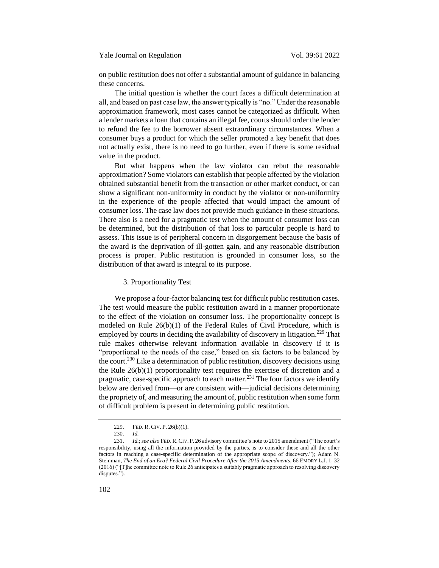on public restitution does not offer a substantial amount of guidance in balancing these concerns.

The initial question is whether the court faces a difficult determination at all, and based on past case law, the answer typically is "no." Under the reasonable approximation framework, most cases cannot be categorized as difficult. When a lender markets a loan that contains an illegal fee, courts should order the lender to refund the fee to the borrower absent extraordinary circumstances. When a consumer buys a product for which the seller promoted a key benefit that does not actually exist, there is no need to go further, even if there is some residual value in the product.

But what happens when the law violator can rebut the reasonable approximation? Some violators can establish that people affected by the violation obtained substantial benefit from the transaction or other market conduct, or can show a significant non-uniformity in conduct by the violator or non-uniformity in the experience of the people affected that would impact the amount of consumer loss. The case law does not provide much guidance in these situations. There also is a need for a pragmatic test when the amount of consumer loss can be determined, but the distribution of that loss to particular people is hard to assess. This issue is of peripheral concern in disgorgement because the basis of the award is the deprivation of ill-gotten gain, and any reasonable distribution process is proper. Public restitution is grounded in consumer loss, so the distribution of that award is integral to its purpose.

#### 3. Proportionality Test

We propose a four-factor balancing test for difficult public restitution cases. The test would measure the public restitution award in a manner proportionate to the effect of the violation on consumer loss. The proportionality concept is modeled on Rule 26(b)(1) of the Federal Rules of Civil Procedure, which is employed by courts in deciding the availability of discovery in litigation.<sup>229</sup> That rule makes otherwise relevant information available in discovery if it is "proportional to the needs of the case," based on six factors to be balanced by the court.<sup>230</sup> Like a determination of public restitution, discovery decisions using the Rule 26(b)(1) proportionality test requires the exercise of discretion and a pragmatic, case-specific approach to each matter.<sup>231</sup> The four factors we identify below are derived from—or are consistent with—judicial decisions determining the propriety of, and measuring the amount of, public restitution when some form of difficult problem is present in determining public restitution.

<sup>229.</sup> FED. R. CIV. P. 26(b)(1).

<sup>230.</sup> *Id.*

<sup>231.</sup> *Id.*; *see also* FED.R.CIV. P. 26 advisory committee's note to 2015 amendment ("The court's responsibility, using all the information provided by the parties, is to consider these and all the other factors in reaching a case-specific determination of the appropriate scope of discovery."); Adam N. Steinman, *The End of an Era? Federal Civil Procedure After the 2015 Amendments*, 66 EMORY L.J. 1, 32 (2016) ("[T]he committee note to Rule 26 anticipates a suitably pragmatic approach to resolving discovery disputes.").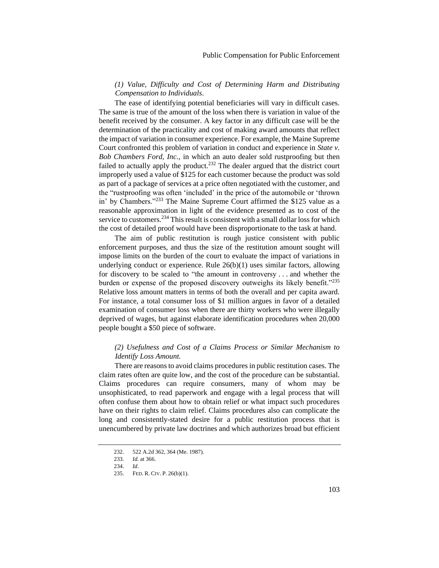# *(1) Value, Difficulty and Cost of Determining Harm and Distributing Compensation to Individuals*.

The ease of identifying potential beneficiaries will vary in difficult cases. The same is true of the amount of the loss when there is variation in value of the benefit received by the consumer. A key factor in any difficult case will be the determination of the practicality and cost of making award amounts that reflect the impact of variation in consumer experience. For example, the Maine Supreme Court confronted this problem of variation in conduct and experience in *State v. Bob Chambers Ford, Inc.,* in which an auto dealer sold rustproofing but then failed to actually apply the product.<sup>232</sup> The dealer argued that the district court improperly used a value of \$125 for each customer because the product was sold as part of a package of services at a price often negotiated with the customer, and the "rustproofing was often 'included' in the price of the automobile or 'thrown in' by Chambers."<sup>233</sup> The Maine Supreme Court affirmed the \$125 value as a reasonable approximation in light of the evidence presented as to cost of the service to customers.<sup>234</sup> This result is consistent with a small dollar loss for which the cost of detailed proof would have been disproportionate to the task at hand.

The aim of public restitution is rough justice consistent with public enforcement purposes, and thus the size of the restitution amount sought will impose limits on the burden of the court to evaluate the impact of variations in underlying conduct or experience. Rule 26(b)(1) uses similar factors, allowing for discovery to be scaled to "the amount in controversy . . . and whether the burden or expense of the proposed discovery outweighs its likely benefit."<sup>235</sup> Relative loss amount matters in terms of both the overall and per capita award. For instance, a total consumer loss of \$1 million argues in favor of a detailed examination of consumer loss when there are thirty workers who were illegally deprived of wages, but against elaborate identification procedures when 20,000 people bought a \$50 piece of software.

# *(2) Usefulness and Cost of a Claims Process or Similar Mechanism to Identify Loss Amount.*

There are reasons to avoid claims procedures in public restitution cases. The claim rates often are quite low, and the cost of the procedure can be substantial. Claims procedures can require consumers, many of whom may be unsophisticated, to read paperwork and engage with a legal process that will often confuse them about how to obtain relief or what impact such procedures have on their rights to claim relief. Claims procedures also can complicate the long and consistently-stated desire for a public restitution process that is unencumbered by private law doctrines and which authorizes broad but efficient

<sup>232.</sup> 522 A.2d 362, 364 (Me. 1987).

<sup>233.</sup> *Id.* at 366.

<sup>234.</sup> *Id*.

<sup>235.</sup> FED. R. CIV. P. 26(b)(1).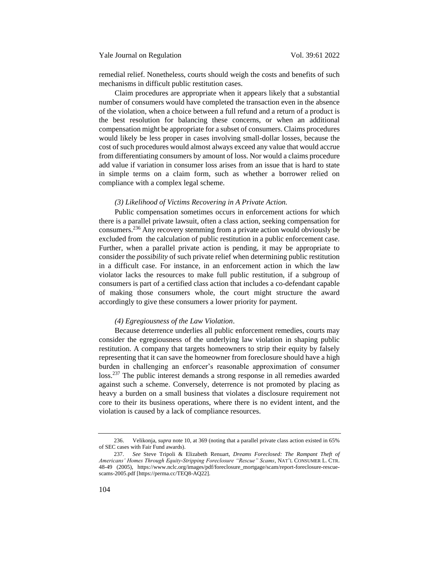remedial relief. Nonetheless, courts should weigh the costs and benefits of such mechanisms in difficult public restitution cases.

Claim procedures are appropriate when it appears likely that a substantial number of consumers would have completed the transaction even in the absence of the violation, when a choice between a full refund and a return of a product is the best resolution for balancing these concerns, or when an additional compensation might be appropriate for a subset of consumers. Claims procedures would likely be less proper in cases involving small-dollar losses, because the cost of such procedures would almost always exceed any value that would accrue from differentiating consumers by amount of loss. Nor would a claims procedure add value if variation in consumer loss arises from an issue that is hard to state in simple terms on a claim form, such as whether a borrower relied on compliance with a complex legal scheme.

#### *(3) Likelihood of Victims Recovering in A Private Action.*

Public compensation sometimes occurs in enforcement actions for which there is a parallel private lawsuit, often a class action, seeking compensation for consumers.<sup>236</sup> Any recovery stemming from a private action would obviously be excluded from the calculation of public restitution in a public enforcement case. Further, when a parallel private action is pending, it may be appropriate to consider the *possibility* of such private relief when determining public restitution in a difficult case. For instance, in an enforcement action in which the law violator lacks the resources to make full public restitution, if a subgroup of consumers is part of a certified class action that includes a co-defendant capable of making those consumers whole, the court might structure the award accordingly to give these consumers a lower priority for payment.

### *(4) Egregiousness of the Law Violation*.

Because deterrence underlies all public enforcement remedies, courts may consider the egregiousness of the underlying law violation in shaping public restitution. A company that targets homeowners to strip their equity by falsely representing that it can save the homeowner from foreclosure should have a high burden in challenging an enforcer's reasonable approximation of consumer loss.<sup>237</sup> The public interest demands a strong response in all remedies awarded against such a scheme. Conversely, deterrence is not promoted by placing as heavy a burden on a small business that violates a disclosure requirement not core to their its business operations, where there is no evident intent, and the violation is caused by a lack of compliance resources.

<sup>236.</sup> Velikonja, *supra* note [10,](#page-6-0) at 369 (noting that a parallel private class action existed in 65% of SEC cases with Fair Fund awards).

<sup>237.</sup> *See* Steve Tripoli & Elizabeth Renuart, *Dreams Foreclosed: The Rampant Theft of Americans' Homes Through Equity-Stripping Foreclosure "Rescue" Scams*, NAT'L CONSUMER L. CTR. 48-49 (2005), https://www.nclc.org/images/pdf/foreclosure\_mortgage/scam/report-foreclosure-rescuescams-2005.pdf [https://perma.cc/TEQ8-AQ22].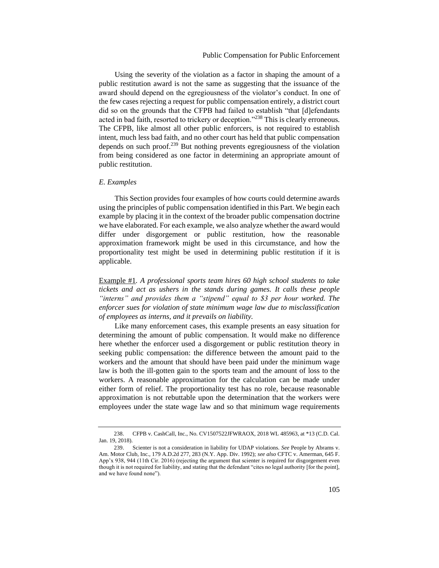Using the severity of the violation as a factor in shaping the amount of a public restitution award is not the same as suggesting that the issuance of the award should depend on the egregiousness of the violator's conduct. In one of the few cases rejecting a request for public compensation entirely, a district court did so on the grounds that the CFPB had failed to establish "that [d]efendants acted in bad faith, resorted to trickery or deception."<sup>238</sup> This is clearly erroneous. The CFPB, like almost all other public enforcers, is not required to establish intent, much less bad faith, and no other court has held that public compensation depends on such proof.<sup>239</sup> But nothing prevents egregiousness of the violation from being considered as one factor in determining an appropriate amount of public restitution.

# *E. Examples*

This Section provides four examples of how courts could determine awards using the principles of public compensation identified in this Part. We begin each example by placing it in the context of the broader public compensation doctrine we have elaborated. For each example, we also analyze whether the award would differ under disgorgement or public restitution, how the reasonable approximation framework might be used in this circumstance, and how the proportionality test might be used in determining public restitution if it is applicable.

Example #1*. A professional sports team hires 60 high school students to take tickets and act as ushers in the stands during games. It calls these people "interns" and provides them a "stipend" equal to \$3 per hour worked. The enforcer sues for violation of state minimum wage law due to misclassification of employees as interns, and it prevails on liability.*

Like many enforcement cases, this example presents an easy situation for determining the amount of public compensation. It would make no difference here whether the enforcer used a disgorgement or public restitution theory in seeking public compensation: the difference between the amount paid to the workers and the amount that should have been paid under the minimum wage law is both the ill-gotten gain to the sports team and the amount of loss to the workers. A reasonable approximation for the calculation can be made under either form of relief. The proportionality test has no role, because reasonable approximation is not rebuttable upon the determination that the workers were employees under the state wage law and so that minimum wage requirements

<sup>238.</sup> CFPB v. CashCall, Inc., No. CV1507522JFWRAOX, 2018 WL 485963, at \*13 (C.D. Cal. Jan. 19, 2018).

<sup>239.</sup> Scienter is not a consideration in liability for UDAP violations. *See* People by Abrams v. Am. Motor Club, Inc., 179 A.D.2d 277, 283 (N.Y. App. Div. 1992); *see also* CFTC v. Amerman, 645 F. App'x 938, 944 (11th Cir. 2016) (rejecting the argument that scienter is required for disgorgement even though it is not required for liability, and stating that the defendant "cites no legal authority [for the point], and we have found none").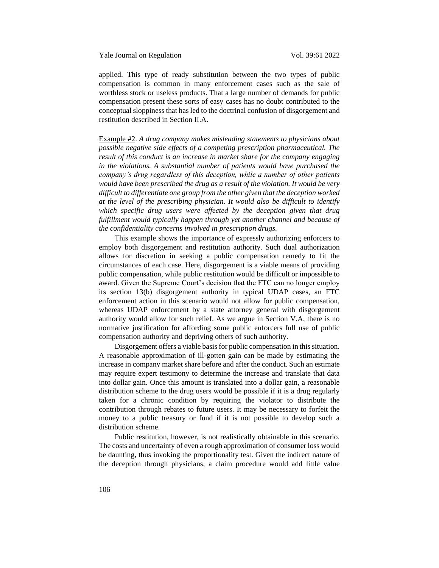applied. This type of ready substitution between the two types of public compensation is common in many enforcement cases such as the sale of worthless stock or useless products. That a large number of demands for public compensation present these sorts of easy cases has no doubt contributed to the conceptual sloppiness that has led to the doctrinal confusion of disgorgement and restitution described in Section II.A.

Example #2. *A drug company makes misleading statements to physicians about possible negative side effects of a competing prescription pharmaceutical. The result of this conduct is an increase in market share for the company engaging in the violations. A substantial number of patients would have purchased the company's drug regardless of this deception, while a number of other patients would have been prescribed the drug as a result of the violation. It would be very difficult to differentiate one group from the other given that the deception worked at the level of the prescribing physician. It would also be difficult to identify which specific drug users were affected by the deception given that drug fulfillment would typically happen through yet another channel and because of the confidentiality concerns involved in prescription drugs.*

This example shows the importance of expressly authorizing enforcers to employ both disgorgement and restitution authority. Such dual authorization allows for discretion in seeking a public compensation remedy to fit the circumstances of each case. Here, disgorgement is a viable means of providing public compensation, while public restitution would be difficult or impossible to award. Given the Supreme Court's decision that the FTC can no longer employ its section 13(b) disgorgement authority in typical UDAP cases, an FTC enforcement action in this scenario would not allow for public compensation, whereas UDAP enforcement by a state attorney general with disgorgement authority would allow for such relief. As we argue in Section V.A, there is no normative justification for affording some public enforcers full use of public compensation authority and depriving others of such authority.

Disgorgement offers a viable basis for public compensation in this situation. A reasonable approximation of ill-gotten gain can be made by estimating the increase in company market share before and after the conduct. Such an estimate may require expert testimony to determine the increase and translate that data into dollar gain. Once this amount is translated into a dollar gain, a reasonable distribution scheme to the drug users would be possible if it is a drug regularly taken for a chronic condition by requiring the violator to distribute the contribution through rebates to future users. It may be necessary to forfeit the money to a public treasury or fund if it is not possible to develop such a distribution scheme.

Public restitution, however, is not realistically obtainable in this scenario. The costs and uncertainty of even a rough approximation of consumer loss would be daunting, thus invoking the proportionality test. Given the indirect nature of the deception through physicians, a claim procedure would add little value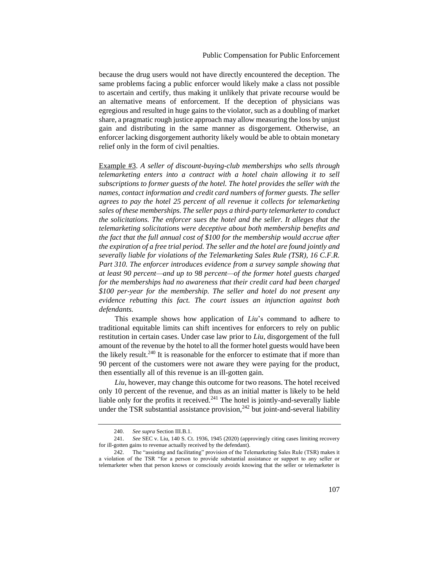because the drug users would not have directly encountered the deception. The same problems facing a public enforcer would likely make a class not possible to ascertain and certify, thus making it unlikely that private recourse would be an alternative means of enforcement. If the deception of physicians was egregious and resulted in huge gains to the violator, such as a doubling of market share, a pragmatic rough justice approach may allow measuring the loss by unjust gain and distributing in the same manner as disgorgement. Otherwise, an enforcer lacking disgorgement authority likely would be able to obtain monetary relief only in the form of civil penalties.

Example #3. *A seller of discount-buying-club memberships who sells through telemarketing enters into a contract with a hotel chain allowing it to sell subscriptions to former guests of the hotel. The hotel provides the seller with the names, contact information and credit card numbers of former guests. The seller agrees to pay the hotel 25 percent of all revenue it collects for telemarketing sales of these memberships. The seller pays a third-party telemarketer to conduct the solicitations. The enforcer sues the hotel and the seller. It alleges that the telemarketing solicitations were deceptive about both membership benefits and the fact that the full annual cost of \$100 for the membership would accrue after the expiration of a free trial period. The seller and the hotel are found jointly and severally liable for violations of the Telemarketing Sales Rule (TSR), 16 C.F.R. Part 310. The enforcer introduces evidence from a survey sample showing that at least 90 percent—and up to 98 percent—of the former hotel guests charged for the memberships had no awareness that their credit card had been charged \$100 per-year for the membership. The seller and hotel do not present any evidence rebutting this fact. The court issues an injunction against both defendants.*

This example shows how application of *Liu*'s command to adhere to traditional equitable limits can shift incentives for enforcers to rely on public restitution in certain cases. Under case law prior to *Liu*, disgorgement of the full amount of the revenue by the hotel to all the former hotel guests would have been the likely result.<sup>240</sup> It is reasonable for the enforcer to estimate that if more than 90 percent of the customers were not aware they were paying for the product, then essentially all of this revenue is an ill-gotten gain.

*Liu*, however, may change this outcome for two reasons. The hotel received only 10 percent of the revenue, and thus as an initial matter is likely to be held liable only for the profits it received. $241$  The hotel is jointly-and-severally liable under the TSR substantial assistance provision, $242$  but joint-and-several liability

<sup>240.</sup> *See supra* Section III.B.1.

<sup>241.</sup> *See* SEC v. Liu, 140 S. Ct. 1936, 1945 (2020) (approvingly citing cases limiting recovery for ill-gotten gains to revenue actually received by the defendant).

<sup>242.</sup> The "assisting and facilitating" provision of the Telemarketing Sales Rule (TSR) makes it a violation of the TSR "for a person to provide substantial assistance or support to any seller or telemarketer when that person knows or consciously avoids knowing that the seller or telemarketer is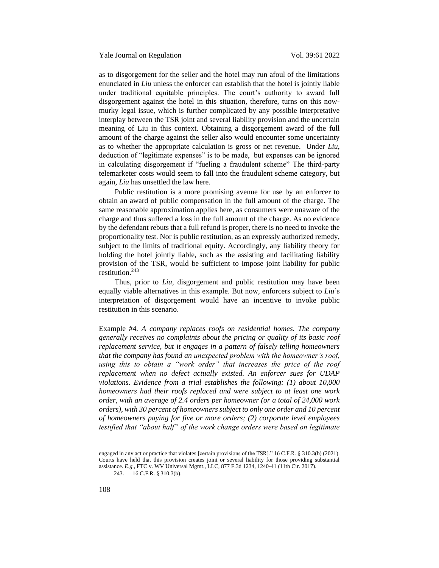as to disgorgement for the seller and the hotel may run afoul of the limitations enunciated in *Liu* unless the enforcer can establish that the hotel is jointly liable under traditional equitable principles. The court's authority to award full disgorgement against the hotel in this situation, therefore, turns on this nowmurky legal issue, which is further complicated by any possible interpretative interplay between the TSR joint and several liability provision and the uncertain meaning of Liu in this context. Obtaining a disgorgement award of the full amount of the charge against the seller also would encounter some uncertainty as to whether the appropriate calculation is gross or net revenue. Under *Liu*, deduction of "legitimate expenses" is to be made, but expenses can be ignored in calculating disgorgement if "fueling a fraudulent scheme" The third-party telemarketer costs would seem to fall into the fraudulent scheme category, but again, *Liu* has unsettled the law here.

Public restitution is a more promising avenue for use by an enforcer to obtain an award of public compensation in the full amount of the charge. The same reasonable approximation applies here, as consumers were unaware of the charge and thus suffered a loss in the full amount of the charge. As no evidence by the defendant rebuts that a full refund is proper, there is no need to invoke the proportionality test. Nor is public restitution, as an expressly authorized remedy, subject to the limits of traditional equity. Accordingly, any liability theory for holding the hotel jointly liable, such as the assisting and facilitating liability provision of the TSR, would be sufficient to impose joint liability for public restitution.<sup>243</sup>

Thus, prior to *Liu*, disgorgement and public restitution may have been equally viable alternatives in this example. But now, enforcers subject to *Liu*'s interpretation of disgorgement would have an incentive to invoke public restitution in this scenario.

Example #4*. A company replaces roofs on residential homes. The company generally receives no complaints about the pricing or quality of its basic roof replacement service, but it engages in a pattern of falsely telling homeowners that the company has found an unexpected problem with the homeowner's roof,*  using this to obtain a "work order" that increases the price of the roof *replacement when no defect actually existed. An enforcer sues for UDAP violations. Evidence from a trial establishes the following: (1) about 10,000 homeowners had their roofs replaced and were subject to at least one work order, with an average of 2.4 orders per homeowner (or a total of 24,000 work orders), with 30 percent of homeowners subject to only one order and 10 percent of homeowners paying for five or more orders; (2) corporate level employees testified that "about half" of the work change orders were based on legitimate* 

engaged in any act or practice that violates [certain provisions of the TSR]." 16 C.F.R. § 310.3(b) (2021). Courts have held that this provision creates joint or several liability for those providing substantial assistance. *E.g.*, FTC v. WV Universal Mgmt., LLC, 877 F.3d 1234, 1240-41 (11th Cir. 2017).

<sup>243.</sup> 16 C.F.R. § 310.3(b).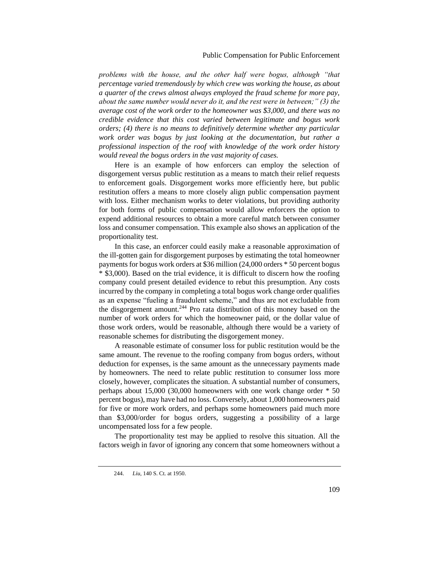# Public Compensation for Public Enforcement

*problems with the house, and the other half were bogus, although "that percentage varied tremendously by which crew was working the house, as about a quarter of the crews almost always employed the fraud scheme for more pay, about the same number would never do it, and the rest were in between;" (3) the average cost of the work order to the homeowner was \$3,000, and there was no credible evidence that this cost varied between legitimate and bogus work orders; (4) there is no means to definitively determine whether any particular work order was bogus by just looking at the documentation, but rather a professional inspection of the roof with knowledge of the work order history would reveal the bogus orders in the vast majority of cases.*

Here is an example of how enforcers can employ the selection of disgorgement versus public restitution as a means to match their relief requests to enforcement goals. Disgorgement works more efficiently here, but public restitution offers a means to more closely align public compensation payment with loss. Either mechanism works to deter violations, but providing authority for both forms of public compensation would allow enforcers the option to expend additional resources to obtain a more careful match between consumer loss and consumer compensation. This example also shows an application of the proportionality test.

In this case, an enforcer could easily make a reasonable approximation of the ill-gotten gain for disgorgement purposes by estimating the total homeowner payments for bogus work orders at \$36 million (24,000 orders \* 50 percent bogus \* \$3,000). Based on the trial evidence, it is difficult to discern how the roofing company could present detailed evidence to rebut this presumption. Any costs incurred by the company in completing a total bogus work change order qualifies as an expense "fueling a fraudulent scheme," and thus are not excludable from the disgorgement amount.<sup>244</sup> Pro rata distribution of this money based on the number of work orders for which the homeowner paid, or the dollar value of those work orders, would be reasonable, although there would be a variety of reasonable schemes for distributing the disgorgement money.

A reasonable estimate of consumer loss for public restitution would be the same amount. The revenue to the roofing company from bogus orders, without deduction for expenses, is the same amount as the unnecessary payments made by homeowners. The need to relate public restitution to consumer loss more closely, however, complicates the situation. A substantial number of consumers, perhaps about 15,000 (30,000 homeowners with one work change order \* 50 percent bogus), may have had no loss. Conversely, about 1,000 homeowners paid for five or more work orders, and perhaps some homeowners paid much more than \$3,000/order for bogus orders, suggesting a possibility of a large uncompensated loss for a few people.

The proportionality test may be applied to resolve this situation. All the factors weigh in favor of ignoring any concern that some homeowners without a

<sup>244.</sup> *Liu*, 140 S. Ct. at 1950.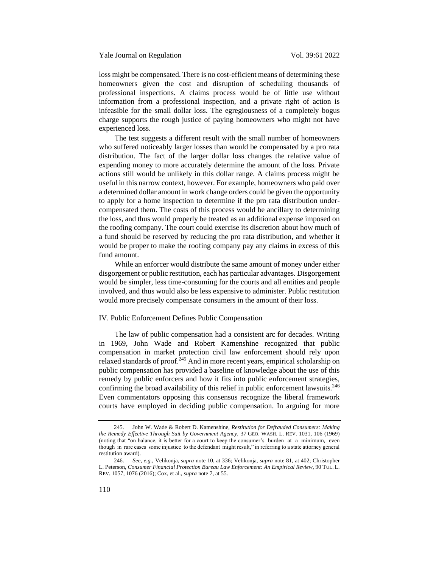loss might be compensated. There is no cost-efficient means of determining these homeowners given the cost and disruption of scheduling thousands of professional inspections. A claims process would be of little use without information from a professional inspection, and a private right of action is infeasible for the small dollar loss. The egregiousness of a completely bogus charge supports the rough justice of paying homeowners who might not have experienced loss.

The test suggests a different result with the small number of homeowners who suffered noticeably larger losses than would be compensated by a pro rata distribution. The fact of the larger dollar loss changes the relative value of expending money to more accurately determine the amount of the loss. Private actions still would be unlikely in this dollar range. A claims process might be useful in this narrow context, however. For example, homeowners who paid over a determined dollar amount in work change orders could be given the opportunity to apply for a home inspection to determine if the pro rata distribution undercompensated them. The costs of this process would be ancillary to determining the loss, and thus would properly be treated as an additional expense imposed on the roofing company. The court could exercise its discretion about how much of a fund should be reserved by reducing the pro rata distribution, and whether it would be proper to make the roofing company pay any claims in excess of this fund amount.

While an enforcer would distribute the same amount of money under either disgorgement or public restitution, each has particular advantages. Disgorgement would be simpler, less time-consuming for the courts and all entities and people involved, and thus would also be less expensive to administer. Public restitution would more precisely compensate consumers in the amount of their loss.

#### IV. Public Enforcement Defines Public Compensation

The law of public compensation had a consistent arc for decades. Writing in 1969, John Wade and Robert Kamenshine recognized that public compensation in market protection civil law enforcement should rely upon relaxed standards of proof. $245$  And in more recent years, empirical scholarship on public compensation has provided a baseline of knowledge about the use of this remedy by public enforcers and how it fits into public enforcement strategies, confirming the broad availability of this relief in public enforcement lawsuits.<sup>246</sup> Even commentators opposing this consensus recognize the liberal framework courts have employed in deciding public compensation. In arguing for more

<sup>245.</sup> John W. Wade & Robert D. Kamenshine, *Restitution for Defrauded Consumers: Making the Remedy Effective Through Suit by Government Agency,* 37 GEO. WASH. L. REV. 1031, 106 (1969) (noting that "on balance, it is better for a court to keep the consumer's burden at a minimum, even though in rare cases some injustice to the defendant might result," in referring to a state attorney general restitution award).

<sup>246.</sup> *See, e.g.*, Velikonja, *supra* note [10,](#page-6-0) at 336; Velikonja, *supra* note [81,](#page-16-0) at 402; Christopher L. Peterson, *Consumer Financial Protection Bureau Law Enforcement: An Empirical Review*, 90 TUL. L. REV. 1057, 1076 (2016); Cox, et al., *supra* not[e 7,](#page-6-1) at 55.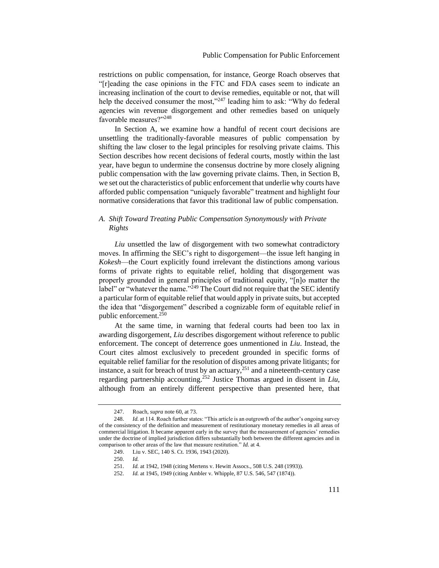restrictions on public compensation, for instance, George Roach observes that "[r]eading the case opinions in the FTC and FDA cases seem to indicate an increasing inclination of the court to devise remedies, equitable or not, that will help the deceived consumer the most," $247$  leading him to ask: "Why do federal agencies win revenue disgorgement and other remedies based on uniquely favorable measures?"<sup>248</sup>

In Section A, we examine how a handful of recent court decisions are unsettling the traditionally-favorable measures of public compensation by shifting the law closer to the legal principles for resolving private claims. This Section describes how recent decisions of federal courts, mostly within the last year, have begun to undermine the consensus doctrine by more closely aligning public compensation with the law governing private claims. Then, in Section B, we set out the characteristics of public enforcement that underlie why courts have afforded public compensation "uniquely favorable" treatment and highlight four normative considerations that favor this traditional law of public compensation.

# *A. Shift Toward Treating Public Compensation Synonymously with Private Rights*

*Liu* unsettled the law of disgorgement with two somewhat contradictory moves. In affirming the SEC's right to disgorgement—the issue left hanging in *Kokesh*—the Court explicitly found irrelevant the distinctions among various forms of private rights to equitable relief, holding that disgorgement was properly grounded in general principles of traditional equity, "[n]o matter the label" or "whatever the name."<sup>249</sup> The Court did not require that the SEC identify a particular form of equitable relief that would apply in private suits, but accepted the idea that "disgorgement" described a cognizable form of equitable relief in public enforcement.<sup>250</sup>

At the same time, in warning that federal courts had been too lax in awarding disgorgement, *Liu* describes disgorgement without reference to public enforcement. The concept of deterrence goes unmentioned in *Liu*. Instead, the Court cites almost exclusively to precedent grounded in specific forms of equitable relief familiar for the resolution of disputes among private litigants; for instance, a suit for breach of trust by an actuary,  $251$  and a nineteenth-century case regarding partnership accounting.<sup>252</sup> Justice Thomas argued in dissent in *Liu*, although from an entirely different perspective than presented here, that

<sup>247.</sup> Roach, *supra* not[e 60,](#page-14-0) at 73.

<sup>248.</sup> *Id.* at 114. Roach further states: "This article is an outgrowth of the author's ongoing survey of the consistency of the definition and measurement of restitutionary monetary remedies in all areas of commercial litigation. It became apparent early in the survey that the measurement of agencies' remedies under the doctrine of implied jurisdiction differs substantially both between the different agencies and in comparison to other areas of the law that measure restitution." *Id.* at 4.

<sup>249.</sup> Liu v. SEC, 140 S. Ct. 1936, 1943 (2020).

<sup>250.</sup> *Id.*

<sup>251.</sup> *Id.* at 1942, 1948 (citing Mertens v. Hewitt Assocs., 508 U.S. 248 (1993)).

<sup>252.</sup> *Id.* at 1945, 1949 (citing Ambler v. Whipple, 87 U.S. 546, 547 (1874)).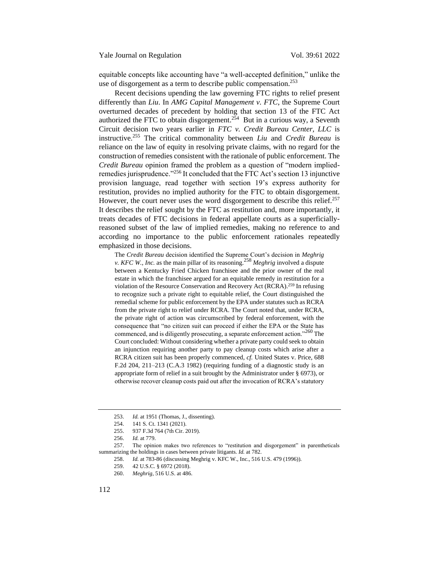equitable concepts like accounting have "a well-accepted definition," unlike the use of disgorgement as a term to describe public compensation.<sup>253</sup>

Recent decisions upending the law governing FTC rights to relief present differently than *Liu*. In *AMG Capital Management v. FTC*, the Supreme Court overturned decades of precedent by holding that section 13 of the FTC Act authorized the FTC to obtain disgorgement.<sup>254</sup> But in a curious way, a Seventh Circuit decision two years earlier in *FTC v. Credit Bureau Center, LLC* is instructive.<sup>255</sup> The critical commonality between *Liu* and *Credit Bureau* is reliance on the law of equity in resolving private claims, with no regard for the construction of remedies consistent with the rationale of public enforcement. The *Credit Bureau* opinion framed the problem as a question of "modern impliedremedies jurisprudence."<sup>256</sup> It concluded that the FTC Act's section 13 injunctive provision language, read together with section 19's express authority for restitution, provides no implied authority for the FTC to obtain disgorgement. However, the court never uses the word disgorgement to describe this relief.<sup>257</sup> It describes the relief sought by the FTC as restitution and, more importantly, it treats decades of FTC decisions in federal appellate courts as a superficiallyreasoned subset of the law of implied remedies, making no reference to and according no importance to the public enforcement rationales repeatedly emphasized in those decisions.

The *Credit Bureau* decision identified the Supreme Court's decision in *Meghrig v. KFC W., Inc.* as the main pillar of its reasoning.<sup>258</sup> *Meghrig* involved a dispute between a Kentucky Fried Chicken franchisee and the prior owner of the real estate in which the franchisee argued for an equitable remedy in restitution for a violation of the Resource Conservation and Recovery Act (RCRA).<sup>259</sup> In refusing to recognize such a private right to equitable relief, the Court distinguished the remedial scheme for public enforcement by the EPA under statutes such as RCRA from the private right to relief under RCRA. The Court noted that, under RCRA, the private right of action was circumscribed by federal enforcement, with the consequence that "no citizen suit can proceed if either the EPA or the State has commenced, and is diligently prosecuting, a separate enforcement action."<sup>260</sup> The Court concluded: Without considering whether a private party could seek to obtain an injunction requiring another party to pay cleanup costs which arise after a RCRA citizen suit has been properly commenced, *cf.* United States v. Price, 688 F.2d 204, 211–213 (C.A.3 1982) (requiring funding of a diagnostic study is an appropriate form of relief in a suit brought by the Administrator under § 6973), or otherwise recover cleanup costs paid out after the invocation of RCRA's statutory

<sup>253.</sup> *Id.* at 1951 (Thomas, J., dissenting).

<sup>254.</sup> 141 S. Ct. 1341 (2021).

<sup>255.</sup> 937 F.3d 764 (7th Cir. 2019).

<sup>256.</sup> *Id.* at 779.

<sup>257.</sup> The opinion makes two references to "restitution and disgorgement" in parentheticals summarizing the holdings in cases between private litigants. *Id.* at 782.

<sup>258.</sup> *Id.* at 783-86 (discussing Meghrig v. KFC W., Inc., 516 U.S. 479 (1996)).

<sup>259.</sup> 42 U.S.C. § 6972 (2018).

<sup>260.</sup> *Meghrig*, 516 U.S. at 486.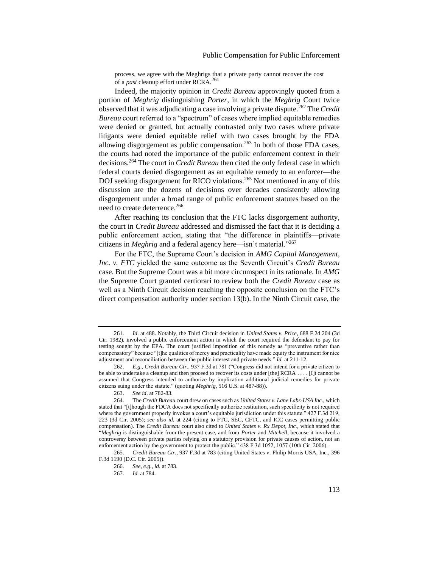process, we agree with the Meghrigs that a private party cannot recover the cost of a *past* cleanup effort under RCRA.<sup>261</sup>

Indeed, the majority opinion in *Credit Bureau* approvingly quoted from a portion of *Meghrig* distinguishing *Porter*, in which the *Meghrig* Court twice observed that it was adjudicating a case involving a private dispute.<sup>262</sup> The *Credit Bureau* court referred to a "spectrum" of cases where implied equitable remedies were denied or granted, but actually contrasted only two cases where private litigants were denied equitable relief with two cases brought by the FDA allowing disgorgement as public compensation.<sup>263</sup> In both of those FDA cases, the courts had noted the importance of the public enforcement context in their decisions.<sup>264</sup> The court in *Credit Bureau* then cited the only federal case in which federal courts denied disgorgement as an equitable remedy to an enforcer—the DOJ seeking disgorgement for RICO violations.<sup>265</sup> Not mentioned in any of this discussion are the dozens of decisions over decades consistently allowing disgorgement under a broad range of public enforcement statutes based on the need to create deterrence.<sup>266</sup>

After reaching its conclusion that the FTC lacks disgorgement authority, the court in *Credit Bureau* addressed and dismissed the fact that it is deciding a public enforcement action, stating that "the difference in plaintiffs—private citizens in *Meghrig* and a federal agency here—isn't material."<sup>267</sup>

For the FTC, the Supreme Court's decision in *AMG Capital Management, Inc. v. FTC* yielded the same outcome as the Seventh Circuit's *Credit Bureau* case. But the Supreme Court was a bit more circumspect in its rationale. In *AMG* the Supreme Court granted certiorari to review both the *Credit Bureau* case as well as a Ninth Circuit decision reaching the opposite conclusion on the FTC's direct compensation authority under section 13(b). In the Ninth Circuit case, the

<sup>261.</sup> *Id*. at 488. Notably, the Third Circuit decision in *United States v. Price*, 688 F.2d 204 (3d Cir. 1982), involved a public enforcement action in which the court required the defendant to pay for testing sought by the EPA. The court justified imposition of this remedy as "preventive rather than compensatory" because "[t]he qualities of mercy and practicality have made equity the instrument for nice adjustment and reconciliation between the public interest and private needs." *Id.* at 211-12.

<sup>262.</sup> *E.g.*, *Credit Bureau Ctr.*, 937 F.3d at 781 ("Congress did not intend for a private citizen to be able to undertake a cleanup and then proceed to recover its costs under [the] RCRA . . . . [I]t cannot be assumed that Congress intended to authorize by implication additional judicial remedies for private citizens suing under the statute." (quoting *Meghrig*, 516 U.S. at 487-88)).

<sup>263.</sup> *See id*. at 782-83.

<sup>264.</sup> The *Credit Bureau* court drew on cases such as *United States v. Lane Labs-USA Inc.*, which stated that "[t]hough the FDCA does not specifically authorize restitution, such specificity is not required where the government properly invokes a court's equitable jurisdiction under this statute." 427 F.3d 219, 223 (3d Cir. 2005); *see also id.* at 224 (citing to FTC, SEC, CFTC, and ICC cases permitting public compensation). The *Credit Bureau* court also cited to *United States v. Rx Depot, Inc.*, which stated that "*Meghrig* is distinguishable from the present case, and from *Porter* and *Mitchell,* because it involved a controversy between private parties relying on a statutory provision for private causes of action, not an enforcement action by the government to protect the public." 438 F.3d 1052, 1057 (10th Cir. 2006).

<sup>265.</sup> *Credit Bureau Ctr.*, 937 F.3d at 783 (citing United States v. Philip Morris USA, Inc., 396 F.3d 1190 (D.C. Cir. 2005)).

<sup>266.</sup> *See, e.g.*, *id.* at 783.

<sup>267.</sup> *Id.* at 784.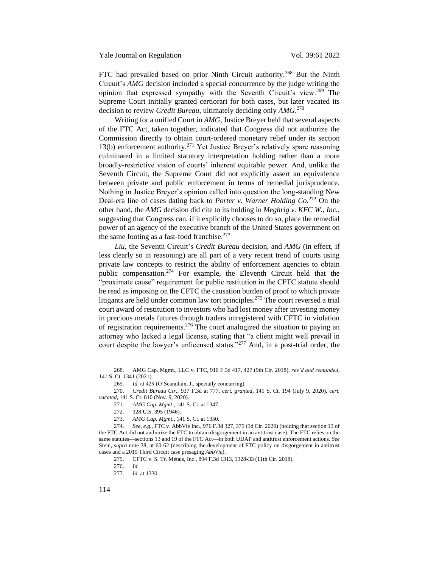FTC had prevailed based on prior Ninth Circuit authority.<sup>268</sup> But the Ninth Circuit's *AMG* decision included a special concurrence by the judge writing the opinion that expressed sympathy with the Seventh Circuit's view.<sup>269</sup> The Supreme Court initially granted certiorari for both cases, but later vacated its decision to review *Credit Bureau*, ultimately deciding only *AMG*. 270

Writing for a unified Court in *AMG*, Justice Breyer held that several aspects of the FTC Act, taken together, indicated that Congress did not authorize the Commission directly to obtain court-ordered monetary relief under its section 13(b) enforcement authority.<sup>271</sup> Yet Justice Breyer's relatively spare reasoning culminated in a limited statutory interpretation holding rather than a more broadly-restrictive vision of courts' inherent equitable power. And, unlike the Seventh Circuit, the Supreme Court did not explicitly assert an equivalence between private and public enforcement in terms of remedial jurisprudence. Nothing in Justice Breyer's opinion called into question the long-standing New Deal-era line of cases dating back to *Porter v. Warner Holding Co.*<sup>272</sup> On the other hand, the *AMG* decision did cite to its holding in *Meghrig v. KFC W., Inc.*, suggesting that Congress can, if it explicitly chooses to do so, place the remedial power of an agency of the executive branch of the United States government on the same footing as a fast-food franchise. $273$ 

*Liu*, the Seventh Circuit's *Credit Bureau* decision, and *AMG* (in effect, if less clearly so in reasoning) are all part of a very recent trend of courts using private law concepts to restrict the ability of enforcement agencies to obtain public compensation.<sup>274</sup> For example, the Eleventh Circuit held that the "proximate cause" requirement for public restitution in the CFTC statute should be read as imposing on the CFTC the causation burden of proof to which private litigants are held under common law tort principles.<sup>275</sup> The court reversed a trial court award of restitution to investors who had lost money after investing money in precious metals futures through traders unregistered with CFTC in violation of registration requirements.<sup>276</sup> The court analogized the situation to paying an attorney who lacked a legal license, stating that "a client might well prevail in court despite the lawyer's unlicensed status."<sup>277</sup> And, in a post-trial order, the

- 271. *AMG Cap. Mgmt.*, 141 S. Ct. at 1347.
- 272. 328 U.S. 395 (1946).
- 273. *AMG Cap. Mgmt.*, 141 S. Ct. at 1350.

<sup>268.</sup> AMG Cap. Mgmt., LLC v. FTC, 910 F.3d 417, 427 (9th Cir. 2018), *rev'd and remanded*, 141 S. Ct. 1341 (2021).

<sup>269.</sup> *Id.* at 429 (O'Scannlain, J., specially concurring).

<sup>270.</sup> *Credit Bureau Ctr.*, 937 F.3d at 777, *cert. granted*, 141 S. Ct. 194 (July 9, 2020), *cert. vacated*, 141 S. Ct. 810 (Nov. 9, 2020).

<sup>274.</sup> *See, e.g.*, FTC v. AbbVie Inc., 976 F.3d 327, 375 (3d Cir. 2020) (holding that section 13 of the FTC Act did not authorize the FTC to obtain disgorgement in an antitrust case). The FTC relies on the same statutes—sections 13 and 19 of the FTC Act—in both UDAP and antitrust enforcement actions. *See*  Stein, *supra* note [38,](#page-10-0) at 60-62 (describing the development of FTC policy on disgorgement in antitrust cases and a 2019 Third Circuit case presaging *AbbVie*).

<sup>275.</sup> CFTC v. S. Tr. Metals, Inc., 894 F.3d 1313, 1328-33 (11th Cir. 2018).

<sup>276.</sup> *Id.*

<sup>277.</sup> *Id.* at 1330.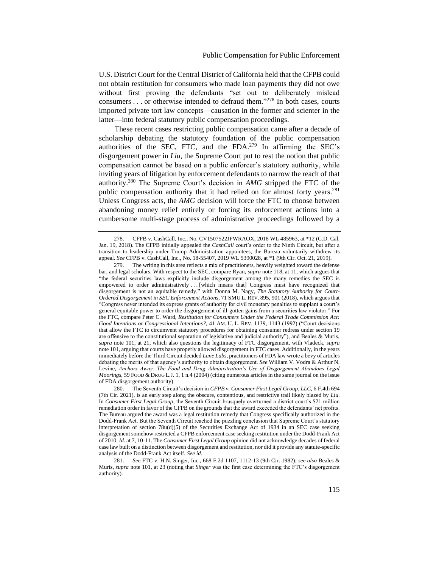U.S. District Court for the Central District of California held that the CFPB could not obtain restitution for consumers who made loan payments they did not owe without first proving the defendants "set out to deliberately mislead consumers . . . or otherwise intended to defraud them."<sup>278</sup> In both cases, courts imported private tort law concepts—causation in the former and scienter in the latter—into federal statutory public compensation proceedings.

These recent cases restricting public compensation came after a decade of scholarship debating the statutory foundation of the public compensation authorities of the SEC, FTC, and the  $FDA<sup>279</sup>$  In affirming the SEC's disgorgement power in *Liu*, the Supreme Court put to rest the notion that public compensation cannot be based on a public enforcer's statutory authority, while inviting years of litigation by enforcement defendants to narrow the reach of that authority.<sup>280</sup> The Supreme Court's decision in *AMG* stripped the FTC of the public compensation authority that it had relied on for almost forty years.<sup>281</sup> Unless Congress acts, the *AMG* decision will force the FTC to choose between abandoning money relief entirely or forcing its enforcement actions into a cumbersome multi-stage process of administrative proceedings followed by a

<sup>278.</sup> CFPB v. CashCall, Inc., No. CV1507522JFWRAOX, 2018 WL 485963, at \*12 (C.D. Cal. Jan. 19, 2018). The CFPB initially appealed the *CashCall* court's order to the Ninth Circuit, but after a transition to leadership under Trump Administration appointees, the Bureau voluntarily withdrew its appeal. *See* CFPB v. CashCall, Inc., No. 18-55407, 2019 WL 5390028, at \*1 (9th Cir. Oct. 21, 2019).

<sup>279.</sup> The writing in this area reflects a mix of practitioners, heavily weighted toward the defense bar, and legal scholars. With respect to the SEC, compare Ryan, *supra* note [118,](#page-21-0) at 11, which argues that "the federal securities laws explicitly include disgorgement among the many remedies the SEC is empowered to order administratively . . . [which means that] Congress must have recognized that disgorgement is not an equitable remedy," with Donna M. Nagy, *The Statutory Authority for Court-Ordered Disgorgement in SEC Enforcement Actions*, 71 SMU L. REV. 895, 901 (2018), which argues that "Congress never intended its express grants of authority for civil monetary penalties to supplant a court's general equitable power to order the disgorgement of ill-gotten gains from a securities law violator." For the FTC, compare Peter C. Ward, *Restitution for Consumers Under the Federal Trade Commission Act: Good Intentions or Congressional Intentions?,* 41 AM. U. L. REV. 1139, 1143 (1992) ("Court decisions that allow the FTC to circumvent statutory procedures for obtaining consumer redress under section 19 are offensive to the constitutional separation of legislative and judicial authority"), and Beales & Muris, *supra* note [101,](#page-19-0) at 21, which also questions the legitimacy of FTC disgorgement, with Vladeck, *supra*  not[e 101,](#page-19-0) arguing that courts have properly allowed disgorgement in FTC cases. Additionally, in the years immediately before the Third Circuit decided *Lane Labs*, practitioners of FDA law wrote a bevy of articles debating the merits of that agency's authority to obtain disgorgement. *See* William V. Vodra & Arthur N. Levine, *Anchors Away: The Food and Drug Administration's Use of Disgorgement Abandons Legal Moorings*, 59 FOOD & DRUG L.J. 1, 1 n.4 (2004) (citing numerous articles in the same journal on the issue of FDA disgorgement authority).<br>280. The Seventh Circu

<sup>280.</sup> The Seventh Circuit's decision in *CFPB v. Consumer First Legal Group, LLC*, 6 F.4th 694 (7th Cir. 2021), is an early step along the obscure, contentious, and restrictive trail likely blazed by *Liu*. In *Consumer First Legal Group*, the Seventh Circuit brusquely overturned a district court's \$21 million remediation order in favor of the CFPB on the grounds that the award exceeded the defendants' net profits. The Bureau argued the award was a legal restitution remedy that Congress specifically authorized in the Dodd-Frank Act. But the Seventh Circuit reached the puzzling conclusion that Supreme Court's statutory interpretation of section 78u(d)(5) of the Securities Exchange Act of 1934 in an SEC case seeking disgorgement somehow restricted a CFPB enforcement case seeking restitution under the Dodd-Frank Act of 2010. *Id.* at 7, 10-11. The *Consumer First Legal Group* opinion did not acknowledge decades of federal case law built on a distinction between disgorgement and restitution, nor did it provide any statute-specific analysis of the Dodd-Frank Act itself. *See id.*

<sup>281.</sup> *See* FTC v. H.N. Singer, Inc., 668 F.2d 1107, 1112-13 (9th Cir. 1982); *see also* Beales & Muris, *supra* note [101,](#page-19-0) at 23 (noting that *Singer* was the first case determining the FTC's disgorgement authority).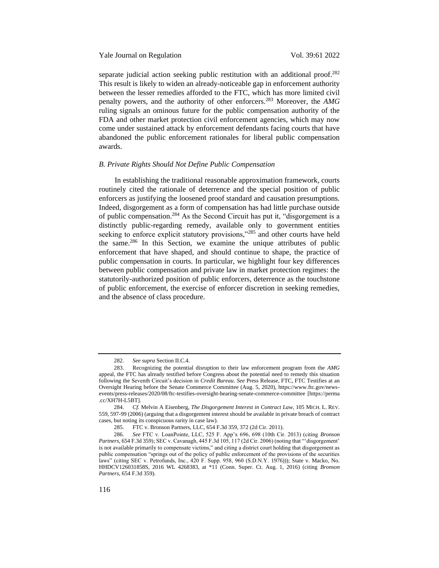### Yale Journal on Regulation Vol. 39:61 2022

separate judicial action seeking public restitution with an additional proof.<sup>282</sup> This result is likely to widen an already-noticeable gap in enforcement authority between the lesser remedies afforded to the FTC, which has more limited civil penalty powers, and the authority of other enforcers.<sup>283</sup> Moreover, the *AMG* ruling signals an ominous future for the public compensation authority of the FDA and other market protection civil enforcement agencies, which may now come under sustained attack by enforcement defendants facing courts that have abandoned the public enforcement rationales for liberal public compensation awards.

### *B. Private Rights Should Not Define Public Compensation*

In establishing the traditional reasonable approximation framework, courts routinely cited the rationale of deterrence and the special position of public enforcers as justifying the loosened proof standard and causation presumptions. Indeed, disgorgement as a form of compensation has had little purchase outside of public compensation.<sup>284</sup> As the Second Circuit has put it, "disgorgement is a distinctly public-regarding remedy, available only to government entities seeking to enforce explicit statutory provisions,"<sup>285</sup> and other courts have held the same.<sup>286</sup> In this Section, we examine the unique attributes of public enforcement that have shaped, and should continue to shape, the practice of public compensation in courts. In particular, we highlight four key differences between public compensation and private law in market protection regimes: the statutorily-authorized position of public enforcers, deterrence as the touchstone of public enforcement, the exercise of enforcer discretion in seeking remedies, and the absence of class procedure.

<sup>282.</sup> *See supra* Section II.C.4.

<sup>283.</sup> Recognizing the potential disruption to their law enforcement program from the *AMG* appeal, the FTC has already testified before Congress about the potential need to remedy this situation following the Seventh Circuit's decision in *Credit Bureau*. *See* Press Release, FTC, FTC Testifies at an Oversight Hearing before the Senate Commerce Committee (Aug. 5, 2020), https://www.ftc.gov/newsevents/press-releases/2020/08/ftc-testifies-oversight-hearing-senate-commerce-committee [https://perma .cc/XH7H-L5BT].

<sup>284.</sup> *Cf.* Melvin A Eisenberg, *The Disgorgement Interest in Contract Law*, 105 MICH. L. REV. 559, 597-99 (2006) (arguing that a disgorgement interest should be available in private breach of contract cases, but noting its conspicuous rarity in case law).

<sup>285.</sup> FTC v. Bronson Partners, LLC, 654 F.3d 359, 372 (2d Cir. 2011).

<sup>286.</sup> *See* FTC v. LoanPointe, LLC, 525 F. App'x 696, 698 (10th Cir. 2013) (citing *Bronson Partners*, 654 F.3d 359); SEC v. Cavanagh, 445 F.3d 105, 117 (2d Cir. 2006) (noting that "'disgorgement' is not available primarily to compensate victims," and citing a district court holding that disgorgement as public compensation "springs out of the policy of public enforcement of the provisions of the securities laws" (citing SEC v. Petrofunds, Inc., 420 F. Supp. 958, 960 (S.D.N.Y. 1976))); State v. Macko, No. HHDCV126031858S, 2016 WL 4268383, at \*11 (Conn. Super. Ct. Aug. 1, 2016) (citing *Bronson Partners*, 654 F.3d 359).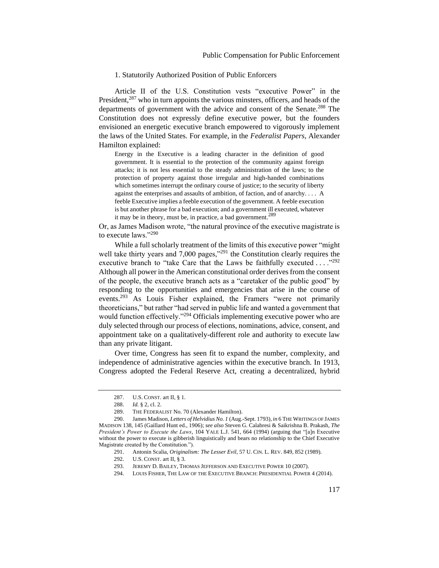### 1. Statutorily Authorized Position of Public Enforcers

Article II of the U.S. Constitution vests "executive Power" in the President,<sup>287</sup> who in turn appoints the various minsters, officers, and heads of the departments of government with the advice and consent of the Senate.<sup>288</sup> The Constitution does not expressly define executive power, but the founders envisioned an energetic executive branch empowered to vigorously implement the laws of the United States. For example, in the *Federalist Papers*, Alexander Hamilton explained:

Energy in the Executive is a leading character in the definition of good government. It is essential to the protection of the community against foreign attacks; it is not less essential to the steady administration of the laws; to the protection of property against those irregular and high-handed combinations which sometimes interrupt the ordinary course of justice; to the security of liberty against the enterprises and assaults of ambition, of faction, and of anarchy. . . . A feeble Executive implies a feeble execution of the government. A feeble execution is but another phrase for a bad execution; and a government ill executed, whatever it may be in theory, must be, in practice, a bad government.<sup>289</sup>

Or, as James Madison wrote, "the natural province of the executive magistrate is to execute laws."<sup>290</sup>

While a full scholarly treatment of the limits of this executive power "might well take thirty years and 7,000 pages,"<sup>291</sup> the Constitution clearly requires the executive branch to "take Care that the Laws be faithfully executed  $\dots$ ."<sup>292</sup> Although all power in the American constitutional order derives from the consent of the people, the executive branch acts as a "caretaker of the public good" by responding to the opportunities and emergencies that arise in the course of events.<sup>293</sup> As Louis Fisher explained, the Framers "were not primarily theoreticians," but rather "had served in public life and wanted a government that would function effectively."<sup>294</sup> Officials implementing executive power who are duly selected through our process of elections, nominations, advice, consent, and appointment take on a qualitatively-different role and authority to execute law than any private litigant.

Over time, Congress has seen fit to expand the number, complexity, and independence of administrative agencies within the executive branch. In 1913, Congress adopted the Federal Reserve Act, creating a decentralized, hybrid

294. LOUIS FISHER, THE LAW OF THE EXECUTIVE BRANCH: PRESIDENTIAL POWER 4 (2014).

<sup>287.</sup> U.S. CONST. art II, § 1.

<sup>288.</sup> *Id.* § 2, cl. 2.

<sup>289.</sup> THE FEDERALIST No. 70 (Alexander Hamilton).

<sup>290.</sup> James Madison, *Letters of Helvidius No. 1* (Aug.-Sept. 1793), *in* 6 THE WRITINGS OF JAMES MADISON 138, 145 (Gaillard Hunt ed., 1906); *see also* Steven G. Calabresi & Saikrishna B. Prakash, *The President's Power to Execute the Laws*, 104 YALE L.J. 541, 664 (1994) (arguing that "[a]n Executive without the power to execute is gibberish linguistically and bears no relationship to the Chief Executive Magistrate created by the Constitution.").

<sup>291.</sup> Antonin Scalia, *Originalism: The Lesser Evil*, 57 U. CIN. L. REV. 849, 852 (1989).

<sup>292.</sup> U.S. CONST. art II, § 3.

<sup>293.</sup> JEREMY D. BAILEY, THOMAS JEFFERSON AND EXECUTIVE POWER 10 (2007).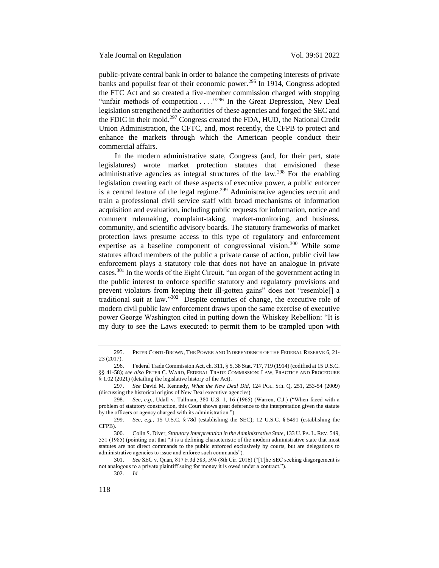public-private central bank in order to balance the competing interests of private banks and populist fear of their economic power.<sup>295</sup> In 1914, Congress adopted the FTC Act and so created a five-member commission charged with stopping "unfair methods of competition . . . ."<sup>296</sup> In the Great Depression, New Deal legislation strengthened the authorities of these agencies and forged the SEC and the FDIC in their mold.<sup>297</sup> Congress created the FDA, HUD, the National Credit Union Administration, the CFTC, and, most recently, the CFPB to protect and enhance the markets through which the American people conduct their commercial affairs.

In the modern administrative state, Congress (and, for their part, state legislatures) wrote market protection statutes that envisioned these administrative agencies as integral structures of the law.<sup>298</sup> For the enabling legislation creating each of these aspects of executive power, a public enforcer is a central feature of the legal regime.<sup>299</sup> Administrative agencies recruit and train a professional civil service staff with broad mechanisms of information acquisition and evaluation, including public requests for information, notice and comment rulemaking, complaint-taking, market-monitoring, and business, community, and scientific advisory boards. The statutory frameworks of market protection laws presume access to this type of regulatory and enforcement expertise as a baseline component of congressional vision.<sup>300</sup> While some statutes afford members of the public a private cause of action, public civil law enforcement plays a statutory role that does not have an analogue in private cases.<sup>301</sup> In the words of the Eight Circuit, "an organ of the government acting in the public interest to enforce specific statutory and regulatory provisions and prevent violators from keeping their ill-gotten gains" does not "resemble[] a traditional suit at law."<sup>302</sup> Despite centuries of change, the executive role of modern civil public law enforcement draws upon the same exercise of executive power George Washington cited in putting down the Whiskey Rebellion: "It is my duty to see the Laws executed: to permit them to be trampled upon with

<sup>295.</sup> PETER CONTI-BROWN, THE POWER AND INDEPENDENCE OF THE FEDERAL RESERVE 6, 21- 23 (2017).

<sup>296.</sup> Federal Trade Commission Act, ch. 311, § 5, 38 Stat. 717, 719 (1914) (codified at 15 U.S.C. §§ 41-58); *see also* PETER C. WARD, FEDERAL TRADE COMMISSION: LAW, PRACTICE AND PROCEDURE § 1.02 (2021) (detailing the legislative history of the Act).

<sup>297.</sup> *See* David M. Kennedy, *What the New Deal Did*, 124 POL. SCI. Q. 251, 253-54 (2009) (discussing the historical origins of New Deal executive agencies).

<sup>298.</sup> *See, e.g.*, Udall v. Tallman, 380 U.S. 1, 16 (1965) (Warren, C.J.) ("When faced with a problem of statutory construction, this Court shows great deference to the interpretation given the statute by the officers or agency charged with its administration.").

<sup>299.</sup> *See, e.g.*, 15 U.S.C. § 78d (establishing the SEC); 12 U.S.C. § 5491 (establishing the CFPB).

<sup>300.</sup> Colin S. Diver, *Statutory Interpretation in the Administrative State*, 133 U. PA. L.REV. 549, 551 (1985) (pointing out that "it is a defining characteristic of the modern administrative state that most statutes are not direct commands to the public enforced exclusively by courts, but are delegations to administrative agencies to issue and enforce such commands").

<sup>301.</sup> *See* SEC v. Quan, 817 F.3d 583, 594 (8th Cir. 2016) ("[T]he SEC seeking disgorgement is not analogous to a private plaintiff suing for money it is owed under a contract.").

<sup>302.</sup> *Id.*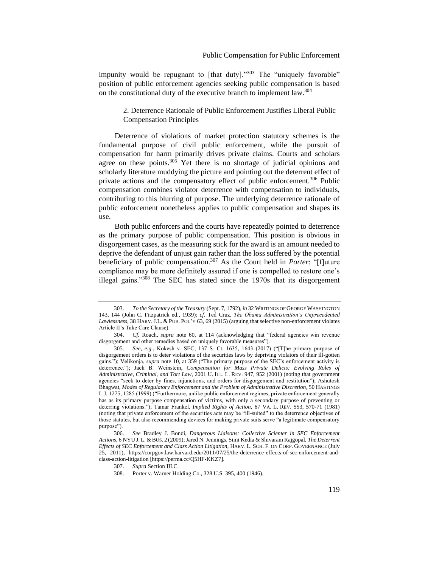impunity would be repugnant to  $[that duty].$ <sup>303</sup> The "uniquely favorable" position of public enforcement agencies seeking public compensation is based on the constitutional duty of the executive branch to implement law.<sup>304</sup>

2. Deterrence Rationale of Public Enforcement Justifies Liberal Public Compensation Principles

Deterrence of violations of market protection statutory schemes is the fundamental purpose of civil public enforcement, while the pursuit of compensation for harm primarily drives private claims. Courts and scholars agree on these points. $305$  Yet there is no shortage of judicial opinions and scholarly literature muddying the picture and pointing out the deterrent effect of private actions and the compensatory effect of public enforcement.<sup>306</sup> Public compensation combines violator deterrence with compensation to individuals, contributing to this blurring of purpose. The underlying deterrence rationale of public enforcement nonetheless applies to public compensation and shapes its use.

Both public enforcers and the courts have repeatedly pointed to deterrence as the primary purpose of public compensation. This position is obvious in disgorgement cases, as the measuring stick for the award is an amount needed to deprive the defendant of unjust gain rather than the loss suffered by the potential beneficiary of public compensation.<sup>307</sup> As the Court held in *Porter*: "[f]uture compliance may be more definitely assured if one is compelled to restore one's illegal gains."<sup>308</sup> The SEC has stated since the 1970s that its disgorgement

308. Porter v. Warner Holding Co., 328 U.S. 395, 400 (1946).

<sup>303.</sup> *To the Secretary of the Treasury* (Sept. 7, 1792), *in* 32 WRITINGS OF GEORGE WASHINGTON 143, 144 (John C. Fitzpatrick ed., 1939); *cf.* Ted Cruz, *The Obama Administration's Unprecedented Lawlessness*, 38 HARV.J.L. & PUB. POL'Y 63, 69 (2015) (arguing that selective non-enforcement violates Article II's Take Care Clause).

<sup>304.</sup> *Cf.* Roach, *supra* note 60, at 114 (acknowledging that "federal agencies win revenue disgorgement and other remedies based on uniquely favorable measures").

<sup>305.</sup> *See, e.g.*, Kokesh v. SEC, 137 S. Ct. 1635, 1643 (2017) ("[T]he primary purpose of disgorgement orders is to deter violations of the securities laws by depriving violators of their ill-gotten gains."); Velikonja, *supra* note [10,](#page-6-0) at 359 ("The primary purpose of the SEC's enforcement activity is deterrence."); Jack B. Weinstein, *Compensation for Mass Private Delicts: Evolving Roles of Administrative, Criminal, and Tort Law*, 2001 U. ILL. L. REV. 947, 952 (2001) (noting that government agencies "seek to deter by fines, injunctions, and orders for disgorgement and restitution"); Ashutosh Bhagwat, *Modes of Regulatory Enforcement and the Problem of Administrative Discretion*, 50 HASTINGS L.J. 1275, 1285 (1999) ("Furthermore, unlike public enforcement regimes, private enforcement generally has as its primary purpose compensation of victims, with only a secondary purpose of preventing or deterring violations."); Tamar Frankel, *Implied Rights of Action*, 67 VA. L. REV. 553, 570-71 (1981) (noting that private enforcement of the securities acts may be "ill-suited" to the deterrence objectives of those statutes, but also recommending devices for making private suits serve "a legitimate compensatory purpose").

<sup>306.</sup> *See* Bradley J. Bondi, *Dangerous Liaisons: Collective Scienter in SEC Enforcement Actions*, 6 NYU J. L. & BUS. 2 (2009);Jared N. Jennings, Simi Kedia & Shivaram Rajgopal, *The Deterrent Effects of SEC Enforcement and Class Action Litigation*, HARV. L. SCH. F. ON CORP. GOVERNANCE (July 25, 2011), https://corpgov.law.harvard.edu/2011/07/25/the-deterrence-effects-of-sec-enforcement-andclass-action-litigation [https://perma.cc/Q5HF-KKZ7].

<sup>307.</sup> *Supra* Section III.C.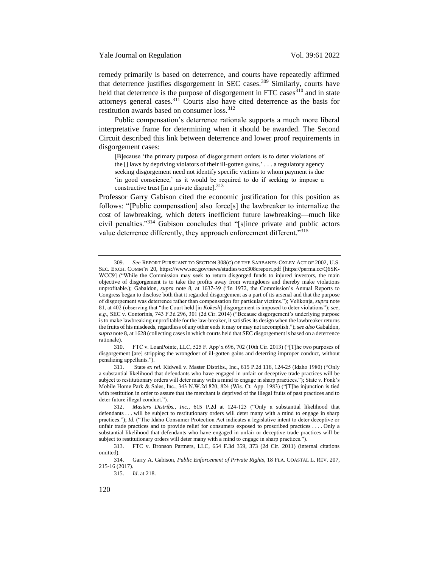Yale Journal on Regulation Vol. 39:61 2022

remedy primarily is based on deterrence, and courts have repeatedly affirmed that deterrence justifies disgorgement in SEC cases.<sup>309</sup> Similarly, courts have held that deterrence is the purpose of disgorgement in FTC cases $310$  and in state attorneys general cases.<sup>311</sup> Courts also have cited deterrence as the basis for restitution awards based on consumer loss.<sup>312</sup>

Public compensation's deterrence rationale supports a much more liberal interpretative frame for determining when it should be awarded. The Second Circuit described this link between deterrence and lower proof requirements in disgorgement cases:

[B]ecause 'the primary purpose of disgorgement orders is to deter violations of the [] laws by depriving violators of their ill-gotten gains,' . . . a regulatory agency seeking disgorgement need not identify specific victims to whom payment is due 'in good conscience,' as it would be required to do if seeking to impose a constructive trust  $\left[\text{in a private dispute}\right]$ .<sup>313</sup>

Professor Garry Gabison cited the economic justification for this position as follows: "[Public compensation] also force[s] the lawbreaker to internalize the cost of lawbreaking, which deters inefficient future lawbreaking—much like civil penalties."<sup>314</sup> Gabison concludes that "[s]ince private and public actors value deterrence differently, they approach enforcement different."<sup>315</sup>

<sup>309.</sup> *See* REPORT PURSUANT TO SECTION 308(C) OF THE SARBANES-OXLEY ACT OF 2002, U.S. SEC. EXCH. COMM'N 20, https://www.sec.gov/news/studies/sox308creport.pdf [https://perma.cc/Q6SK-WCC9] ("While the Commission may seek to return disgorged funds to injured investors, the main objective of disgorgement is to take the profits away from wrongdoers and thereby make violations unprofitable.); Gabaldon, *supra* note [8,](#page-6-2) at 1637-39 ("In 1972, the Commission's Annual Reports to Congress began to disclose both that it regarded disgorgement as a part of its arsenal and that the purpose of disgorgement was deterrence rather than compensation for particular victims."); Velikonja, *supra* note [81,](#page-16-0) at 402 (observing that "the Court held [in *Kokesh*] disgorgement is imposed to deter violations"); *see, e.g.*, SEC v. Contorinis, 743 F.3d 296, 301 (2d Cir. 2014) ("Because disgorgement's underlying purpose is to make lawbreaking unprofitable for the law-breaker, it satisfies its design when the lawbreaker returns the fruits of his misdeeds, regardless of any other ends it may or may not accomplish."); *see also* Gabaldon, *supra* not[e 8,](#page-6-2) at 1628 (collecting cases in which courts held that SEC disgorgement is based on a deterrence rationale).

<sup>310.</sup> FTC v. LoanPointe, LLC, 525 F. App'x 696, 702 (10th Cir. 2013) ("[T]he two purposes of disgorgement [are] stripping the wrongdoer of ill-gotten gains and deterring improper conduct, without penalizing appellants.").

<sup>311.</sup> State *ex rel.* Kidwell v. Master Distribs., Inc., 615 P.2d 116, 124-25 (Idaho 1980) ("Only a substantial likelihood that defendants who have engaged in unfair or deceptive trade practices will be subject to restitutionary orders will deter many with a mind to engage in sharp practices."); State v. Fonk's Mobile Home Park & Sales, Inc., 343 N.W.2d 820, 824 (Wis. Ct. App. 1983) ("[T]he injunction is tied with restitution in order to assure that the merchant is deprived of the illegal fruits of past practices and to deter future illegal conduct.").

<sup>312.</sup> *Masters Distribs., Inc.*, 615 P.2d at 124-125 ("Only a substantial likelihood that defendants . . . will be subject to restitutionary orders will deter many with a mind to engage in sharp practices."); *Id.* ("The Idaho Consumer Protection Act indicates a legislative intent to deter deceptive or unfair trade practices and to provide relief for consumers exposed to proscribed practices . . . . Only a substantial likelihood that defendants who have engaged in unfair or deceptive trade practices will be subject to restitutionary orders will deter many with a mind to engage in sharp practices.").

<sup>313.</sup> FTC v. Bronson Partners, LLC, 654 F.3d 359, 373 (2d Cir. 2011) (internal citations omitted).

<sup>314.</sup> Garry A. Gabison, *Public Enforcement of Private Rights*, 18 FLA. COASTAL L. REV. 207, 215-16 (2017).

<sup>315.</sup> *Id*. at 218.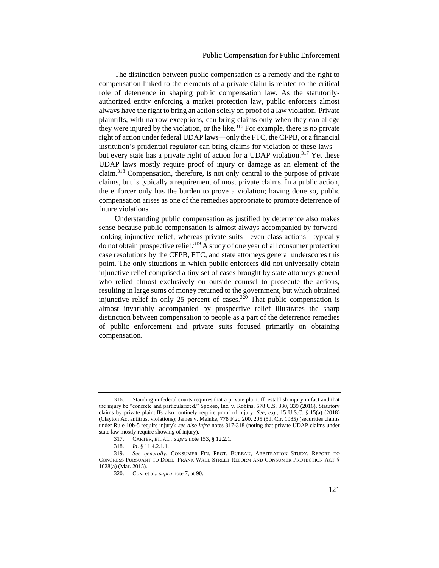The distinction between public compensation as a remedy and the right to compensation linked to the elements of a private claim is related to the critical role of deterrence in shaping public compensation law. As the statutorilyauthorized entity enforcing a market protection law, public enforcers almost always have the right to bring an action solely on proof of a law violation. Private plaintiffs, with narrow exceptions, can bring claims only when they can allege they were injured by the violation, or the like.<sup>316</sup> For example, there is no private right of action under federal UDAP laws—only the FTC, the CFPB, or a financial institution's prudential regulator can bring claims for violation of these laws but every state has a private right of action for a UDAP violation.<sup>317</sup> Yet these UDAP laws mostly require proof of injury or damage as an element of the claim.<sup>318</sup> Compensation, therefore, is not only central to the purpose of private claims, but is typically a requirement of most private claims. In a public action, the enforcer only has the burden to prove a violation; having done so, public compensation arises as one of the remedies appropriate to promote deterrence of future violations.

<span id="page-60-1"></span><span id="page-60-0"></span>Understanding public compensation as justified by deterrence also makes sense because public compensation is almost always accompanied by forwardlooking injunctive relief, whereas private suits—even class actions—typically  $\phi$  do not obtain prospective relief.<sup>319</sup> A study of one year of all consumer protection case resolutions by the CFPB, FTC, and state attorneys general underscores this point. The only situations in which public enforcers did not universally obtain injunctive relief comprised a tiny set of cases brought by state attorneys general who relied almost exclusively on outside counsel to prosecute the actions, resulting in large sums of money returned to the government, but which obtained injunctive relief in only 25 percent of cases.<sup>320</sup> That public compensation is almost invariably accompanied by prospective relief illustrates the sharp distinction between compensation to people as a part of the deterrence remedies of public enforcement and private suits focused primarily on obtaining compensation.

<sup>316.</sup> Standing in federal courts requires that a private plaintiff establish injury in fact and that the injury be "concrete and particularized." Spokeo, Inc. v. Robins, 578 U.S. 330, 339 (2016). Statutory claims by private plaintiffs also routinely require proof of injury. *See*, *e.g.*, 15 U.S.C. § 15(a) (2018) (Clayton Act antitrust violations); James v. Meinke, 778 F.2d 200, 205 (5th Cir. 1985) (securities claims under Rule 10b-5 require injury); *see also infra* note[s 317-](#page-60-0)[318](#page-60-1) (noting that private UDAP claims under state law mostly require showing of injury).

<sup>317.</sup> CARTER, ET. AL., *supra* note [153,](#page-27-0) § 12.2.1.

<sup>318.</sup> *Id*. § 11.4.2.1.1.

<sup>319.</sup> *See generally,* CONSUMER FIN. PROT. BUREAU, ARBITRATION STUDY: REPORT TO CONGRESS PURSUANT TO DODD–FRANK WALL STREET REFORM AND CONSUMER PROTECTION ACT § 1028(a) (Mar. 2015).

<sup>320.</sup> Cox, et al., *supra* note [7,](#page-6-1) at 90.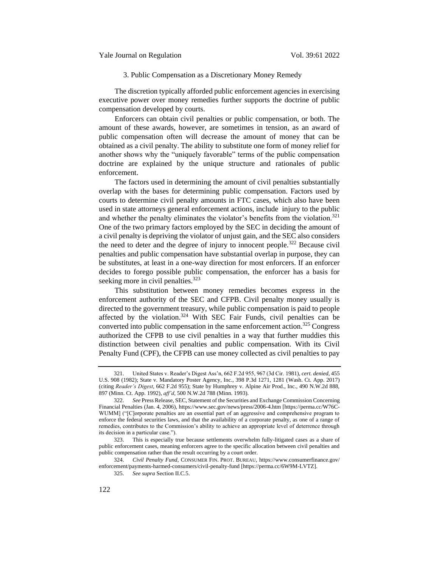## 3. Public Compensation as a Discretionary Money Remedy

The discretion typically afforded public enforcement agencies in exercising executive power over money remedies further supports the doctrine of public compensation developed by courts.

Enforcers can obtain civil penalties or public compensation, or both. The amount of these awards, however, are sometimes in tension, as an award of public compensation often will decrease the amount of money that can be obtained as a civil penalty. The ability to substitute one form of money relief for another shows why the "uniquely favorable" terms of the public compensation doctrine are explained by the unique structure and rationales of public enforcement.

The factors used in determining the amount of civil penalties substantially overlap with the bases for determining public compensation. Factors used by courts to determine civil penalty amounts in FTC cases, which also have been used in state attorneys general enforcement actions, include injury to the public and whether the penalty eliminates the violator's benefits from the violation.<sup>321</sup> One of the two primary factors employed by the SEC in deciding the amount of a civil penalty is depriving the violator of unjust gain, and the SEC also considers the need to deter and the degree of injury to innocent people.<sup>322</sup> Because civil penalties and public compensation have substantial overlap in purpose, they can be substitutes, at least in a one-way direction for most enforcers. If an enforcer decides to forego possible public compensation, the enforcer has a basis for seeking more in civil penalties.<sup>323</sup>

This substitution between money remedies becomes express in the enforcement authority of the SEC and CFPB. Civil penalty money usually is directed to the government treasury, while public compensation is paid to people affected by the violation.<sup>324</sup> With SEC Fair Funds, civil penalties can be converted into public compensation in the same enforcement action.<sup>325</sup> Congress authorized the CFPB to use civil penalties in a way that further muddies this distinction between civil penalties and public compensation. With its Civil Penalty Fund (CPF), the CFPB can use money collected as civil penalties to pay

<sup>321.</sup> United States v. Reader's Digest Ass'n, 662 F.2d 955, 967 (3d Cir. 1981), *cert. denied,* 455 U.S. 908 (1982); State v. Mandatory Poster Agency, Inc., 398 P.3d 1271, 1281 (Wash. Ct. App. 2017) (citing *Reader's Digest*, 662 F.2d 955); State by Humphrey v. Alpine Air Prod., Inc., 490 N.W.2d 888, 897 (Minn. Ct. App. 1992), *aff'd*, 500 N.W.2d 788 (Minn. 1993).

<sup>322.</sup> *See* Press Release, SEC, Statement of the Securities and Exchange Commission Concerning Financial Penalties (Jan. 4, 2006), https://www.sec.gov/news/press/2006-4.htm [https://perma.cc/W76C-WUMM] ("[C]orporate penalties are an essential part of an aggressive and comprehensive program to enforce the federal securities laws, and that the availability of a corporate penalty, as one of a range of remedies, contributes to the Commission's ability to achieve an appropriate level of deterrence through its decision in a particular case.").

<sup>323.</sup> This is especially true because settlements overwhelm fully-litigated cases as a share of public enforcement cases, meaning enforcers agree to the specific allocation between civil penalties and public compensation rather than the result occurring by a court order.

<sup>324.</sup> *Civil Penalty Fund*, CONSUMER FIN. PROT. BUREAU, https://www.consumerfinance.gov/ enforcement/payments-harmed-consumers/civil-penalty-fund [https://perma.cc/6W9M-LVTZ].

<sup>325.</sup> *See supra* Section II.C.5.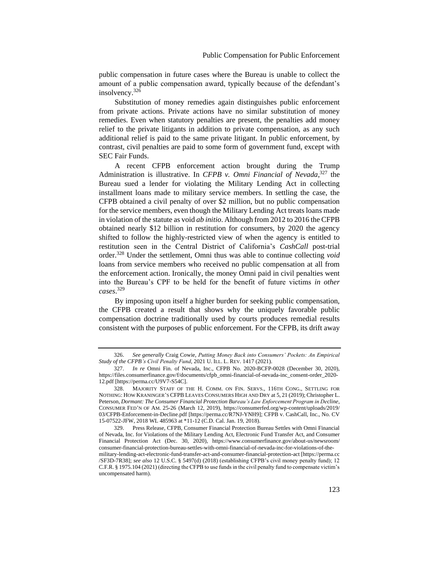public compensation in future cases where the Bureau is unable to collect the amount of a public compensation award, typically because of the defendant's insolvency.<sup>326</sup>

<span id="page-62-0"></span>Substitution of money remedies again distinguishes public enforcement from private actions. Private actions have no similar substitution of money remedies. Even when statutory penalties are present, the penalties add money relief to the private litigants in addition to private compensation, as any such additional relief is paid to the same private litigant. In public enforcement, by contrast, civil penalties are paid to some form of government fund, except with SEC Fair Funds.

A recent CFPB enforcement action brought during the Trump Administration is illustrative. In *CFPB v. Omni Financial of Nevada*, <sup>327</sup> the Bureau sued a lender for violating the Military Lending Act in collecting installment loans made to military service members. In settling the case, the CFPB obtained a civil penalty of over \$2 million, but no public compensation for the service members, even though the Military Lending Act treats loans made in violation of the statute as void *ab initio*. Although from 2012 to 2016 the CFPB obtained nearly \$12 billion in restitution for consumers, by 2020 the agency shifted to follow the highly-restricted view of when the agency is entitled to restitution seen in the Central District of California's *CashCall* post-trial order.<sup>328</sup> Under the settlement, Omni thus was able to continue collecting *void* loans from service members who received no public compensation at all from the enforcement action. Ironically, the money Omni paid in civil penalties went into the Bureau's CPF to be held for the benefit of future victims *in other cases*. 329

By imposing upon itself a higher burden for seeking public compensation, the CFPB created a result that shows why the uniquely favorable public compensation doctrine traditionally used by courts produces remedial results consistent with the purposes of public enforcement. For the CFPB, its drift away

<sup>326.</sup> *See generally* Craig Cowie, *Putting Money Back into Consumers' Pockets: An Empirical Study of the CFPB's Civil Penalty Fund*, 2021 U. ILL. L. REV. 1417 (2021).

<sup>327.</sup> *In re* Omni Fin. of Nevada, Inc., CFPB No. 2020-BCFP-0028 (December 30, 2020), https://files.consumerfinance.gov/f/documents/cfpb\_omni-financial-of-nevada-inc\_consent-order\_2020- 12.pdf [https://perma.cc/U9V7-S54C].

<sup>328.</sup> MAJORITY STAFF OF THE H. COMM. ON FIN. SERVS., 116TH CONG., SETTLING FOR NOTHING: HOW KRANINGER'S CFPB LEAVES CONSUMERS HIGH AND DRY at 5, 21 (2019); Christopher L. Peterson, *Dormant: The Consumer Financial Protection Bureau's Law Enforcement Program in Decline*, CONSUMER FED'N OF AM. 25-26 (March 12, 2019), https://consumerfed.org/wp-content/uploads/2019/ 03/CFPB-Enforcement-in-Decline.pdf [https://perma.cc/R7NJ-YNH9]; CFPB v. CashCall, Inc., No. CV 15-07522-JFW, 2018 WL 485963 at \*11-12 (C.D. Cal. Jan. 19, 2018).

<sup>329.</sup> Press Release, CFPB, Consumer Financial Protection Bureau Settles with Omni Financial of Nevada, Inc. for Violations of the Military Lending Act, Electronic Fund Transfer Act, and Consumer Financial Protection Act (Dec. 30, 2020), https://www.consumerfinance.gov/about-us/newsroom/ consumer-financial-protection-bureau-settles-with-omni-financial-of-nevada-inc-for-violations-of-themilitary-lending-act-electronic-fund-transfer-act-and-consumer-financial-protection-act [https://perma.cc /SF3D-7R38]; *see also* 12 U.S.C. § [5497\(d\)](https://www.govinfo.gov/link/uscode/12/5497) (2018) (establishing CFPB's civil money penalty fund); 12 C.F.R. § 1975.104 (2021) (directing the CFPB to use funds in the civil penalty fund to compensate victim's uncompensated harm).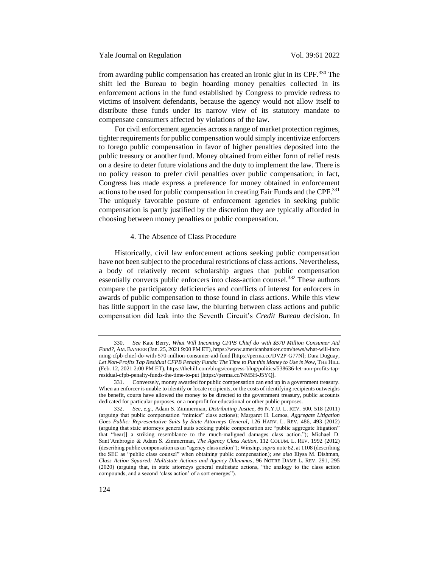Yale Journal on Regulation Vol. 39:61 2022

from awarding public compensation has created an ironic glut in its CPF.<sup>330</sup> The shift led the Bureau to begin hoarding money penalties collected in its enforcement actions in the fund established by Congress to provide redress to victims of insolvent defendants, because the agency would not allow itself to distribute these funds under its narrow view of its statutory mandate to compensate consumers affected by violations of the law.

For civil enforcement agencies across a range of market protection regimes, tighter requirements for public compensation would simply incentivize enforcers to forego public compensation in favor of higher penalties deposited into the public treasury or another fund. Money obtained from either form of relief rests on a desire to deter future violations and the duty to implement the law. There is no policy reason to prefer civil penalties over public compensation; in fact, Congress has made express a preference for money obtained in enforcement actions to be used for public compensation in creating Fair Funds and the CPF.<sup>331</sup> The uniquely favorable posture of enforcement agencies in seeking public compensation is partly justified by the discretion they are typically afforded in choosing between money penalties or public compensation.

## 4. The Absence of Class Procedure

Historically, civil law enforcement actions seeking public compensation have not been subject to the procedural restrictions of class actions. Nevertheless, a body of relatively recent scholarship argues that public compensation essentially converts public enforcers into class-action counsel.<sup>332</sup> These authors compare the participatory deficiencies and conflicts of interest for enforcers in awards of public compensation to those found in class actions. While this view has little support in the case law, the blurring between class actions and public compensation did leak into the Seventh Circuit's *Credit Bureau* decision. In

<sup>330.</sup> *See* Kate Berry, *What Will Incoming CFPB Chief do with \$570 Million Consumer Aid Fund?*, AM.BANKER (Jan. 25, 2021 9:00 PM ET), https://www.americanbanker.com/news/what-will-inco ming-cfpb-chief-do-with-570-million-consumer-aid-fund [https://perma.cc/DV2P-G77N]; Dara Duguay, *Let Non-Profits Tap Residual CFPB Penalty Funds: The Time to Put this Money to Use is Now*, THE HILL (Feb. 12, 2021 2:00 PM ET), https://thehill.com/blogs/congress-blog/politics/538636-let-non-profits-tapresidual-cfpb-penalty-funds-the-time-to-put [https://perma.cc/NM5H-J5YQ].

Conversely, money awarded for public compensation can end up in a government treasury. When an enforcer is unable to identify or locate recipients, or the costs of identifying recipients outweighs the benefit, courts have allowed the money to be directed to the government treasury, public accounts dedicated for particular purposes, or a nonprofit for educational or other public purposes.

<sup>332.</sup> *See, e.g.*, Adam S. Zimmerman, *Distributing Justice*, 86 N.Y.U. L. REV. 500, 518 (2011) (arguing that public compensation "mimics" class actions); Margaret H. Lemos, *Aggregate Litigation Goes Public: Representative Suits by State Attorneys General*, 126 HARV. L. REV. 486, 493 (2012) (arguing that state attorneys general suits seeking public compensation are "public aggregate litigation" that "bear[] a striking resemblance to the much-maligned damages class action."); Michael D. Sant'Ambrogio & Adam S. Zimmerman, *The Agency Class Action*, 112 COLUM. L. REV. 1992 (2012) (describing public compensation as an "agency class action"); Winship, *supra* not[e 62,](#page-14-1) at 1108 (describing the SEC as "public class counsel" when obtaining public compensation); *see also* Elysa M. Dishman, *Class Action Squared: Multistate Actions and Agency Dilemmas*, 96 NOTRE DAME L. REV. 291, 295 (2020) (arguing that, in state attorneys general multistate actions, "the analogy to the class action compounds, and a second 'class action' of a sort emerges").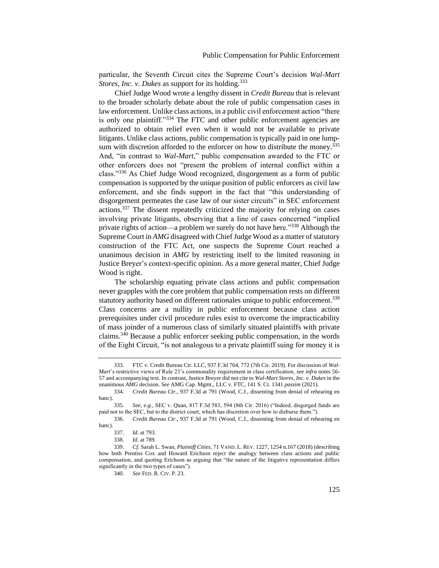particular, the Seventh Circuit cites the Supreme Court's decision *Wal-Mart Stores, Inc. v. Dukes* as support for its holding.<sup>333</sup>

Chief Judge Wood wrote a lengthy dissent in *Credit Bureau* that is relevant to the broader scholarly debate about the role of public compensation cases in law enforcement. Unlike class actions, in a public civil enforcement action "there is only one plaintiff."<sup>334</sup> The FTC and other public enforcement agencies are authorized to obtain relief even when it would not be available to private litigants. Unlike class actions, public compensation is typically paid in one lumpsum with discretion afforded to the enforcer on how to distribute the money.<sup>335</sup> And, "in contrast to *Wal-Mart*," public compensation awarded to the FTC or other enforcers does not "present the problem of internal conflict within a class."<sup>336</sup> As Chief Judge Wood recognized, disgorgement as a form of public compensation is supported by the unique position of public enforcers as civil law enforcement, and she finds support in the fact that "this understanding of disgorgement permeates the case law of our sister circuits" in SEC enforcement actions.<sup>337</sup> The dissent repeatedly criticized the majority for relying on cases involving private litigants, observing that a line of cases concerned "implied private rights of action—a problem we surely do not have here."<sup>338</sup> Although the Supreme Court in *AMG* disagreed with Chief Judge Wood as a matter of statutory construction of the FTC Act, one suspects the Supreme Court reached a unanimous decision in *AMG* by restricting itself to the limited reasoning in Justice Breyer's context-specific opinion. As a more general matter, Chief Judge Wood is right.

The scholarship equating private class actions and public compensation never grapples with the core problem that public compensation rests on different statutory authority based on different rationales unique to public enforcement.<sup>339</sup> Class concerns are a nullity in public enforcement because class action prerequisites under civil procedure rules exist to overcome the impracticability of mass joinder of a numerous class of similarly situated plaintiffs with private claims.<sup>340</sup> Because a public enforcer seeking public compensation, in the words of the Eight Circuit, "is not analogous to a private plaintiff suing for money it is

<sup>333.</sup> FTC v. Credit Bureau Ctr. LLC, 937 F.3d 764, 772 (7th Cir. 2019). For discussion of *Wal-Mart*'s restrictive views of Rule 23's commonality requirement in class certification, *see infra* note[s 56-](#page-12-0) [57](#page-12-1) and accompanying text. In contrast, Justice Breyer did not cite to *Wal-Mart Stores, Inc. v. Dukes* in the unanimous *AMG* decision. *See* AMG Cap. Mgmt., LLC v. FTC, 141 S. Ct. 1341 *passim* (2021).

<sup>334.</sup> *Credit Bureau Ctr.*, 937 F.3d at 791 (Wood, C.J., dissenting from denial of rehearing en banc).

<sup>335.</sup> *See, e.g.*, SEC v. Quan, 817 F.3d 583, 594 (8th Cir. 2016) ("Indeed, disgorged funds are paid not to the SEC, but to the district court, which has discretion over how to disburse them.").

<sup>336.</sup> *Credit Bureau Ctr.*, 937 F.3d at 791 (Wood, C.J., dissenting from denial of rehearing en banc).

<sup>337.</sup> *Id*. at 793.

<sup>338.</sup> *Id*. at 789.

<sup>339.</sup> *Cf.* Sarah L. Swan, *Plaintiff Cities*, 71 VAND. L. REV. 1227, 1254 n.167 (2018) (describing how both Prentiss Cox and Howard Erichson reject the analogy between class actions and public compensation, and quoting Erichson as arguing that "the nature of the litigative representation differs significantly in the two types of cases").

<sup>340.</sup> *See* FED. R. CIV. P. 23.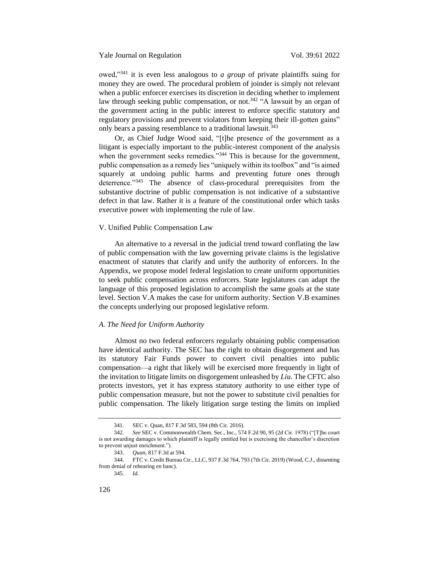owed,"<sup>341</sup> it is even less analogous to *a group* of private plaintiffs suing for money they are owed. The procedural problem of joinder is simply not relevant when a public enforcer exercises its discretion in deciding whether to implement law through seeking public compensation, or not.<sup>342</sup> "A lawsuit by an organ of the government acting in the public interest to enforce specific statutory and regulatory provisions and prevent violators from keeping their ill-gotten gains" only bears a passing resemblance to a traditional lawsuit.<sup>343</sup>

Or, as Chief Judge Wood said, "[t]he presence of the government as a litigant is especially important to the public-interest component of the analysis when the government seeks remedies."<sup>344</sup> This is because for the government, public compensation as a remedy lies "uniquely within its toolbox" and "is aimed squarely at undoing public harms and preventing future ones through deterrence."<sup>345</sup> The absence of class-procedural prerequisites from the substantive doctrine of public compensation is not indicative of a substantive defect in that law. Rather it is a feature of the constitutional order which tasks executive power with implementing the rule of law.

### V. Unified Public Compensation Law

An alternative to a reversal in the judicial trend toward conflating the law of public compensation with the law governing private claims is the legislative enactment of statutes that clarify and unify the authority of enforcers. In the Appendix, we propose model federal legislation to create uniform opportunities to seek public compensation across enforcers. State legislatures can adapt the language of this proposed legislation to accomplish the same goals at the state level. Section V.A makes the case for uniform authority. Section V.B examines the concepts underlying our proposed legislative reform.

## *A. The Need for Uniform Authority*

Almost no two federal enforcers regularly obtaining public compensation have identical authority. The SEC has the right to obtain disgorgement and has its statutory Fair Funds power to convert civil penalties into public compensation—a right that likely will be exercised more frequently in light of the invitation to litigate limits on disgorgement unleashed by *Liu*. The CFTC also protects investors, yet it has express statutory authority to use either type of public compensation measure, but not the power to substitute civil penalties for public compensation. The likely litigation surge testing the limits on implied

<sup>341.</sup> SEC v. Quan, 817 F.3d 583, 594 (8th Cir. 2016).

<sup>342.</sup> *See* SEC v. Commonwealth Chem. Sec., Inc., 574 F.2d 90, 95 (2d Cir. 1978) ("[T]he court is not awarding damages to which plaintiff is legally entitled but is exercising the chancellor's discretion to prevent unjust enrichment.").

<sup>343.</sup> *Quan*, 817 F.3d at 594.

<sup>344.</sup> FTC v. Credit Bureau Ctr., LLC, 937 F.3d 764, 793 (7th Cir. 2019) (Wood, C.J., dissenting from denial of rehearing en banc).

<sup>345.</sup> *Id.*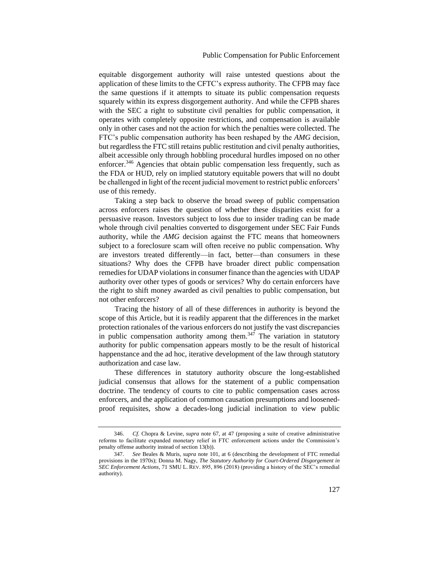equitable disgorgement authority will raise untested questions about the application of these limits to the CFTC's express authority. The CFPB may face the same questions if it attempts to situate its public compensation requests squarely within its express disgorgement authority. And while the CFPB shares with the SEC a right to substitute civil penalties for public compensation, it operates with completely opposite restrictions, and compensation is available only in other cases and not the action for which the penalties were collected. The FTC's public compensation authority has been reshaped by the *AMG* decision, but regardless the FTC still retains public restitution and civil penalty authorities, albeit accessible only through hobbling procedural hurdles imposed on no other enforcer.<sup>346</sup> Agencies that obtain public compensation less frequently, such as the FDA or HUD, rely on implied statutory equitable powers that will no doubt be challenged in light of the recent judicial movement to restrict public enforcers' use of this remedy.

Taking a step back to observe the broad sweep of public compensation across enforcers raises the question of whether these disparities exist for a persuasive reason. Investors subject to loss due to insider trading can be made whole through civil penalties converted to disgorgement under SEC Fair Funds authority, while the *AMG* decision against the FTC means that homeowners subject to a foreclosure scam will often receive no public compensation. Why are investors treated differently—in fact, better—than consumers in these situations? Why does the CFPB have broader direct public compensation remedies for UDAP violations in consumer finance than the agencies with UDAP authority over other types of goods or services? Why do certain enforcers have the right to shift money awarded as civil penalties to public compensation, but not other enforcers?

Tracing the history of all of these differences in authority is beyond the scope of this Article, but it is readily apparent that the differences in the market protection rationales of the various enforcers do not justify the vast discrepancies in public compensation authority among them.<sup>347</sup> The variation in statutory authority for public compensation appears mostly to be the result of historical happenstance and the ad hoc, iterative development of the law through statutory authorization and case law.

These differences in statutory authority obscure the long-established judicial consensus that allows for the statement of a public compensation doctrine. The tendency of courts to cite to public compensation cases across enforcers, and the application of common causation presumptions and loosenedproof requisites, show a decades-long judicial inclination to view public

<sup>346.</sup> *Cf.* Chopra & Levine, *supra* note [67,](#page-14-2) at 47 (proposing a suite of creative administrative reforms to facilitate expanded monetary relief in FTC enforcement actions under the Commission's penalty offense authority instead of section 13(b)).

<sup>347.</sup> *See* Beales & Muris, *supra* not[e 101,](#page-19-0) at 6 (describing the development of FTC remedial provisions in the 1970s); Donna M. Nagy, *The Statutory Authority for Court-Ordered Disgorgement in SEC Enforcement Actions*, 71 SMU L. REV. 895, 896 (2018) (providing a history of the SEC's remedial authority).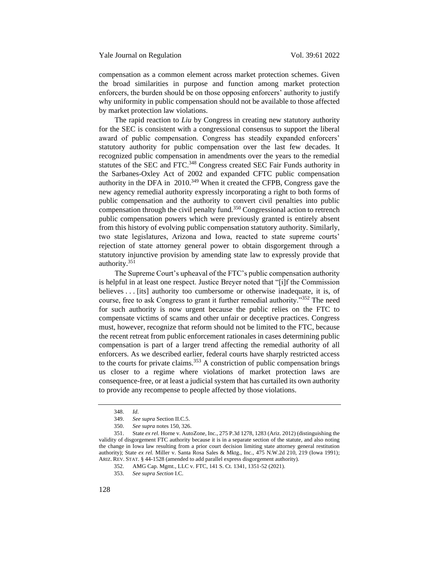compensation as a common element across market protection schemes. Given the broad similarities in purpose and function among market protection enforcers, the burden should be on those opposing enforcers' authority to justify why uniformity in public compensation should not be available to those affected by market protection law violations.

The rapid reaction to *Liu* by Congress in creating new statutory authority for the SEC is consistent with a congressional consensus to support the liberal award of public compensation. Congress has steadily expanded enforcers' statutory authority for public compensation over the last few decades. It recognized public compensation in amendments over the years to the remedial statutes of the SEC and FTC.<sup>348</sup> Congress created SEC Fair Funds authority in the Sarbanes-Oxley Act of 2002 and expanded CFTC public compensation authority in the DFA in 2010.<sup>349</sup> When it created the CFPB, Congress gave the new agency remedial authority expressly incorporating a right to both forms of public compensation and the authority to convert civil penalties into public compensation through the civil penalty fund.<sup>350</sup> Congressional action to retrench public compensation powers which were previously granted is entirely absent from this history of evolving public compensation statutory authority. Similarly, two state legislatures, Arizona and Iowa, reacted to state supreme courts' rejection of state attorney general power to obtain disgorgement through a statutory injunctive provision by amending state law to expressly provide that authority.<sup>351</sup>

The Supreme Court's upheaval of the FTC's public compensation authority is helpful in at least one respect. Justice Breyer noted that "[i]f the Commission believes . . . [its] authority too cumbersome or otherwise inadequate, it is, of course, free to ask Congress to grant it further remedial authority."<sup>352</sup> The need for such authority is now urgent because the public relies on the FTC to compensate victims of scams and other unfair or deceptive practices. Congress must, however, recognize that reform should not be limited to the FTC, because the recent retreat from public enforcement rationales in cases determining public compensation is part of a larger trend affecting the remedial authority of all enforcers. As we described earlier, federal courts have sharply restricted access to the courts for private claims.<sup>353</sup> A constriction of public compensation brings us closer to a regime where violations of market protection laws are consequence-free, or at least a judicial system that has curtailed its own authority to provide any recompense to people affected by those violations.

<sup>348.</sup> *Id*.

<sup>349.</sup> *See supra* Section II.C.5.

<sup>350.</sup> *See supra* note[s 150,](#page-26-0) [326.](#page-62-0)

<sup>351.</sup> State *ex rel.* Horne v. AutoZone, Inc., 275 P.3d 1278, 1283 (Ariz. 2012) (distinguishing the validity of disgorgement FTC authority because it is in a separate section of the statute, and also noting the change in Iowa law resulting from a prior court decision limiting state attorney general restitution authority); State *ex rel.* Miller v. Santa Rosa Sales & Mktg., Inc., 475 N.W.2d 210, 219 (Iowa 1991); ARIZ. REV. STAT. § 44-1528 (amended to add parallel express disgorgement authority).

<sup>352.</sup> AMG Cap. Mgmt., LLC v. FTC, 141 S. Ct. 1341, 1351-52 (2021).

<sup>353.</sup> *See supra Section* I.C.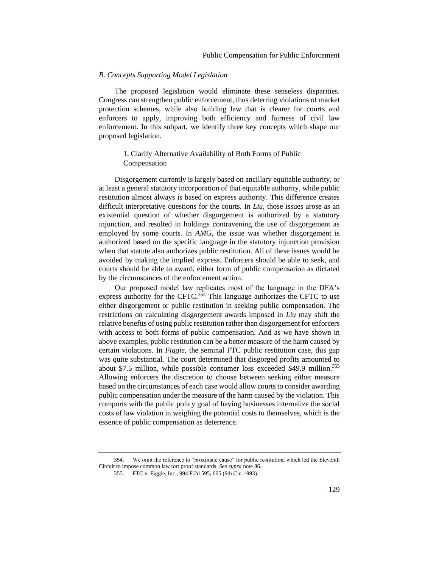#### *B. Concepts Supporting Model Legislation*

The proposed legislation would eliminate these senseless disparities. Congress can strengthen public enforcement, thus deterring violations of market protection schemes, while also building law that is clearer for courts and enforcers to apply, improving both efficiency and fairness of civil law enforcement. In this subpart, we identify three key concepts which shape our proposed legislation.

# 1. Clarify Alternative Availability of Both Forms of Public Compensation

Disgorgement currently is largely based on ancillary equitable authority, or at least a general statutory incorporation of that equitable authority, while public restitution almost always is based on express authority. This difference creates difficult interpretative questions for the courts. In *Liu*, those issues arose as an existential question of whether disgorgement is authorized by a statutory injunction, and resulted in holdings contravening the use of disgorgement as employed by some courts. In *AMG*, the issue was whether disgorgement is authorized based on the specific language in the statutory injunction provision when that statute also authorizes public restitution. All of these issues would be avoided by making the implied express. Enforcers should be able to seek, and courts should be able to award, either form of public compensation as dictated by the circumstances of the enforcement action.

Our proposed model law replicates most of the language in the DFA's express authority for the CFTC. $354$  This language authorizes the CFTC to use either disgorgement or public restitution in seeking public compensation. The restrictions on calculating disgorgement awards imposed in *Liu* may shift the relative benefits of using public restitution rather than disgorgement for enforcers with access to both forms of public compensation. And as we have shown in above examples, public restitution can be a better measure of the harm caused by certain violations. In *Figgie*, the seminal FTC public restitution case, this gap was quite substantial. The court determined that disgorged profits amounted to about \$7.5 million, while possible consumer loss exceeded \$49.9 million.<sup>355</sup> Allowing enforcers the discretion to choose between seeking either measure based on the circumstances of each case would allow courts to consider awarding public compensation under the measure of the harm caused by the violation. This comports with the public policy goal of having businesses internalize the social costs of law violation in weighing the potential costs to themselves, which is the essence of public compensation as deterrence.

<sup>354.</sup> We omit the reference to "proximate cause" for public restitution, which led the Eleventh Circuit to impose common law tort proof standards. *See supra* note [86.](#page-17-0)

<sup>355.</sup> FTC v. Figgie, Inc., 994 F.2d 595, 605 (9th Cir. 1993).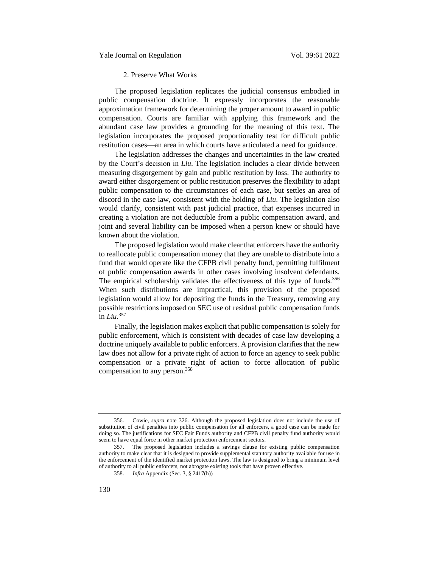# 2. Preserve What Works

The proposed legislation replicates the judicial consensus embodied in public compensation doctrine. It expressly incorporates the reasonable approximation framework for determining the proper amount to award in public compensation. Courts are familiar with applying this framework and the abundant case law provides a grounding for the meaning of this text. The legislation incorporates the proposed proportionality test for difficult public restitution cases—an area in which courts have articulated a need for guidance.

The legislation addresses the changes and uncertainties in the law created by the Court's decision in *Liu*. The legislation includes a clear divide between measuring disgorgement by gain and public restitution by loss. The authority to award either disgorgement or public restitution preserves the flexibility to adapt public compensation to the circumstances of each case, but settles an area of discord in the case law, consistent with the holding of *Liu*. The legislation also would clarify, consistent with past judicial practice, that expenses incurred in creating a violation are not deductible from a public compensation award, and joint and several liability can be imposed when a person knew or should have known about the violation.

The proposed legislation would make clear that enforcers have the authority to reallocate public compensation money that they are unable to distribute into a fund that would operate like the CFPB civil penalty fund, permitting fulfilment of public compensation awards in other cases involving insolvent defendants. The empirical scholarship validates the effectiveness of this type of funds.<sup>356</sup> When such distributions are impractical, this provision of the proposed legislation would allow for depositing the funds in the Treasury, removing any possible restrictions imposed on SEC use of residual public compensation funds in *Liu*. 357

Finally, the legislation makes explicit that public compensation is solely for public enforcement, which is consistent with decades of case law developing a doctrine uniquely available to public enforcers. A provision clarifies that the new law does not allow for a private right of action to force an agency to seek public compensation or a private right of action to force allocation of public compensation to any person.<sup>358</sup>

<sup>356.</sup> Cowie, *supra* note 326. Although the proposed legislation does not include the use of substitution of civil penalties into public compensation for all enforcers, a good case can be made for doing so. The justifications for SEC Fair Funds authority and CFPB civil penalty fund authority would seem to have equal force in other market protection enforcement sectors.

<sup>357.</sup> The proposed legislation includes a savings clause for existing public compensation authority to make clear that it is designed to provide supplemental statutory authority available for use in the enforcement of the identified market protection laws. The law is designed to bring a minimum level of authority to all public enforcers, not abrogate existing tools that have proven effective.

<sup>358.</sup> *Infra* Appendix (Sec. 3, § 2417(h))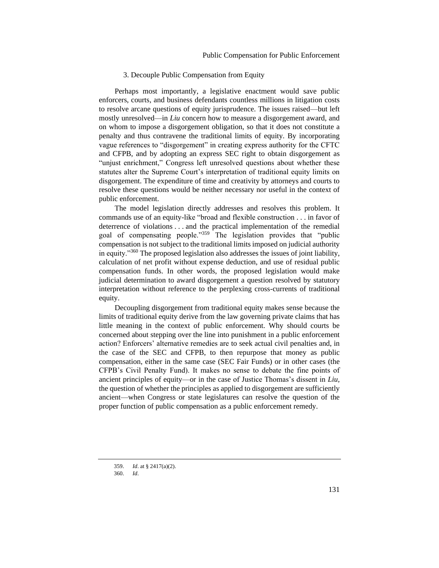## 3. Decouple Public Compensation from Equity

Perhaps most importantly, a legislative enactment would save public enforcers, courts, and business defendants countless millions in litigation costs to resolve arcane questions of equity jurisprudence. The issues raised—but left mostly unresolved—in *Liu* concern how to measure a disgorgement award, and on whom to impose a disgorgement obligation, so that it does not constitute a penalty and thus contravene the traditional limits of equity. By incorporating vague references to "disgorgement" in creating express authority for the CFTC and CFPB, and by adopting an express SEC right to obtain disgorgement as "unjust enrichment," Congress left unresolved questions about whether these statutes alter the Supreme Court's interpretation of traditional equity limits on disgorgement. The expenditure of time and creativity by attorneys and courts to resolve these questions would be neither necessary nor useful in the context of public enforcement.

The model legislation directly addresses and resolves this problem. It commands use of an equity-like "broad and flexible construction . . . in favor of deterrence of violations . . . and the practical implementation of the remedial goal of compensating people."<sup>359</sup> The legislation provides that "public compensation is not subject to the traditional limits imposed on judicial authority in equity."<sup>360</sup> The proposed legislation also addresses the issues of joint liability, calculation of net profit without expense deduction, and use of residual public compensation funds. In other words, the proposed legislation would make judicial determination to award disgorgement a question resolved by statutory interpretation without reference to the perplexing cross-currents of traditional equity.

Decoupling disgorgement from traditional equity makes sense because the limits of traditional equity derive from the law governing private claims that has little meaning in the context of public enforcement. Why should courts be concerned about stepping over the line into punishment in a public enforcement action? Enforcers' alternative remedies are to seek actual civil penalties and, in the case of the SEC and CFPB, to then repurpose that money as public compensation, either in the same case (SEC Fair Funds) or in other cases (the CFPB's Civil Penalty Fund). It makes no sense to debate the fine points of ancient principles of equity—or in the case of Justice Thomas's dissent in *Liu,*  the question of whether the principles as applied to disgorgement are sufficiently ancient—when Congress or state legislatures can resolve the question of the proper function of public compensation as a public enforcement remedy.

<sup>359.</sup> *Id*. at § 2417(a)(2).

<sup>360.</sup> *Id*.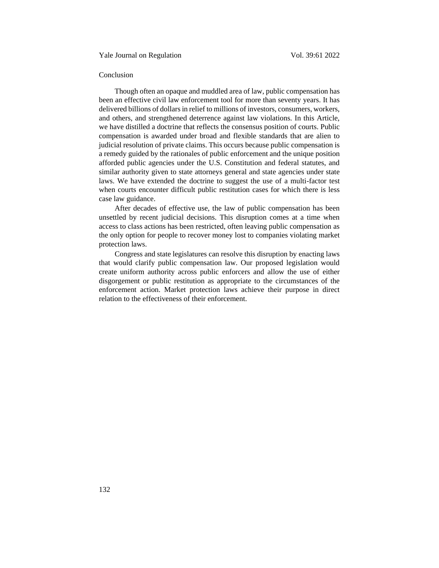## Conclusion

Though often an opaque and muddled area of law, public compensation has been an effective civil law enforcement tool for more than seventy years. It has delivered billions of dollars in relief to millions of investors, consumers, workers, and others, and strengthened deterrence against law violations. In this Article, we have distilled a doctrine that reflects the consensus position of courts. Public compensation is awarded under broad and flexible standards that are alien to judicial resolution of private claims. This occurs because public compensation is a remedy guided by the rationales of public enforcement and the unique position afforded public agencies under the U.S. Constitution and federal statutes, and similar authority given to state attorneys general and state agencies under state laws. We have extended the doctrine to suggest the use of a multi-factor test when courts encounter difficult public restitution cases for which there is less case law guidance.

After decades of effective use, the law of public compensation has been unsettled by recent judicial decisions. This disruption comes at a time when access to class actions has been restricted, often leaving public compensation as the only option for people to recover money lost to companies violating market protection laws.

Congress and state legislatures can resolve this disruption by enacting laws that would clarify public compensation law. Our proposed legislation would create uniform authority across public enforcers and allow the use of either disgorgement or public restitution as appropriate to the circumstances of the enforcement action. Market protection laws achieve their purpose in direct relation to the effectiveness of their enforcement.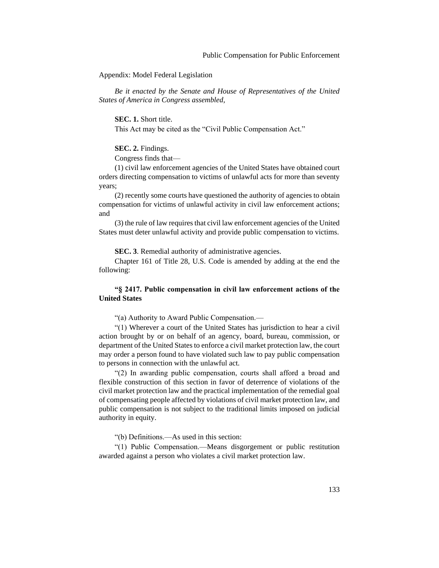Appendix: Model Federal Legislation

*Be it enacted by the Senate and House of Representatives of the United States of America in Congress assembled,*

**SEC. 1.** Short title.

This Act may be cited as the "Civil Public Compensation Act."

## **SEC. 2.** Findings.

Congress finds that—

(1) civil law enforcement agencies of the United States have obtained court orders directing compensation to victims of unlawful acts for more than seventy years;

(2) recently some courts have questioned the authority of agencies to obtain compensation for victims of unlawful activity in civil law enforcement actions; and

(3) the rule of law requires that civil law enforcement agencies of the United States must deter unlawful activity and provide public compensation to victims.

**SEC. 3**. Remedial authority of administrative agencies.

Chapter 161 of Title 28, U.S. Code is amended by adding at the end the following:

## **"§ 2417. Public compensation in civil law enforcement actions of the United States**

"(a) Authority to Award Public Compensation.—

"(1) Wherever a court of the United States has jurisdiction to hear a civil action brought by or on behalf of an agency, board, bureau, commission, or department of the United States to enforce a civil market protection law, the court may order a person found to have violated such law to pay public compensation to persons in connection with the unlawful act.

"(2) In awarding public compensation, courts shall afford a broad and flexible construction of this section in favor of deterrence of violations of the civil market protection law and the practical implementation of the remedial goal of compensating people affected by violations of civil market protection law, and public compensation is not subject to the traditional limits imposed on judicial authority in equity.

"(b) Definitions.—As used in this section:

"(1) Public Compensation.—Means disgorgement or public restitution awarded against a person who violates a civil market protection law.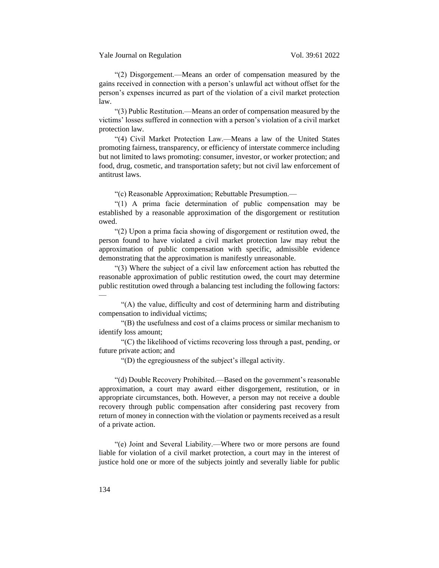"(2) Disgorgement.—Means an order of compensation measured by the gains received in connection with a person's unlawful act without offset for the person's expenses incurred as part of the violation of a civil market protection law.

"(3) Public Restitution.—Means an order of compensation measured by the victims' losses suffered in connection with a person's violation of a civil market protection law.

"(4) Civil Market Protection Law.—Means a law of the United States promoting fairness, transparency, or efficiency of interstate commerce including but not limited to laws promoting: consumer, investor, or worker protection; and food, drug, cosmetic, and transportation safety; but not civil law enforcement of antitrust laws.

"(c) Reasonable Approximation; Rebuttable Presumption.—

"(1) A prima facie determination of public compensation may be established by a reasonable approximation of the disgorgement or restitution owed.

"(2) Upon a prima facia showing of disgorgement or restitution owed, the person found to have violated a civil market protection law may rebut the approximation of public compensation with specific, admissible evidence demonstrating that the approximation is manifestly unreasonable.

"(3) Where the subject of a civil law enforcement action has rebutted the reasonable approximation of public restitution owed, the court may determine public restitution owed through a balancing test including the following factors:  $\frac{1}{2}$ 

"(A) the value, difficulty and cost of determining harm and distributing compensation to individual victims;

"(B) the usefulness and cost of a claims process or similar mechanism to identify loss amount;

"(C) the likelihood of victims recovering loss through a past, pending, or future private action; and

"(D) the egregiousness of the subject's illegal activity.

"(d) Double Recovery Prohibited.—Based on the government's reasonable approximation, a court may award either disgorgement, restitution, or in appropriate circumstances, both. However, a person may not receive a double recovery through public compensation after considering past recovery from return of money in connection with the violation or payments received as a result of a private action.

"(e) Joint and Several Liability.—Where two or more persons are found liable for violation of a civil market protection, a court may in the interest of justice hold one or more of the subjects jointly and severally liable for public